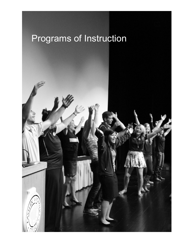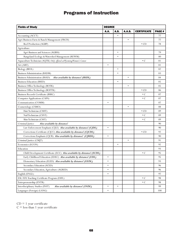| <b>Fields of Study</b>                                                 | <b>DEGREE</b> |           |               |                    |        |
|------------------------------------------------------------------------|---------------|-----------|---------------|--------------------|--------|
|                                                                        | A.A.          | A.S.      | <b>A.A.S.</b> | <b>CERTIFICATE</b> | PAGE # |
| Accounting (ACCT)                                                      |               |           |               |                    | 77     |
| Agri-Business: Farm & Ranch Management (FRCH)                          |               |           | $\bullet$     |                    | 77     |
| Beef Production (AGBP)                                                 |               |           |               | $\cdot$ CD         | 78     |
| Agriculture                                                            |               |           |               |                    |        |
| Agri-Business and Sciences (AGBSS)                                     |               | $\bullet$ |               |                    | 79     |
| Rangeland Ecology & Watershed Management (REWM)                        |               | $\bullet$ |               |                    | 80     |
| Aquaculture Technician (AQTK) Only offered at Wyoming Women's Center   |               |           |               | $\cdot c$          | 81     |
| Art (ART)                                                              | $\bullet$     |           |               |                    | 81     |
| Biology (BIOL)                                                         |               | ٠         |               |                    | 82     |
| <b>Business Administration (BADM)</b>                                  |               | $\bullet$ |               |                    | 83     |
| Business Administration (BSAD)<br>Also available by distance! (BSDL)   |               |           | $\bullet$     |                    | 84     |
| <b>Business Education (BSED)</b>                                       |               | ٠         |               |                    | 85     |
| Business Office Technology (BOTK)                                      |               |           | $\bullet$     |                    | 85     |
| Business Office Technology (BOFTK)                                     |               |           |               | $\cdot$ CD         | 86     |
| Business Records Certificate (BSRC)                                    |               |           |               | $\cdot c$          | 87     |
| Computer Applications (CAPS)                                           |               |           |               | $\cdot$ C          | 87     |
| Communication (COMM)                                                   | $\bullet$     |           |               |                    | 87     |
| Cosmetology (CSMO)                                                     |               |           | $\bullet$     |                    | 88     |
| Hair Technician (CSHT)                                                 |               |           |               | $\cdot$ CD         | 89     |
| Nail Technician (CSNT)                                                 |               |           |               | $\cdot c$          | 89     |
| Skin Technician (CSST)                                                 |               |           |               | $\cdot c$          | 89     |
| Criminal Justice<br>Also available by distance!                        |               |           |               |                    | 90     |
| Law Enforcement Emphasis (CJLE) Also available by distance! (CJDL)     | ٠             |           |               |                    | 90     |
| Corrections Certificate (CJCC) Also available by distance! (CJCDL)     |               |           |               | $\cdot$ CD         | 92     |
| Corrections Emphasis (CJCR) Also available by distance! (CJRDL)        | $\bullet$     |           |               |                    | 90     |
| Criminal Justice (CMJT)                                                |               |           | $\bullet$     |                    | 91     |
| Economics (ECON)                                                       |               | $\bullet$ |               |                    | 92     |
| Education                                                              |               |           |               |                    | 93     |
| Child Development Certificate (ECC) Also available by distance! (ECDL) |               |           |               | $\cdot c$          | 95     |
| Early Childhood Education (EDEC) Also available by distance! (EDL)     | $\bullet$     |           |               |                    | 95     |
| Elementary Education (ELED) Also available by distance! (EEDL)         |               |           |               |                    | 93     |
| Secondary Education (SCED)                                             | $\bullet$     |           |               |                    | 96     |
| Secondary Education, Agriculture (AGRED)                               | $\bullet$     |           |               |                    | 96     |
| English (ENGL)                                                         | $\bullet$     |           |               |                    | 97     |
| ESL/EFL Teaching Certificate Program (ESFL)                            |               |           |               | $\cdot c$          | 98     |
| Entrepreneurship (ENTR)                                                |               |           |               | $\cdot c$          | 98     |
| Interdisciplinary Studies (INST)<br>Also available by distance! (INDL) | $\bullet$     | $\bullet$ |               |                    | 99     |
| Languages (Foreign) (LANG)                                             | $\bullet$     |           |               |                    | 100    |

 $CD = 1$  year certificate

 $C =$  less than 1 year certificate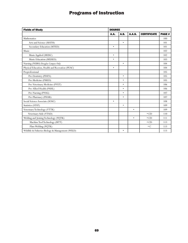| <b>Fields of Study</b>                           | <b>DEGREE</b> |             |               |                    |              |
|--------------------------------------------------|---------------|-------------|---------------|--------------------|--------------|
|                                                  | <b>A.A.</b>   | <b>A.S.</b> | <b>A.A.S.</b> | <b>CERTIFICATE</b> | <b>PAGE#</b> |
| Mathematics                                      |               |             |               |                    | 100          |
| Arts and Science (MATH)                          |               | $\bullet$   |               |                    | 101          |
| Secondary Education (MTED)                       | $\bullet$     |             |               |                    | 101          |
| Music                                            |               |             |               |                    | 102          |
| Music Applied (MUSC)                             | $\bullet$     |             |               |                    | 102          |
| Music Education (MUSED)                          | $\bullet$     |             |               |                    | 103          |
| Nursing (NURS) Douglas Campus Only               |               | $\bullet$   |               |                    | 104          |
| Physical Education, Health and Recreation (PEAC) | $\bullet$     |             |               |                    | 104          |
| Preprofessional                                  |               |             |               |                    | 105          |
| Pre-Dentistry (PDEN)                             |               | $\bullet$   |               |                    | 105          |
| Pre-Medicine (PMED)                              |               | $\bullet$   |               |                    | 105          |
| Pre-Veterinary Medicine (PVET)                   |               | $\bullet$   |               |                    | 106          |
| Pre-Allied Health (PAHL)                         |               | $\bullet$   |               |                    | 106          |
| Pre-Nursing (PNSG)                               |               | $\bullet$   |               |                    | 107          |
| Pre-Pharmacy (PHAR)                              |               | $\bullet$   |               |                    | 107          |
| Social Science Associate (SOSC)                  | $\bullet$     |             |               |                    | 108          |
| Statistics (STAT)                                |               | $\bullet$   |               |                    | 109          |
| Veterinary Technology (VTTK)                     |               |             | $\bullet$     |                    | 109          |
| Veterinary Aide (VTAD)                           |               |             |               | $\cdot$ CD         | 110          |
| Welding and Joining Technology (WJTK)            |               |             | $\bullet$     | $\cdot$ CD         | 111          |
| Machine Tool Technology (MTT)                    |               |             |               | $\cdot$ CD         | 113          |
| Plate Welding (WJTK)                             |               |             |               | $\cdot c$          | 113          |
| Wildlife & Fisheries Biology & Management (WILD) |               | ٠           |               |                    | 113          |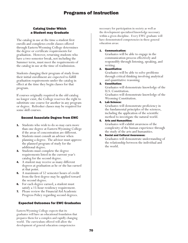### Catalog Under Which a Student may Graduate

The catalog in use at the time a student first enrolls and completes credit classes offered through Eastern Wyoming College determines the degree or certificate requirements for graduation. However, returning students who have a two-semester break, not including the Summer term, must meet the requirements of the catalog in use at the time of readmission.

Students changing their program of study from their initial enrollment are expected to fulfill graduation requirements under the catalog in effect at the time they begin classes for that program.

If courses originally required in the old catalog no longer exist, the College reserves the right to substitute one course for another in any program or degree. Refresher classes may be required for some skill courses.

### Second Associate Degree from EWC

- **1.** Students who wish to do so may earn more than one degree at Eastern Wyoming College if the areas of concentration are different.
- 2. Students must consult an advisor when planning a degree. The advisor must approve the planned program of study for the additional degree.
- **3.** Students must complete the degree requirements listed in the current year's catalog for the second degree.
- 4. A student may receive as many different degrees at graduation as he or she has earned at that point.
- **5.** A maximum of 52 semester hours of credit from the first degree may be applied toward the second degree.
- 6. For each degree earned, a student must satisfy a 15-hour residency requirement.
- 7. Please review the Financial Aid Academic Progress Policy regarding second degrees.

### Expected Outcomes for EWC Graduates

Eastern Wyoming College expects that its graduates will have an educational foundation that prepares them for a complex and rapidly changing world. The curriculum offered will allow the development of general education competencies

necessary for participation in society as well as the development specialized knowledge necessary within a given discipline. Every EWC graduate will have demonstrated competencies in these general education areas:

### 1. Communication:

Graduates will be able to engage in the communication process effectively and responsibly through listening, speaking, and writing.

### 2. Quantitative:

Graduates will be able to solve problems through critical thinking involving analytical and quantitative reasoning.

3. Constitution:

Graduates will demonstrate knowledge of the U.S. Constitution.

Graduates will demonstrate knowledge of the Wyoming Constitution.

### 4. Lab Science:

Graduates will demonstrate proficiency in the fundamental principles of the sciences, including the application of the scientific method to investigate the natural world.

### 5. Arts and Humanities:

Graduates will exhibit awareness of the complexity of the human experience through the study of the arts and humanities.

### 6. Social and Cultural Awareness:

Graduates will demonstrate understanding of the relationship between the individual and the world.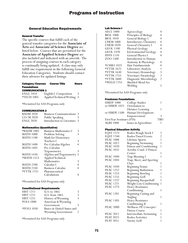### General Education Requirements

### General Transfer

The specific courses that fulfill each of the general transfer categories for the **Associate of Arts** and **Associate of Science Degree** are listed below. Courses that are permitted for the **Associate of Applied Science Degree** are also included and indicated with an asterisk. The process of assigning courses in each category is continually being updated. A class may only fulfill one requirement in the following General Education Categories. Students should contact their advisors for updated listings.

| <b>Category/Courses</b> | Course Title | Hours |
|-------------------------|--------------|-------|
| <b>Foundations</b>      |              |       |
| <b>COMMUNICATION 1</b>  |              |       |
|                         |              |       |

| <b>ENGL 1010</b>  | English I: Composition      |  |
|-------------------|-----------------------------|--|
| <b>*TECH 1005</b> | Applied Technical Writing 3 |  |

\*Permitted for AAS Programs only

#### COMMUNICATION 2

| <b>BADM 1020</b> | <b>Business Communications 3</b> |   |
|------------------|----------------------------------|---|
| $CO/M$ 2020      | Public Speaking                  | 3 |
| <b>ENGL 2020</b> | Introduction to Literature 3     |   |

#### Mathematics (Quantitative)

| *BADM 1005       | <b>Business Mathematics I</b> |   |
|------------------|-------------------------------|---|
| <b>MATH 1000</b> | Problem Solving               |   |
| <b>MATH 1100</b> | Math for Elementary           |   |
|                  | Teachers I                    | 3 |
| <b>MATH 1400</b> | Pre-Calculus Algebra          |   |
| <b>MATH 1405</b> | Pre-Calculus                  |   |
|                  | Trigonometry                  |   |
| <b>MATH 1450</b> | Algebra and Trigonometry      |   |
| *MATH 1515       | Applied Technical             |   |
|                  | Mathematics                   | 3 |
| <b>MATH 2200</b> | Calculus I                    |   |
| <b>MATH 2350</b> | <b>Business Calculus</b>      |   |
| *VTTK 1751       | Pharmaceutical                |   |
|                  | Calculations                  |   |
|                  |                               |   |

\*Permitted for AAS Programs only

#### Constitutional Requirements

| <b>HIST 1211</b> | U.S. to 1865                | 3 |
|------------------|-----------------------------|---|
| <b>HIST 1221</b> | U.S. from 1865              | 3 |
| <b>HIST 1251</b> | History of Wyoming          | 3 |
| <b>POLS 1000</b> | American & Wyoming          |   |
|                  | Government                  | 2 |
| *POLS 1050       | Basics in United States and |   |
|                  | <b>Wyoming Government</b>   |   |
|                  |                             |   |

\*Permitted for AAS Programs only

#### Lab Science I

| <b>AECL 1000</b> | Agroecology                   |   |
|------------------|-------------------------------|---|
| <b>BIOL 1000</b> | Principles of Biology         |   |
| <b>BIOL 1010</b> | General Biology I             | 4 |
| <b>CHEM 1000</b> | <b>Introductory Chemistry</b> | 4 |
| <b>CHEM 1020</b> | General Chemistry I           | 4 |
| <b>GEOL 1100</b> | Physical Geology              |   |
| <b>GEOL 1470</b> | <b>Environmental Geology</b>  |   |
| <b>PHYS 1110</b> | <b>General Physics I</b>      |   |
| ZOO 1500         | <b>Introduction to Human</b>  |   |
|                  | Anatomy & Physiology          | 4 |
| *CSMO 1025       | Hair Fundamentals             | 4 |
| *VTTK 1625       | Laboratory Analysis           |   |
| *VTTK 1630       | Veterinary Hematology         | 3 |
| *VTTK 1755       | Veterinary Parasitology       | 2 |
| *VTTK 2600       | Diagnostic Microbiology       | 2 |
| *WELD 1755       | Shielded Metal Arc            |   |
|                  | Welding                       |   |

\*Permitted for AAS Programs only

#### Freshman Foundations

| <b>HMDV 1000</b>          | College Studies                 |     |
|---------------------------|---------------------------------|-----|
| or HMDV 1025              | Orientation to                  |     |
|                           | Distance Learning               |     |
|                           | or HMDV 1500 Human Development: |     |
|                           | Empowerment                     | ζ   |
| First Year Seminars (FYS) |                                 | TRD |
| <b>AGRI 1000</b>          | Issues in Agriculture           |     |

#### Physical Education Activity

| <b>EQST 1725</b> | Rodeo Rough Stock I          | 2              |
|------------------|------------------------------|----------------|
| <b>EQST 1740</b> | <b>Rodeo Timed Events</b>    | $\overline{c}$ |
| <b>PEAC 1008</b> | Lifetime Sports              | 1              |
| <b>PEAC 1012</b> | Beginning Swimming           | 1              |
| <b>PEAC 1020</b> | Fitness and Conditioning     | 1              |
| <b>PEAC 1032</b> | Aerobic Cond. I/Fitness      |                |
|                  | Center                       | 1              |
| <b>PEAC 1040</b> | Trap Shooting I              | 1              |
| <b>PEAC 1044</b> | Trap, Skeet, and Sporting    |                |
|                  | Clays                        | 1              |
| <b>PEAC 1050</b> | Beginning Tennis             | 1              |
| <b>PEAC 1252</b> | Beginning Badminton          | 1              |
| <b>PEAC 1253</b> | <b>Beginning Bowling</b>     | 1              |
| <b>PEAC 1255</b> | Beginning Golf               | 1              |
| <b>PEAC 1257</b> | Beginning Racquetball        | 1              |
| <b>PEAC 1271</b> | Weight Loss Conditioning     | 1              |
| <b>PEAC 1273</b> | Heavy Resistance             |                |
|                  | Conditioning                 | 1              |
| <b>PEAC 1281</b> | Beginning Casting and        |                |
|                  | Angling                      | 1              |
| <b>PEAC 1305</b> | <b>Heavy Resistance</b>      |                |
|                  | Conditioning II              | 1              |
| <b>PEAC 2000</b> | Wellness: PE Concepts/       |                |
|                  | Fitness Course               | 1              |
| <b>PEAC 2011</b> | <b>Intermediate Swimming</b> | 1              |
| <b>PEAT 2025</b> | Rodeo Activities             | 1              |
| <b>PEAT 2051</b> | Varsity Golf                 | 1              |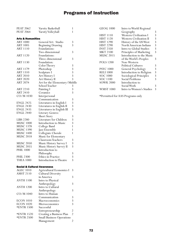| <b>PEAT 2062</b>                       | Varsity Basketball               | 1                       |
|----------------------------------------|----------------------------------|-------------------------|
| <b>PEAT 2064</b>                       | Varsity Volleyball               | 1                       |
|                                        |                                  |                         |
| <b>Arts &amp; Humanities</b>           |                                  |                         |
| <b>ART 1000</b>                        | General Art: Studio              | 3                       |
| <b>ART 1005</b>                        |                                  | 3                       |
|                                        | <b>Beginning Drawing</b>         |                         |
| <b>ART 1110</b>                        | Foundations:                     |                         |
|                                        | Two-dimensional                  | 3                       |
| <b>ART 1120</b>                        | Foundations:                     |                         |
|                                        | Three-dimensional                | 3                       |
| <b>ART 1130</b>                        | Foundation:                      |                         |
|                                        | Color Theory                     | 3                       |
| ART 1179                               | Photoshop                        | 3                       |
| <b>ART 1310</b>                        | Sculpture I                      | 3                       |
| ART 2010                               | Art History I                    | 3                       |
| <b>ART 2020</b>                        | Art History II                   | 3                       |
| <b>ART 2074</b>                        | Art for the Elementary/Middle    |                         |
|                                        | School Teacher                   | 3                       |
| <b>ART 2210</b>                        | Painting I                       | 3                       |
| <b>ART 2410</b>                        | Ceramics                         | 3                       |
| CO/M 1030                              | Interpersonal                    |                         |
|                                        | Communication                    | 3                       |
| <b>ENGL 2425</b>                       |                                  | 3                       |
| <b>ENGL 2430</b>                       | Literatures in English I         | 3                       |
|                                        | Literatures in English II        | 3                       |
| <b>ENGL 2435</b>                       | Literatures in English III       |                         |
| <b>ENGL 2440</b>                       | Literary Genres:                 |                         |
|                                        | Short Story                      | 3                       |
| <b>LIBS 2280</b>                       | Literature for Children          | 3                       |
| <b>MUSC 1000</b>                       | Introduction to Music            | 3                       |
| <b>MUSC 1378</b>                       | College Band                     | 1                       |
| <b>MUSC 1390</b>                       | Jazz Ensemble                    | 1                       |
| <b>MUSC 1400</b>                       | Collegiate Chorale               | 1                       |
| <b>MUSC 2018</b>                       | Music for Elementary             |                         |
|                                        | Classroom Teachers               | 3                       |
| <b>MUSC 2050</b>                       | Music History Survey I           | 3                       |
| <b>MUSC 2055</b>                       | Music History Survey II          | 3                       |
| <b>PHIL 1000</b>                       | Introduction to                  |                         |
|                                        | Philosophy                       | 3                       |
| <b>PHIL 2300</b>                       | Ethics in Practice               | 3                       |
| <b>THEA 1000</b>                       | Introduction to Theatre          | 3                       |
|                                        |                                  |                         |
| <b>Social &amp; Cultural Awareness</b> |                                  |                         |
| <b>AGEC 1010</b>                       | Agricultural Economics I         | 3                       |
| <b>AMST 2110</b>                       |                                  |                         |
|                                        | <b>Cultural Diversity</b>        |                         |
|                                        | in America                       | 3                       |
| ANTH 1100                              | Intro to Physical                |                         |
|                                        | Anthropology                     | 3                       |
| <b>ANTH 1200</b>                       | Intro to Cultural                |                         |
|                                        | Anthropology                     | 3                       |
| CO/M 1040                              | Intro to Human                   |                         |
|                                        | Communication                    | 3                       |
| <b>ECON 1010</b>                       | Macroeconomics                   | 3                       |
| <b>ECON 1020</b>                       | Microeconomics                   | 3                       |
| <b>*ENTR 1500</b>                      | Successful                       |                         |
|                                        | Entrepreneurship                 | 2                       |
| *ENTR 1520                             | Creating a Business Plan         | $\overline{2}$          |
| <b>*ENTR 2500</b>                      | <b>Small Business Operations</b> |                         |
|                                        | Management                       | $\overline{\mathbf{c}}$ |
|                                        |                                  |                         |

|                                | 3                                                                                                                                            |
|--------------------------------|----------------------------------------------------------------------------------------------------------------------------------------------|
| <b>Western Civilization I</b>  | 3                                                                                                                                            |
| <b>Western Civilization II</b> | 3                                                                                                                                            |
| History of the US West         | 3                                                                                                                                            |
| North American Indians         | 3                                                                                                                                            |
| Intro to Global Studies        | 3                                                                                                                                            |
|                                | 3                                                                                                                                            |
| Introduction to the Music      |                                                                                                                                              |
| of the World's Peoples         | 3                                                                                                                                            |
| Non-Western                    |                                                                                                                                              |
| <b>Political Cultures</b>      | 3                                                                                                                                            |
|                                | 3                                                                                                                                            |
|                                | 3                                                                                                                                            |
|                                | 3                                                                                                                                            |
| Social Problems                | 3                                                                                                                                            |
| Introduction to                |                                                                                                                                              |
| Social Work                    | 3                                                                                                                                            |
| Intro to Women's Studies       | 3                                                                                                                                            |
|                                | Intro to World Regional<br>Geography<br>Principles of Marketing<br>General Psychology<br>Introduction to Religion<br>Sociological Principles |

\*Permitted for AAS Programs only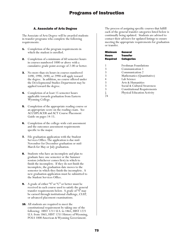### A. Associate of Arts Degree

The Associate of Arts Degree will be awarded students in transfer programs who complete the following requirements:

- **1.** Completion of the program requirements in which the student is enrolled.
- **2.** Completion of a minimum of 60 semester hours in courses numbered 1000 or above with a cumulative grade point average of 2.00 or better.
- **3.** No more than six hours in courses numbered 1490, 1990, 2490, or 2990 will apply toward the degree. In addition, no course offered under the Developmental Studies Department may be applied toward the degree.
- 4. Completion of at least 15 semester hours applicable towards graduation from Eastern Wyoming College.
- **5.** Completion of the appropriate reading course or an appropriate score on the reading exam. See ACCUPLACER and ACT Course Placement Guide on pages 14-15.
- **6.** Completion of the college-wide exit assessment and the outcomes assessment requirements specific to the major.
- 7. File graduation application with the Student Services Office. The application is due mid-November for December graduation or mid-March for May or July graduation.
- **8.** Students who have an incomplete and plan to graduate have one semester or the Summer session (whichever comes first) in which to finish the incomplete. If they do not finish the incomplete, the graduation date moves to the semester in which they finish the incomplete. A new graduation application must be submitted to the Student Services Office.
- 9. A grade of either "S" or "C" or better must be received in each course used to satisfy the general transfer requirements below. A grade of "S" may be earned through institutional challenge, CLEP, or advanced placement examinations.
- **10.** All students are required to meet the constitutional requirement by taking one of the following: HIST 1211 U.S. to 1865, HIST 1221 U.S. from 1865, HIST 1251 History of Wyoming, POLS 1000 American & Wyoming Government.

The process of assigning specific courses that fulfill each of the general transfer categories listed below is continually being updated. Students are advised to contact their advisors for updated listings to ensure meeting the appropriate requirements for graduation or transfer.

| Minimum<br>Hours<br><b>Required</b> | General<br><b>Transfer</b><br><b>Categories</b> |
|-------------------------------------|-------------------------------------------------|
| 1                                   | Freshman Foundations                            |
| 3                                   | Communication 1                                 |
| 3                                   | Communication 2                                 |
| 3                                   | Mathematics (Quantitative)                      |
| 4                                   | Lab Science                                     |
| 3                                   | Arts & Humanities                               |
| 3                                   | Social & Cultural Awareness                     |
| 3                                   | <b>Constitutional Requirements</b>              |
|                                     | <b>Physical Education Activity</b>              |
|                                     |                                                 |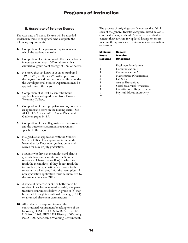### B. Associate of Science Degree

The Associate of Science Degree will be awarded students in transfer programs who complete the following requirements:

- **1.** Completion of the program requirements in which the student is enrolled.
- **2.** Completion of a minimum of 60 semester hours in courses numbered 1000 or above with a cumulative grade point average of 2.00 or better.
- **3.** No more than six hours in courses numbered 1490, 1990, 2490, or 2990 will apply toward the degree. In addition, no course offered under the Developmental Studies Department may be applied toward the degree.
- Completion of at least 15 semester hours applicable towards graduation from Eastern Wyoming College.
- **5.** Completion of the appropriate reading course or an appropriate score on the reading exam. See ACCUPLACER and ACT Course Placement Guide on pages 14-15.
- **6.** Completion of the college-wide exit assessment and the outcomes assessment requirements specific to the major.
- 7. File graduation application with the Student Services Office. The application is due mid-November for December graduation or mid-March for May or July graduation.
- Students who have an incomplete and plan to graduate have one semester or the Summer session (whichever comes first) in which to finish the incomplete. If they do not finish the incomplete, the graduation date moves to the semester in which they finish the incomplete. A new graduation application must be submitted to the Student Services Office.
- 9. A grade of either "S" or "C" or better must be received in each course used to satisfy the general transfer requirements below. A grade of "S" may be earned through institutional challenge, CLEP, or advanced placement examinations.
- **10.** All students are required to meet the constitutional requirement by taking one of the following: HIST 1211 U.S. to 1865, HIST 1221 U.S. from 1865, HIST 1251 History of Wyoming, POLS 1000 American & Wyoming Government.

The process of assigning specific courses that fulfill each of the general transfer categories listed below is continually being updated. Students are advised to contact their advisors for updated listings to ensure meeting the appropriate requirements for graduation or transfer.

| Minimum         | General                            |
|-----------------|------------------------------------|
| Hours           | <b>Transfer</b>                    |
| <b>Required</b> | <b>Categories</b>                  |
|                 |                                    |
|                 | Freshman Foundations               |
| 3               | Communication 1                    |
| 3               | Communication 2                    |
| 3               | Mathematics (Quantitative)         |
| 4               | Lab Science                        |
| 3               | Arts & Humanities                  |
| 3               | Social & Cultural Awareness        |
| 3               | <b>Constitutional Requirements</b> |
|                 | <b>Physical Education Activity</b> |
| 24              |                                    |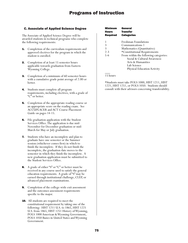### C. Associate of Applied Science Degree

The Associate of Applied Science Degree will be awarded students in technical programs who complete the following requirements:

- **1.** Completion of the curriculum requirements and approved electives for the program in which the student is enrolled.
- 2. Completion of at least 15 semester hours applicable towards graduation from Eastern Wyoming College.
- **3.** Completion of a minimum of 60 semester hours with a cumulative grade point average of 2.00 or better.
- 4. Students must complete all program requirements, including electives, with a grade of "C" or better.
- **5.** Completion of the appropriate reading course or an appropriate score on the reading exam. See ACCUPLACER and ACT Course Placement Guide on pages 14-15.
- 6. File graduation application with the Student Services Office. The application is due mid-November for December graduation or mid-March for May or July graduation.
- 7. Students who have an incomplete and plan to graduate have one semester or the Summer session (whichever comes first) in which to finish the incomplete. If they do not finish the incomplete, the graduation date moves to the semester in which they finish the incomplete. A new graduation application must be submitted to the Student Services Office.
- 8. A grade of either "S" or "C" or better must be received in any course used to satisfy the general education requirements. A grade of "S" may be earned through institutional challenge, CLEP, or advanced placement examinations.
- 9. Completion of the college-wide exit assessment and the outcomes assessment requirements specific to the major.
- **10.** All students are required to meet the constitutional requirement by taking one of the following: HIST 1211 U.S. to 1865, HIST 1221 U.S. from 1865, HIST 1251 History of Wyoming, POLS 1000 American & Wyoming Government, POLS 1050 Basics in United States and Wyoming Government.

| <b>Minimum</b><br><b>Hours</b> | General<br><b>Transfer</b>            |
|--------------------------------|---------------------------------------|
| <b>Required</b>                | <b>Categories</b>                     |
|                                | Freshman Foundations                  |
| 3                              | Communications 1                      |
| 3                              | Mathematics (Quantitative)            |
| $2 - 3$                        | *Constitutional Requirements          |
| $5 - 6$                        | From within the following categories: |
|                                | Social & Cultural Awareness           |
|                                | Arts & Humanities                     |
|                                | Lab Science                           |
|                                | Physical Education Activity           |

 $\overline{\phantom{a}}$ 15 hours

\*Students must take POLS 1000, HIST 1211, HIST 1221, HIST 1251, or POLS 1050. Students should consult with their advisors concerning transferability.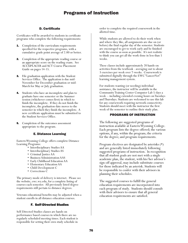### D. Certificate

Certificates will be awarded to students in certificate programs who complete the following requirements:

- **1.** Completion of the curriculum requirements specified for the respective programs, with a cumulative grade point average of 2.00 or better.
- **2.** Completion of the appropriate reading course or an appropriate score on the reading exam. See ACCUPLACER and ACT Course Placement Guide on pages 14-15.
- 3. File graduation application with the Student Services Office. The application is due mid-November for December graduation or mid-March for May or July graduation.
- Students who have an incomplete and plan to graduate have one semester or the Summer session (whichever comes first) in which to finish the incomplete. If they do not finish the incomplete, the graduation date moves to the semester in which they finish the incomplete. A new certificate application must be submitted to the Student Services Office.
- **5.** Completion of the outcomes assessment appropriate to the program.

### E. Distance Learning

Eastern Wyoming College offers complete Distance Learning Programs:

- Interdisciplinary Studies AA
- Interdisciplinary Studies AS
- Criminal Justice AA
- Business Administration AAS
- Early Childhood Education AA
- Elementary Education AA
- Child Development C
- Corrections C

The primary mode of delivery is internet. Please see the website, ewc.wy.edu, for a complete listing of courses each semester. All previously listed degree requirements still pertain to distance degrees.

Veterans educational benefits may be adjusted when a student enrolls in all distance education courses.

### F. Self-Directed Studies

Self-Directed Studies classes are hands-on performance based courses in which there are no regularly scheduled meeting times. Each student is responsible for setting their own study schedule in

order to complete the required coursework in the allotted time.

While students are allowed to do their work when and where they like, all assignments are due on (or before) the final regular day of the semester. Students are encouraged to get to work early and be finished with the course as soon as possible. It's not realistic to think you can get all the work done in less than 5 weeks.

These classes include approximately 20 hands-on activities from the textbook - averaging out to about 3 exercises per week over 7-weeks. Coursework is submitted digitally through the EWC "LancerNet" learning management system.

For students wanting (or needing) individual assistance, the instructor will be available in the Community Training Center Computer Lab 5-days a week -- including extended evening hours on Tuesdays and Thursdays. Students are welcomed to use this lab for any coursework requiring network connectivity. Students should meet with the instructor the first week of the semester to outline their study plan.

### PROGRAMS OF INSTRUCTION

The following are suggested programs of instruction available at Eastern Wyoming College. Each program lists the degree offered; the various options, if any, within the program; the criteria for the degree; and program requirements.

Program electives are designated by asterisks (\*) and are generally listed immediately following suggested programs of instruction. In recognition that all student goals are not met with a single academic plan, the student, with his/her advisor's sign-off approval, may include substitute courses for those indicated by an asterisk. Students will be responsible to confer with their advisors in planning their schedules.

The suggested courses to fulfill the general education requirements are incorporated into each program of study. Students should consult with their advisors to ensure that all general education requirements are satisfied.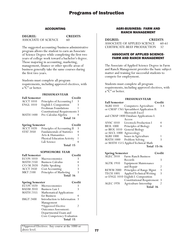### ACCOUNTING

**DEGREE: CREDITS**

ASSOCIATE OF SCIENCE 60

The suggested accounting/business administrative program allows the student to earn an Associate of Science Degree while completing the first two years of college work toward a bachelor's degree. Those majoring in accounting, marketing, management, finance or other specific areas of business generally take the same courses during the first two years.

Students must complete all program requirements, including approved electives, with a "C" or better.

### **FRESHMAN YEAR**

| <b>Fall Semester</b> | Credit                               |   |
|----------------------|--------------------------------------|---|
| <b>ACCT 1010</b>     | Principles of Accounting I           | 3 |
| <b>ENGL 1010</b>     | English I: Composition               | 3 |
|                      | Freshman Foundations                 |   |
|                      | <b>Constitutional Requirements 3</b> |   |
| <b>MATH 1400</b>     | Pre-Calculus Algebra                 |   |
|                      | Total 14                             |   |

| <b>Spring Semester</b> |                                    | Credit |
|------------------------|------------------------------------|--------|
| $\widehat{ACCT}$ 1020  | Principles of Accounting II        | 3      |
| <b>STAT 2050</b>       | <b>Fundamentals of Statistics</b>  |        |
|                        | Arts & Humanities                  |        |
|                        | <b>Physical Education Activity</b> |        |
|                        | Lab Science                        |        |
|                        | Total 15                           |        |

#### **SOPHOMORE YEAR**

| <b>Fall Semester</b> |                          | Credit |
|----------------------|--------------------------|--------|
| <b>ECON 1010</b>     | Macroeconomics           |        |
| <b>MATH 2350</b>     | <b>Business Calculus</b> |        |
| $CO/M$ 2020          | Public Speaking          | 3      |
| <b>ACCT 2450</b>     | Cost Accounting          | 3      |
| <b>MKT 2100</b>      | Principles of Marketing  | 3      |
|                      | Total 16                 |        |

| <b>Spring Semester</b> |                             | Credit |
|------------------------|-----------------------------|--------|
| <b>ECON 1020</b>       | Microeconomics              | 3      |
| <b>BADM 2010</b>       | <b>Business Law I</b>       | 3      |
| MATH 2355              | Mathematical Applications   |        |
|                        | for Business                | 4      |
| <b>IMGT 2400</b>       | Introduction to Information | -3     |
|                        | Management                  |        |
|                        | *Approved Elective          |        |
|                        | Outcomes Assessment:        |        |
|                        | Departmental Exam and       |        |
|                        | Core Competency Evaluation  |        |
|                        | Total 15                    |        |

\*Approved Electives: Any course at the 1000 or above level.

### AGRI-BUSINESS: FARM AND RANCH MANAGEMENT

**DEGREE: CREDITS**<br>ASSOCIATE OF APPLIED SCIENCE 60-61 ASSOCIATE OF APPLIED SCIENCE 60-<br>CERTIFICATE-BEEF PRODUCTION 32 CERTIFICATE-BEEF PRODUCTION

### ASSOCIATE OF APPLIED SCIENCE-FARM AND RANCH MANAGEMENT

The Associate of Applied Science Degree in Farm and Ranch Management provides the basic subject matter and training for successful students to compete for employment.

Students must complete all program requirements, including approved electives, with a "C" or better.

### **FRESHMAN YEAR**

| <b>Fall Semester</b> |                                          | Credit |
|----------------------|------------------------------------------|--------|
| <b>AGRI 1010</b>     | Computers: Agriculture                   | $3-4$  |
|                      | or CMAP 1765 Spreadsheet Application II: |        |
|                      | Microsoft Excel                          |        |
|                      | and CMAP 1800 Database Applications I:   |        |
|                      | Access                                   |        |
| <b>ANSC 1010</b>     | Livestock Production I                   |        |
| <b>BIOL 1000</b>     | Principles of Biology                    | 4      |
| or BIOL $1010$       | General Biology                          |        |
| or AECL 1000         | Agroecology                              |        |
| <b>AGRI 1000</b>     | Issues in Agriculture                    |        |
| <b>MATH 1000</b>     | Problem Solving                          | 3      |
|                      | or MATH 1515 Applied Technical Math      |        |
|                      | <b>Total 15-16</b>                       |        |

| <b>Spring Semester</b> |                                     | Credit        |
|------------------------|-------------------------------------|---------------|
| <b>AGEC 2010</b>       | Farm-Ranch Business                 |               |
|                        | Records                             | 3             |
| <b>AGTK 1910</b>       | <b>Equipment Maintenance</b>        |               |
|                        | and Repair                          | $\mathcal{P}$ |
| <b>REWM 2000</b>       | Principles of Range Mgmt            | 3             |
| <b>TECH 1005</b>       | Applied Technical Writing           | 3             |
|                        | or ENGL 1010 English I: Composition |               |
|                        | <b>Constitutional Requirement</b>   | -3            |
| <b>AGEC 1970</b>       | Agriculture Internship              |               |
|                        | Total 16                            |               |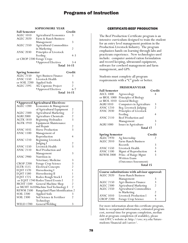### **SOPHOMORE YEAR**

| <b>Fall Semester</b>      |                                 | Credit             |
|---------------------------|---------------------------------|--------------------|
| <b>AGEC 1010</b>          | <b>Agricultural Economics</b>   | 3                  |
| <b>AGEC 2020</b>          | Farm & Ranch Business           |                    |
|                           | Management                      | 3                  |
| <b>AGEC 2350</b>          | <b>Agricultural Commodities</b> |                    |
|                           | in Marketing                    | 2                  |
| <b>ANSC 2030</b>          | Principles of Livestock         |                    |
|                           | Feeding                         | $4-3$              |
| or CROP 2200 Forage Crops |                                 |                    |
|                           | *Approved Electives             | $3-4$              |
|                           |                                 | <b>Total 14-15</b> |

| <b>Spring Semester</b> |                              | Credit             |
|------------------------|------------------------------|--------------------|
| <b>AGEC 2150</b>       | <b>Agri-Business Finance</b> | 3                  |
| <b>ANSC 1550</b>       | Livestock Health             |                    |
| or SOIL 2200           | <b>Applied Soils</b>         | 3                  |
| <b>AGEC 2395</b>       | AG Capstone Project          | $\mathcal{D}$      |
|                        | *Approved Electives          | $6 - 7$            |
|                        |                              | <b>Total 14-15</b> |

### **\*Approved Agricultural Electives:**

| <b>AGEC 1200</b> | Economics & Management                |                                            |
|------------------|---------------------------------------|--------------------------------------------|
|                  | of Agricultural Equipment             |                                            |
| AGEC 2300        | Agricultural Marketing                |                                            |
| AGRI 2000        | <b>Agriculture Chemicals</b>          | $\begin{array}{c} 2 \\ 2 \\ 3 \end{array}$ |
| <b>AGTK 1810</b> | Beginning Hydraulics                  |                                            |
| AGTK 1910        | Equipment Maintenance                 |                                            |
|                  | and Repair                            |                                            |
| <b>ANSC 1035</b> | <b>Horse Production</b>               | $\frac{2}{3}$                              |
| <b>ANSC 1100</b> | Management of                         |                                            |
|                  | Reproduction                          | 4                                          |
| ANSC 1210        | <b>Beginning Livestock</b>            |                                            |
|                  | Judging I                             |                                            |
| <b>ANSC 1550</b> | Livestock Health                      | $\frac{2}{3}$                              |
| ANSC 2110        | Beef Production and                   |                                            |
|                  | Management                            | 3                                          |
| <b>ANSC 2900</b> | Nutrition in                          |                                            |
|                  | Veterinary Medicine                   | 3                                          |
| CROP 2200        | Forage Crop Science                   | 3                                          |
| <b>ELTR 1515</b> | <b>Electrical Concepts</b>            | $\frac{2}{1}$                              |
| <b>EQST 1570</b> | Horseshoeing I                        |                                            |
| <b>EQST 1580</b> | Horseshoeing II                       | 1                                          |
| <b>EQST 1725</b> | Rodeo Rough Stock I                   | $\overline{\mathbf{c}}$                    |
|                  | or EQST 1740 Rodeo Timed Events I     | $\frac{2}{2}$                              |
| <b>MCHT 1500</b> | General Machine Shop                  |                                            |
|                  | or MCHT 1610Machine Tool Technology I | $\overline{2}$                             |
| REWM 2500        | Rangeland Plant Identification 2      |                                            |
| SOIL 2200        | <b>Applied Soils</b>                  | 3                                          |
| SOIL 2300        | Soil Science & Fertilizer             | $\overline{2}$                             |
|                  | Technology                            |                                            |
| <b>WELD 1700</b> | <b>General Welding</b>                | 3                                          |

### CERTIFICATE-BEEF PRODUCTION

The Beef Production Certificate program is an intensive curriculum designed to train the student for an entry level management position in the Production Livestock Industry. The program emphasizes hands-on learning through labs and practicum experience. New technologies used include: computer assisted ration formulation and record keeping, ultrasound equipment, software for cowherd management and farm management, and GPS.

Students must complete all program requirements with a "C" grade or better.

#### **FRESHMAN YEAR**

| <b>Fall Semester</b>   |                          | Credit         |
|------------------------|--------------------------|----------------|
| AECL 1000              | Agroecology              | 4              |
| or BIOL 1000           | Principles of Biology    |                |
| or BIOL 1010           | General Biology          |                |
| <b>AGRI 1010</b>       | Computers in Agriculture | 3              |
| <b>ANSC 1210</b>       | Beg. Livestock Judging   | $\overline{2}$ |
| <b>ANSC 2030</b>       | Principles of Livestock  |                |
|                        | Feeding                  | 4              |
| ANSC 2110              | Beef Production and      |                |
|                        | Management               | 3              |
| <b>AGRI 1000</b>       | Issues in Agriculture    | 1              |
|                        | Total 17                 |                |
| <b>Spring Semester</b> |                          | Credit         |
| <b>AGEC 1970</b>       | Ag Internship            | 2              |
| <b>AGEC 2010</b>       | Farm-Ranch Business      |                |
|                        | Records                  | 3              |
| <b>ANSC 1550</b>       | Livestock Health         | 3              |
| <b>ANSC 1100</b>       | Mgmt of Reproduction     | 4              |
| <b>REWM 2000</b>       | Princ. of Range Mgmt     | 3              |
|                        | Written Exam             |                |
|                        | (Outcomes Assessment)    |                |
|                        | Total 15                 |                |

| Course substitutions with advisor approval: |                               |   |  |
|---------------------------------------------|-------------------------------|---|--|
| <b>AGEC 2020</b>                            | Farm-Ranch Business           |   |  |
|                                             | Management                    |   |  |
| <b>AGEC 2150</b>                            | <b>Agri-Business Finance</b>  | 3 |  |
| <b>AGEC 2300</b>                            | <b>Agricultural Marketing</b> |   |  |
| <b>AGEC 2350</b>                            | Agricultural Commodities      |   |  |
|                                             | in Marketing                  |   |  |
| <b>ANSC 1010</b>                            | <b>Livestock Production I</b> | 4 |  |
| <b>CROP 2200</b>                            | Forage Crop Science           | 3 |  |

For more information about this certificate program, links to occupational information, estimated program cost, normal time for program completion, median debt at program completion (if available), please visit EWC's website at: http://ewc.wy.edu/futurestudents/financial-aid/career/.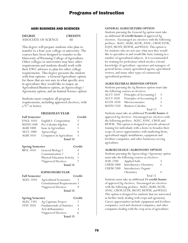### AGRI BUSINESS AND SCIENCES

**DEGREE CREDITS**

ASSOCIATE OF SCIENCE 60

This degree will prepare students who plan to transfer to a four-year college or university. The courses have been designed to transfer to the University of Wyoming College of Agriculture. Other colleges or universities may have other requirements and students should work with their EWC advisors to plan for other college requirements. This degree presents the student with four options: a General Agriculture option for those that are not sure in what specific area in agriculture they would like to major, an Agricultural Business option, an Agroecology/ Agronomy option, and an Animal Science option.

Students must complete all program requirements, including approved electives, with a "C" or better.

### **FRESHMAN YEAR**

| <b>Fall Semester</b>   |                                      | Credit       |
|------------------------|--------------------------------------|--------------|
| <b>ENGL 1010</b>       | English I: Composition               | 3            |
| <b>MATH 1400</b>       | Pre-Calculus Algebra                 | 4            |
| <b>AGRI 1000</b>       | Issue in Agriculture                 | $\mathbf{1}$ |
| <b>AECL 1000</b>       | Agroecology                          | 4            |
| <b>AGRI 1010</b>       | Computers in Agriculture             | 3            |
|                        | <b>Total 15</b>                      |              |
| <b>Spring Semester</b> |                                      | Credit       |
| <b>BIOL 1010</b>       | General Biology I                    | 4            |
|                        | Communication 2                      | 3            |
|                        | Physical Education Activity          | $\mathbf{1}$ |
|                        | *Approved Electives                  | 7            |
|                        | <b>Total 15</b>                      |              |
|                        | <b>SOPHOMOREYEAR</b>                 |              |
| <b>Fall Semester</b>   |                                      | Credit       |
| <b>AGEC 1010</b>       | <b>Agricultural Economics</b>        | 3            |
|                        | <b>Constitutional Requirements 3</b> |              |
|                        | *Approved Electives                  | 9            |
|                        | <b>Total 15</b>                      |              |
| <b>Spring Semester</b> |                                      | Credit       |
| <b>AGEC 2395</b>       | Ag Capstone Project                  | 2            |
| <b>STAT 2050</b>       | <b>Fundamentals of Statistics</b>    | 4            |
|                        | Arts &Humanities                     | 3            |

\*Approved Electives 6

**Total 15**

### **GENERAL AGRICULTURE OPTION**

Students pursuing the General Ag option must take an additional **22 credit hours** of approved Ag electives. Encouraged are electives with the following prefixes: AGEC, AGRI, AGTK, ANSC, CROP, ELTR, EQST, MCHT, REWM, and WELD. This option is for students who are not sure what area they would like to specialize in and would like basic training in a number of agricultural subjects. It is recommended for training for professions which involve a broad knowledge of agriculture–operators and managers of general farms, county agricultural agents, agricultural writers, and many other types of commercial agricultural positions.

### **AGRICULTURAL BUSINESS OPTION**

Students pursuing the Ag Business option must take the following courses as electives:

| <b>ACCT 1010</b> | Principles of Accounting I  | 3             |
|------------------|-----------------------------|---------------|
| <b>ACCT 1020</b> | Principles of Accounting II | 3             |
| <b>ECON 1020</b> | Microeconomics              | $\mathcal{R}$ |
| <b>MATH 2350</b> | <b>Business Calculus</b>    | 4             |
|                  | Total 13                    |               |

Students must take an additional **9 credit hours** of approved Ag electives. Encouraged are electives with the following prefixes: AGEC, ANSC, CROP, and REWM. This option is designed to provide advanced training for individuals with a desire to broaden their scope of career opportunities with marketing firms, agricultural supply installations, equipment and fertilizer companies, and other businesses serving agriculture.

### **AGROECOLOGY/AGRONOMY OPTION**

Students pursuing the Agroecology/Agronomy option must take the following courses as electives: SOIL 2200 Applied Soils 3

| <b>CHEM 1000</b> | Introductory Chemistry | 4 |
|------------------|------------------------|---|
| <b>CHEM 2300</b> | Introductory Organic   |   |
|                  | Chemistry              | 4 |
|                  | Total 11               |   |

Students must take an additional **11 credit hours** of approved Ag electives. Encouraged are electives with the following prefixes: AGEC, AGRI, AGTK, ANSC, CROP, ELTR, MCHT, REWM, and WELD. This option is designed for students that are interested in further study dealing with crops and agronomy. Career opportunities include equipment and fertilizer companies, seed and chemical companies, and other companies dealing with the crop areas of agriculture.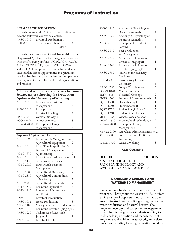### **ANIMAL SCIENCE OPTION**

Students pursuing the Animal Science option must take the following courses as electives:

ANSC 1010 Livestock Production I 4 CHEM 1000 Introductory Chemistry 4

Total 8

Students must take an additional **14 credit hours** of approved Ag electives. Encouraged are electives with the following prefixes: AGEC, AGRI, AGTK, ANSC, CROP, ELTR, EQST, MCHT, REWM, and WELD. This option is designed for students interested in career opportunities in agriculture that involve livestock, such as feed and supplement dealers, veterinarians, livestock feeding operations, and ranches.

### **Additional requirements/electives for Animal Science majors choosing the Production Option at the University of Wyoming:**

| <b>AGEC 2020</b> | Farm-Ranch Business |   |
|------------------|---------------------|---|
|                  | Management          | 3 |
| <b>ANSC 2030</b> | Principles of       |   |
|                  | Livestock Feeding   |   |
| <b>BIOL 2020</b> | General Biology II  | 4 |
| <b>ECON 1020</b> | Microeconomics      | 3 |
| <b>REWM 2000</b> | Principles of Range |   |
|                  | Management          |   |

\*Approved Agriculture Electives

| <b>FF</b><br>ా   |                                 |                |
|------------------|---------------------------------|----------------|
| <b>AGEC 1200</b> | Economics & Management of       |                |
|                  | Agricultural Equipment          | 2              |
| <b>AGEC 1510</b> | Farm/Ranch Application &        |                |
|                  | Review of Management            | 3              |
| <b>AGEC 1970</b> | Ag Internship                   | $\overline{2}$ |
| <b>AGEC 2010</b> | Farm-Ranch Business Records 3   |                |
| <b>AGEC 2150</b> | <b>Agri-Business Finance</b>    | 3              |
| <b>AGEC 2020</b> | Farm-Ranch Business             |                |
|                  | Management                      | 3              |
| <b>AGEC 2300</b> | <b>Agricultural Marketing</b>   | $\mathfrak{D}$ |
| <b>AGEC 2350</b> | <b>Agricultural Commodities</b> |                |
|                  | in Marketing                    | 2              |
| <b>AGRI 2000</b> | Agricultural Chemicals          | $\overline{c}$ |
| <b>AGTK 1810</b> | Beginning Hydraulics            | 3              |
| <b>AGTK 1910</b> | <b>Equipment Maintenance</b>    |                |
|                  | and Repair                      | 2              |
| <b>ANSC 1010</b> | <b>Livestock Production I</b>   | $\overline{4}$ |
| <b>ANSC 1035</b> | Horse Production                | 3              |
| <b>ANSC 1100</b> | Management of Reproduction 4    |                |
| <b>ANSC 1210</b> | Beginning Livestock Judging I 2 |                |
| <b>ANSC 1220</b> | Techniques of Livestock         |                |
|                  | Judging II                      | 1              |
| <b>ANSC 1550</b> | Livestock Health                | 3              |
|                  |                                 |                |

| <b>ANSC 1610</b> | Anatomy & Physiology of          |                |
|------------------|----------------------------------|----------------|
|                  | Domestic Animals                 | $\overline{4}$ |
| <b>ANSC 1620</b> | Anatomy & Physiology of          |                |
|                  | Domestic Animals II              | 4              |
| <b>ANSC 2030</b> | Principles of Livestock          |                |
|                  | Feeding                          | 4              |
| <b>ANSC 2110</b> | <b>Beef Production</b>           |                |
|                  | and Management                   | 3              |
| <b>ANSC 2230</b> | Advanced Techniques of           |                |
|                  | Livestock Judging III            | 1              |
| <b>ANSC 2240</b> | Advanced Techniques of           |                |
|                  | Livestock Judging IV             | 1              |
| <b>ANSC 2900</b> | Nutrition in Veterinary          |                |
|                  | Medicine                         | 3              |
| <b>CHEM 2300</b> | <b>Introductory Organic</b>      |                |
|                  | Chemistry                        | $\overline{4}$ |
| <b>CROP 2200</b> | Forage Crop Science              | 3              |
| <b>ECON 1020</b> | <b>Microeconomics</b>            | 3              |
| <b>ELTR 1515</b> | <b>Electrical Concepts</b>       | $\overline{c}$ |
| <b>ENTR 1500</b> | Successful Entrepreneurship      | $\overline{a}$ |
| <b>EQST 1570</b> | Horseshoeing I                   | 1              |
| <b>EQST 1580</b> | Horseshoeing II                  | 1              |
| <b>EQST 1725</b> | Rodeo Rough Stock I              | 2              |
| <b>EQST 1740</b> | Rodeo Timed Events I             | $\overline{2}$ |
| <b>MCHT 1500</b> | General Machine Shop             | $\overline{2}$ |
| <b>MCHT 1610</b> | Machine Tool Technology I        | $\overline{2}$ |
| <b>REWM 2000</b> | Principles of Range              |                |
|                  | Management                       | 3              |
| <b>REWM 2500</b> | Rangeland Plant Identification 2 |                |
| <b>SOIL 2300</b> | Soil Science and Fertilizer      |                |
|                  | Technology                       | 2              |
| <b>WELD 1700</b> | General Welding                  | 3              |
|                  |                                  |                |

### AGRICULTURE

**DEGREE CREDITS** ASSOCIATE OF SCIENCE RANGELAND ECOLOGY AND WATERSHED MANAGEMENT 61

### RANGELAND ECOLOGY AND WATERSHED MANAGEMENT

Rangeland is a fundamental, renewable natural resource. Throughout the western U.S., it offers a wide-range of opportunities for the multiple uses of livestock and wildlife grazing, recreation, water production and natural beauty. The rangeland ecology and watershed management curriculum is designed for students wishing to study ecology, utilization and management of rangelands and wildland watersheds, and related resources including forestry, recreation, wildlife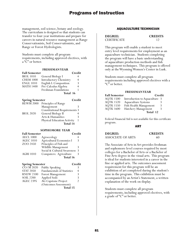management, soil science, botany and zoology. The curriculum is designed so that students can transfer to four-year institutions and prepare for careers in natural resource management as Range Conservationists, Soil Conservationists, and Range or Forest Hydrologists.

Students must complete all program requirements, including approved electives, with a "C" or better.

### **FRESHMAN YEAR**

| <b>Fall Semester</b> |                        | Credit |
|----------------------|------------------------|--------|
| <b>BIOL 1010</b>     | General Biology I      |        |
| <b>CHEM 1000</b>     | Introductory Chemistry | 4      |
| ENGL 1010            | English I: Composition | 3      |
| MATH 1400            | Pre-Calculus Algebra   |        |
|                      | Freshman Foundations   |        |
|                      | Total 16               |        |

| <b>Spring Semester</b> |                                      | Credit |
|------------------------|--------------------------------------|--------|
| <b>REWM 2000</b>       | Principles of Range                  |        |
|                        | Management                           |        |
|                        | <b>Constitutional Requirements 3</b> |        |
| <b>BIOL 2020</b>       | General Biology II                   |        |
|                        | Arts & Humanities                    |        |
|                        | <b>Physical Education Activity</b>   |        |
|                        | Total 14                             |        |

#### **SOPHOMORE YEAR**

| <b>Fall Semester</b> | Credit                      |               |
|----------------------|-----------------------------|---------------|
| <b>AECL 1000</b>     | Agroecology                 |               |
| <b>AGEC 1010</b>     | Agricultural Economics I    | ξ             |
| ZOO 2450             | Principles of Fish and      |               |
|                      | Wildlife Management         |               |
|                      | Social & Cultural Awareness | $\mathcal{R}$ |
| <b>AGRI 1010</b>     | Computers: Agriculture      | 3             |
|                      | Total 16                    |               |

| <b>Spring Semester</b> |                            | Credit |
|------------------------|----------------------------|--------|
| $\overline{CO/M}$ 2020 | Public Speaking            | 3      |
| <b>STAT 2050</b>       | Fundamentals of Statistics |        |
| <b>RNEW 2100</b>       | Forest Management          |        |
| <b>SOIL 2200</b>       | Applied Soils              | ર      |
| <b>AGEC 2395</b>       | AG Capstone Project        |        |
|                        | (Outcomes Assessment)      |        |
|                        | Total 15                   |        |

### AQUACULTURE TECHNICIAN

| <b>DEGREE:</b>     | <b>CREDITS</b> |
|--------------------|----------------|
| <b>CERTIFICATE</b> |                |

This program will enable a student to meet entry level requirements for employment as an aquaculture technician. Students completing the program will have a basic understanding of aquaculture production methods and fish management techniques. This program is offered only at the Wyoming Women's Center in Lusk.

Students must complete all program requirements including approved electives with a "C" or better.

### **FRESHMAN YEAR**

| <b>Fall Semester</b> | Credit                        |   |
|----------------------|-------------------------------|---|
| <b>AQTK 1500</b>     | Introduction to Aquaculture 3 |   |
| <b>AQTK 1520</b>     | Aquaculture Systems           | 3 |
| <b>AQTK 1550</b>     | Fish Health Management        | 3 |
| <b>AQTK 1600</b>     | Hatchery Management           | 3 |
|                      | Total 12                      |   |

Federal Financial Aid is not available for this certificate program.

ART

| <b>DEGREE:</b>    | <b>CREDITS</b> |
|-------------------|----------------|
| ASSOCIATE OF ARTS | 60             |

The Associate of Arts in Art provides freshman and sophomore level courses required by most colleges for a Bachelor of Arts or a Bachelor of Fine Arts degree in the visual arts. This program is ideal for students interested in a career in the fine or applied arts. The outcomes assessment requirement for this program will be an exhibition of art completed during the student's time in the program. This exhibition must be accompanied by an Artist's Statement, a written explanation of the work on display.

Students must complete all program requirements, including approved electives, with a grade of "C" or better.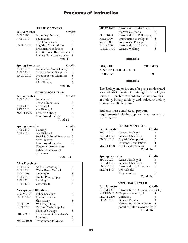#### **FRESHMAN YEAR**

| <b>Fall Semester</b>                      |                                      | Credit         |
|-------------------------------------------|--------------------------------------|----------------|
| ART 1005                                  | <b>Beginning Drawing</b>             | 3              |
| <b>ART 1110</b>                           | Foundation:                          |                |
|                                           | Two-Dimensional                      | 3              |
| <b>ENGL 1010</b>                          | English I: Composition               | 3              |
|                                           | Freshman Foundations                 | 1              |
|                                           | <b>Constitutional Requirements 3</b> |                |
|                                           |                                      | 1              |
|                                           | Physical Education Activity          |                |
|                                           | Total 14                             |                |
|                                           |                                      |                |
| <b>Spring Semester</b>                    |                                      | Credit         |
| <b>ART 1130</b>                           | Foundation: Color Theory             | 3              |
| <b>ART 1310</b>                           | Introduction to Sculpture            | 3              |
| <b>ENGL 2020</b>                          | Introduction to Literature           | 3              |
|                                           | Lab Science                          | $\overline{4}$ |
|                                           | *Art Elective                        | 3              |
|                                           | Total 16                             |                |
|                                           |                                      |                |
| <b>Fall Semester</b>                      | <b>SOPHOMOREYEAR</b>                 |                |
| <b>ART 1120</b>                           | Foundations:                         | Credit         |
|                                           |                                      |                |
|                                           | Three-Dimensional                    | 3              |
| ART 2410                                  | Ceramics I                           | 3              |
| <b>ART 2010</b>                           | Art History I                        | 3              |
| <b>MATH 1000</b>                          | Problem Solving                      | 3              |
|                                           | **Approved Elective                  | 3              |
|                                           | Total 15                             |                |
|                                           |                                      |                |
| <b>Spring Semester</b><br><b>ART 2210</b> |                                      | Credit         |
|                                           | Painting I                           | 3<br>3         |
| <b>ART 2020</b>                           | Art History II                       |                |
|                                           | Social & Cultural Awareness          | 3              |
|                                           | *Art Elective                        | 3              |
|                                           | **Approved Elective                  | 3              |
|                                           | <b>Outcomes Assessment:</b>          |                |
|                                           | <b>Exhibition and Artist</b>         |                |
|                                           | Statement<br>Total                   | 15             |
|                                           |                                      |                |
| *Art Electives:                           |                                      |                |
| <b>ART 1179</b>                           | Adobe Photoshop I                    | 3              |
| ART 1250                                  | Water Based Media I                  | 3              |
| <b>ART 2005</b>                           | Drawing II                           | 3              |
| ART 2145                                  | Digital Photography                  | 3              |
| ART 2220                                  | Painting II                          | 3              |
| ART 2420                                  | Ceramics II                          | 3              |
|                                           |                                      |                |
| **Approved Electives:                     |                                      |                |
| CO/M 2020                                 | Public Speaking                      | 3              |
| <b>ENGL 2440</b>                          | Literary Genres:                     |                |
|                                           | Short Story                          | 3              |
| <b>INET 1590</b>                          | Web Page Design                      | 3              |
| <b>INET 1610</b>                          | Dynamic Web Graphics:                |                |
|                                           | Flash Web Design                     | 3              |
| LIBS 2280                                 | Introduction to Children's           |                |
|                                           | Literature                           | 3              |
| <b>MUSC 1000</b>                          | Introduction to Music                | 3              |
|                                           |                                      |                |

| MUSC 2015        | Introduction to the Music of |   |
|------------------|------------------------------|---|
|                  | the World's People           |   |
| <b>PHIL 1000</b> | Introduction to Philosophy   | 3 |
| <b>RELI 1000</b> | Introduction to Religion     |   |
| SOC 1000         | Sociological Principles      |   |
| <b>THEA 1000</b> | Introduction to Theatre      |   |
| <b>WELD 1700</b> | General Welding              |   |
|                  |                              |   |

### **BIOLOGY**

**DEGREE: CREDITS** ASSOCIATE OF SCIENCE<br>BIOLOGY 60

### **BIOLOGY**

The Biology major is a transfer program designed for students interested in training in the biological sciences. It enables students to combine courses in biology, botany, zoology, and molecular biology to meet specific interests.

Students must complete all program requirements including approved electives with a "C" or better.

### **FRESHMAN YEAR**

| <b>Fall Semester</b>                                            |                        | Credit               |
|-----------------------------------------------------------------|------------------------|----------------------|
| <b>BIOL 1010</b>                                                | General Biology I      |                      |
| <b>CHEM 1020</b>                                                | General Chemistry I    | 4                    |
| <b>ENGL 1010</b>                                                | English I: Composition | 3                    |
|                                                                 | Freshman Foundations   |                      |
| <b>MATH 1400</b>                                                | Pre-Calculus Algebra   |                      |
|                                                                 | Total 16               |                      |
| $\mathbf{C}$ and $\mathbf{C}$ and $\mathbf{C}$ and $\mathbf{C}$ |                        | $\sim$ $\sim$ $\sim$ |

| <b>Spring Semester</b> |                            | Credit        |
|------------------------|----------------------------|---------------|
| <b>BIOL 2020</b>       | General Biology II         |               |
| <b>CHEM 1030</b>       | General Chemistry II       | 4             |
| <b>ENGL 2020</b>       | Introduction to Literature | $\mathcal{R}$ |
| <b>MATH 1405</b>       | Pre-Calculus               |               |
|                        | Trigonometry               | 3             |
|                        | Total 14                   |               |

### **SOPHOMORE YEAR**

| <b>Fall Semester</b> |                                             | Credit |
|----------------------|---------------------------------------------|--------|
|                      | CHEM 2300 Introduction to Organic Chemistry |        |
|                      | or CHEM 2320 Organic Chemistry I            |        |
| <b>MATH 2200</b>     | - Calculus I                                |        |
| <b>PHYS</b> 1110     | <b>General Physics I</b>                    | 4      |
|                      | Physical Education Activity                 |        |
|                      | Social & Cultural Awareness 3               |        |
|                      | Total 16                                    |        |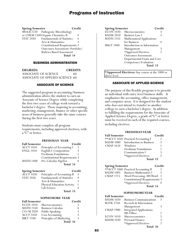| <b>Spring Semester</b> |                                      | Credit         |
|------------------------|--------------------------------------|----------------|
|                        | MOLB 2220 Pathogenic Microbiology    |                |
|                        | or CHEM 2340 Organic Chemistry II    | 4              |
| <b>STAT 2050</b>       | <b>Fundamentals of Statistics</b>    | $\overline{4}$ |
|                        | Arts & Humanities                    | 3              |
|                        | <b>Constitutional Requirements 3</b> |                |
|                        | Outcomes Assessment: Portfolio/      |                |
|                        | <b>Rubrics Based Assessment</b>      |                |
|                        | Total 14                             |                |

### BUSINESS ADMINISTRATION

| <b>DEGREES:</b>                 | <b>CREDITS</b> |
|---------------------------------|----------------|
| ASSOCIATE OF SCIENCE            | 60             |
| ASSOCIATE OF APPLIED SCIENCE 60 |                |

### ASSOCIATE OF SCIENCE

The suggested program in accounting/business administration allows the student to earn an Associate of Science Degree while completing the first two years of college work toward a bachelor's degree. Those majoring in accounting, marketing, management, finance or other specific areas of business generally take the same courses during the first two years.

Students must complete all program requirements, including approved electives, with a "C" or better.

#### **FRESHMAN YEAR**

| <b>Fall Semester</b> |                                      | Credit |
|----------------------|--------------------------------------|--------|
| <b>ACCT 1010</b>     | Principles of Accounting I           | 3      |
| <b>ENGL 1010</b>     | English I: Composition               | 3      |
|                      | Freshman Foundations                 |        |
|                      | <b>Constitutional Requirements 3</b> |        |
| <b>MATH 1400</b>     | Pre-Calculus Algebra                 |        |
|                      | Total 14                             |        |

| <b>Spring Semester</b> |                                    | Credit |
|------------------------|------------------------------------|--------|
| <b>ACCT 1020</b>       | Principles of Accounting II        | 3      |
| <b>STAT 2050</b>       | <b>Fundamentals of Statistics</b>  | 4      |
|                        | Arts & Humanities                  |        |
|                        | <b>Physical Education Activity</b> |        |
|                        | Lab Science                        |        |
|                        | Total 15                           |        |

#### **SOPHOMORE YEAR**

| <b>Fall Semester</b> |                          | Credit |
|----------------------|--------------------------|--------|
| <b>ECON 1010</b>     | Macroeconomics           |        |
| <b>MATH 2350</b>     | <b>Business Calculus</b> |        |
| $CO/M$ 2020          | Public Speaking          | 3      |
| <b>ACCT 2450</b>     | Cost Accounting          | ζ      |
| <b>MKT 2100</b>      | Principles of Marketing  | 3      |
|                      | Total 16                 |        |

| <b>Spring Semester</b> |                                  | Credit |
|------------------------|----------------------------------|--------|
| <b>ECON 1020</b>       | Microeconomics                   | 3      |
| <b>BADM 2010</b>       | <b>Business Law I</b>            |        |
| <b>MATH 2355</b>       | <b>Mathematical Applications</b> |        |
|                        | for Business                     |        |
| <b>IMGT 2400</b>       | Introduction to Information      |        |
|                        | Management                       | 3      |
|                        | *Approved Electives              |        |
|                        | <b>Outcomes Assessment:</b>      |        |
|                        | Departmental Exam and Core       |        |
|                        | <b>Competency Evaluation</b>     |        |
|                        | Total 15                         |        |

**\*Approved Electives:** Any course at the 1000 or above level.

### ASSOCIATE OF APPLIED SCIENCE

The purpose of this flexible program is to provide an individual with entry level business skills. It emphasizes the accounting, office management, and computer areas. It is designed for the student who does not intend to transfer to another college to earn a bachelor's degree. In addition to fulfilling the requirements for the Associate of Applied Science Degree, a grade of "C" or better must be received in each of the required courses, including electives.

|                      | <b>FRESHMANYEAR</b>                  |                                            |
|----------------------|--------------------------------------|--------------------------------------------|
| <b>Fall Semester</b> |                                      | Credit                                     |
|                      | ** ACCT 1050 Practical Accounting I  | 2                                          |
| BADM 1000            | Introduction to Business             | 3                                          |
| <b>CMAP 1610</b>     | Windows                              | 1                                          |
|                      | Freshman Foundations                 | 1                                          |
|                      | Communication I                      | 3                                          |
|                      | *Approved Electives                  | 5                                          |
|                      | Total 15                             |                                            |
|                      |                                      |                                            |
| Spring Semester      |                                      | Credit                                     |
|                      | ** ACCT 1060 Practical Accounting II | 2                                          |
| BADM 1005            | <b>Business Mathematics I</b>        | 3                                          |
| CMAP 1715            | Word Processing: MS Word             | $\overline{2}$                             |
|                      | <b>Constitutional Requirements 3</b> |                                            |
|                      | *Approved Electives                  | 4                                          |
|                      | Total 14                             |                                            |
|                      | <b>SOPHOMOREYEAR</b>                 |                                            |
| <b>Fall Semester</b> |                                      | Credit                                     |
| BADM 1020            | <b>Business Communications</b>       | 3                                          |
| BOTK 2750            | Records & Information                |                                            |
|                      | Management                           | 3                                          |
| CMAP 1900            | <b>Integrated Applications:</b>      |                                            |
|                      | MS Office                            | $\overline{\mathbf{c}}$                    |
| ECON 1010            | Macroeconomics                       |                                            |
| BADM 1030            | Personal Finance                     | $\begin{array}{c} 3 \\ 3 \\ 2 \end{array}$ |
|                      | *Approved Electives                  |                                            |
|                      | T.J. 146                             |                                            |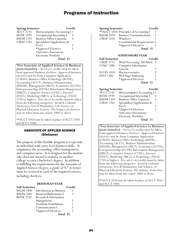| <b>Spring Semester</b> |                                 | Credit |
|------------------------|---------------------------------|--------|
| $\widehat{ACCT}$ 2110  | Microcomputer Accounting I 2    |        |
| <b>BOTK 1970</b>       | Occupational Internship I       | 3      |
| <b>BADM 2395</b>       | <b>Business Office Capstone</b> | 3      |
| <b>CMAP 1765</b>       | Spreadsheet Applications II:    |        |
|                        | Excel                           | 2      |
|                        | *Approved Electives             | 5      |
|                        | <b>Outcomes Assessment:</b>     |        |
|                        | Electronic Portfolio            |        |
|                        | Total 15                        |        |

**\*For Associate of Applied Science in Business (non-transfer)**—Seven (7) credits must be taken from approved business electives. Approved business electives may be from Computer Application (CMAP), Business Office Technology (BOTK), Accounting (ACCT), Business Administration (BADM), Management (MGT), Economics (ECON), Entrepreneurship (ENTR), Information Management (IMGT), Computer Science (COSC), Internet (INET), Marketing (MKT) or Technology (TECH 1750 or higher). Five-six (5-6) credits must be taken from the following categories: Social & Cultural Awareness, Arts & Humanities, Lab Science, or Physical Education Activity. The balance of electives may be taken from any course 1000 or above.

\*\*ACCT 1010 may be taken in place of ACCT 1050 and ACCT 1060.

### ASSOCIATE OF APPLIED SCIENCE (Distance)

The purpose of this flexible program is to provide an individual with entry level business skills. It emphasizes the accounting, office management, and computer areas. It is designed for the student who does not intend to transfer to another college to earn a bachelor's degree. In addition to fulfilling the requirements for the Associate of Applied Science Degree, a grade of "C" or better must be received in each of the required courses, including electives.

### **FRESHMAN YEAR**

| <b>Fall Semester</b> |                               | Credit |
|----------------------|-------------------------------|--------|
| <b>BADM 1000</b>     | Introduction to Business      |        |
| <b>BADM 1005</b>     | <b>Business Mathematics I</b> |        |
| <b>BOTK 2750</b>     | Records & Information         |        |
|                      | Management                    | 3      |
|                      | Freshman Foundations          |        |
|                      | Communication I               | 3      |
|                      | *Approved Electives           |        |
|                      | Total 15                      |        |

| <b>Spring Semester</b> |                                         | Credit        |
|------------------------|-----------------------------------------|---------------|
|                        | ** ACCT 1010 Principles of Accounting I | 3             |
| <b>BADM 1020</b>       | <b>Business Communications</b>          | $\mathcal{R}$ |
| CMAP 1610 Windows:     |                                         |               |
|                        | <b>Constitutional Requirements 3</b>    |               |
|                        | *Approved Electives                     |               |
|                        | Total 15                                |               |
|                        |                                         |               |

### **SOPHOMORE YEAR**

| <b>Fall Semester</b> | Credit                     |   |
|----------------------|----------------------------|---|
| <b>CMAP 1715</b>     | Word Processing: MS Word 2 |   |
| <b>COSC 1200</b>     | Computer Information       |   |
|                      | Systems                    | 3 |
| <b>ECON 1010</b>     | Macroeconomics             |   |
| <b>INET 1580</b>     | Web Page Authoring         | 2 |
|                      | *Approved Electives        |   |
|                      | Total 15                   |   |

### **Spring Semester Credit**

| $\widehat{ACCT}$ 2110 | Microcomputer Accounting I 2    |   |
|-----------------------|---------------------------------|---|
| <b>BOTK 1970</b>      | Occupational Internship I       | 3 |
| <b>BADM 2395</b>      | <b>Business Office Capstone</b> | 3 |
| <b>CMAP 1765</b>      | Spreadsheet Applications II:    |   |
|                       | Excel                           |   |
|                       | *Approved Electives             | 5 |
|                       | <b>Outcomes Assessment:</b>     |   |
|                       | Electronic Portfolio            |   |
|                       | Total 15                        |   |

**\*For Associate of Applied Science in Business (non-transfer)**—Seven (7) credits must be taken from approved business electives. Approved business electives may be from Computer Application (CMAP), Business Office Technology (BOTK), Accounting (ACCT), Business Administration (BADM), Management (MGT), Economics (ECON), Entrepreneurship (ENTR), Information Management (IMGT), Computer Science (COSC), Internet (INET), Marketing (MKT) or Technology (TECH 1750 or higher). Five-six (5-6) credits must be taken from the following categories: Social & Cultural Awareness, Arts & Humanities, Lab Science, or Physical Education Activity. The balance of electives may be taken from any course 1000 or above.

\*\*ACCT 1010 may be taken in place of ACCT 1050 and ACCT 1060.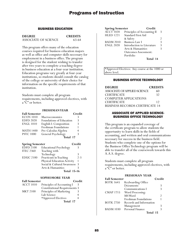### BUSINESS EDUCATION

**DEGREE CREDITS** ASSOCIATE OF SCIENCE 63-64

This program offers many of the education courses required for business education majors as well as office and computer skills necessary for employment in a business office. The program is designed for the student wishing to transfer after two years to complete a teaching degree in business education at a four-year institution. Education programs vary greatly at four-year institutions, so students should consult the catalog of the college or university of their choice for information on the specific requirements of that institution.

Students must complete all program requirements, including approved electives, with a "C" or better.

### **FRESHMAN YEAR**

| <b>Fall Semester</b>   |                                    | Credit         |
|------------------------|------------------------------------|----------------|
| <b>ECON 1010</b>       | Macroeconomics                     | 3              |
| <b>EDFD 2020</b>       | Foundations of Education           | 3              |
| <b>ENGL 1010</b>       | English I: Composition             | 3              |
|                        | Freshman Foundations               | 1              |
| <b>MATH 1400</b>       | Pre-Calculus Algebra               | 4              |
| <b>PSYC 1000</b>       | General Psychology                 | 3              |
|                        | <b>Total 17</b>                    |                |
| <b>Spring Semester</b> |                                    | Credit         |
| <b>EDFD 2100</b>       | <b>Educational Psychology</b>      | 3              |
| <b>ITEC 2360</b>       | Teaching with                      |                |
|                        | Technology                         | 3              |
| <b>EDUC 2100</b>       | Practicum in Teaching              | $2 - 3$        |
|                        | <b>Physical Education Activity</b> | 1              |
|                        | Social & Cultural Awareness        | 3              |
|                        | Arts & Humanities                  | 3              |
|                        | Total 15-16                        |                |
|                        | SOPHOMORE YEAR                     |                |
| <b>Fall Semester</b>   |                                    | $\Gamma$ redit |

| <b>Fall Semester</b> |                                      | Credit |
|----------------------|--------------------------------------|--------|
| <b>ACCT 1010</b>     | Principles of Accounting I           |        |
|                      | <b>Constitutional Requirements 3</b> |        |
| <b>MKT 2100</b>      | Principles of Marketing              |        |
|                      | Lab Science                          |        |
|                      | *Approved Electives                  |        |
|                      | Total 17                             |        |

| <b>Spring Semester</b> | Credit                      |   |
|------------------------|-----------------------------|---|
| <b>ACCT 1020</b>       | Principles of Accounting II | 3 |
| <b>HLED 1221</b>       | Standard First Aid          |   |
|                        | & Safety                    |   |
| <b>BADM 2010</b>       | <b>Business Law I</b>       | 3 |
| <b>ENGL 2020</b>       | Introduction to Literature  | 3 |
|                        | Arts & Humanities           | ζ |
|                        | <b>Outcomes Assessment:</b> |   |
|                        | Portfolio                   |   |
|                        | Total 14                    |   |

\*Approved Electives: Any course at the 1000 or above level.

### BUSINESS OFFICE TECHNOLOGY

| <b>DEGREE</b>                          | <b>CREDITS</b> |
|----------------------------------------|----------------|
| ASSOCIATE OF APPLIED SCIENCE           | 60             |
| <b>CERTIFICATE</b>                     | 32             |
| <b>COMPUTER APPLICATIONS</b>           |                |
| <b>CERTIFICATE</b>                     | 12             |
| <b>BUSINESS RECORDS CERTIFICATE 14</b> |                |

### ASSOCIATE OF APPLIED SCIENCE-BUSINESS OFFICE TECHNOLOGY

This program is an expanded coverage of the certificate program to allow students the opportunity to learn skills in the fields of accounting, and written and oral communications necessary for success in the business field. Students who complete one of the options for the Business Office Technology program will be able to transfer all of the coursework towards this A.A.S. degree.

Students must complete all program requirements, including approved electives, with a "C" or better.

### **FRESHMAN YEAR**

| <b>Fall Semester</b> |                         | Credit |
|----------------------|-------------------------|--------|
| <b>BOTK 1645</b>     | Keyboarding Office      |        |
|                      | Documents               |        |
|                      | Communications I        |        |
| <b>CMAP 1715</b>     | Word Processing:        |        |
|                      | MS Word                 |        |
|                      | Freshman Foundations    |        |
| <b>BOTK 2750</b>     | Records and Information |        |
|                      | Management              |        |
| <b>BADM 1030</b>     | Personal Finance        |        |
|                      | Total 15                |        |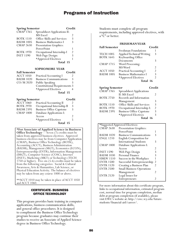| <b>Spring Semester</b> |                               | Credit        |
|------------------------|-------------------------------|---------------|
| CMAP 1765              | Spreadsheet Applications II:  |               |
|                        | MS Excel                      | 2             |
| <b>BOTK 1510</b>       | Office Skills and Services    | 3             |
| <b>BADM 1005</b>       | <b>Business Mathematics I</b> | ੨             |
| <b>CMAP 2630</b>       | <b>Presentation Graphics:</b> |               |
|                        | PowerPoint                    |               |
| <b>BOTK 1970</b>       | Occupational Internship I     | $\mathcal{P}$ |
| <b>INET 1590</b>       | Web Page Design:              | 3             |
|                        | *Approved Electives           |               |
|                        | Total 15                      |               |

### **SOPHOMORE YEAR**

| <b>Fall Semester</b>   |                                      | Credit    |
|------------------------|--------------------------------------|-----------|
| <b>ACCT 1050</b>       | <b>Practical Accounting I</b>        |           |
| <b>BADM 1020</b>       | <b>Business Communications</b>       | 3         |
| $CO/M$ 2020            | Public Speaking                      |           |
|                        | <b>Constitutional Requirements 3</b> |           |
|                        | *Approved Electives                  |           |
|                        | Total 15                             |           |
| <b>Spring Semester</b> |                                      | $Cr$ edit |

| spring semester  |                                 | vrean |
|------------------|---------------------------------|-------|
| <b>ACCT 1060</b> | <b>Practical Accounting II</b>  |       |
| <b>BOTK 2970</b> | Occupational Internship II      | 3     |
| <b>BADM 2395</b> | <b>Business Office Capstone</b> | 3     |
| <b>CMAP 1800</b> | Database Applications I:        |       |
|                  | Access                          |       |
|                  | *Approved Electives             | ь     |
|                  | Total 15                        |       |
|                  |                                 |       |

**\*For Associate of Applied Science in Business** 

**Office Technology**— Seven (7) credits must be taken from approved business electives. Approved business electives may be from Computer Application (CMAP), Business Office Technology (BOTK), Accounting (ACCT), Business Administration (BADM), Management (MGT), Economics (ECON), Entrepreneurship (ENTR), Information Management (IMGT), Computer Science (COSC), Internet (INET), Marketing (MKT) or Technology (TECH 1750 or higher). Five-six (5-6) credits must be taken from the following categories: Social & Cultural Awareness, Arts & Humanities, Lab Science, or Physical Education Activity. The balance of electives may be taken from any course 1000 or above.

\*\*ACCT 1010 may be taken in place of ACCT 1050 and ACCT 1060.

### CERTIFICATE- BUSINESS OFFICE TECHNOLOGY

This program provides basic training in computer applications, business communication skills, and general office procedures. It is designed to compliment the Business Office Technology program because graduates may continue their studies to receive an Associate of Applied Science degree in Business Office Technology.

Students must complete all program requirements, including approved electives, with a "C" or better.

#### **FRESHMAN YEAR**

| <b>Fall Semester</b> |                               | Credit         |
|----------------------|-------------------------------|----------------|
|                      | Freshman Foundations          |                |
| <b>TECH 1005</b>     | Applied Technical Writing     | 3              |
| <b>BOTK 1645</b>     | Keyboarding Office            |                |
|                      | Documents                     |                |
| <b>CMAP 1715</b>     | Word Processing:              |                |
|                      | MS Word                       | $\mathfrak{D}$ |
| <b>ACCT 1050</b>     | <b>Practical Accounting I</b> | $\mathfrak{D}$ |
| <b>BADM 1005</b>     | <b>Business Mathematics I</b> | 3              |
|                      | *Approved Electives           | 2              |
|                      | Total 16                      |                |

| <b>Spring Semester</b> |                                 | Credit         |
|------------------------|---------------------------------|----------------|
| CMAP <sub>1765</sub>   | <b>Spreadsheet Applications</b> |                |
|                        | II: MS Excel                    | $\mathcal{L}$  |
| <b>BOTK 2750</b>       | Records and Information         |                |
|                        | Management                      | 3              |
| <b>BOTK 1510</b>       | Office Skills and Services      | 3              |
| <b>BOTK 1970</b>       | Occupational Internship I:      | $\mathfrak{D}$ |
| <b>BADM 2395</b>       | <b>Business Office Capstone</b> | 3              |
|                        | *Approved Electives             |                |
|                        | Total 16                        |                |

| *Suggested Approved Electives: |                                  |   |
|--------------------------------|----------------------------------|---|
| <b>CMAP 2630</b>               | Presentation Graphics:           |   |
|                                | PowerPoint                       |   |
| <b>BADM 1020</b>               | <b>Business Communications</b>   | 3 |
| <b>ENGL 1210</b>               | English Composition for          |   |
|                                | <b>International Students</b>    | 3 |
| <b>CMAP 1800</b>               | Database Applications I:         |   |
|                                | Access                           | 2 |
| <b>INET 1590</b>               | Web Page Design                  | 3 |
| <b>BADM 1030</b>               | Personal Finance                 | 3 |
| <b>HMDV 1510</b>               | Success in the Workplace         | 1 |
| <b>ENTR 1500</b>               | Successful Entrepreneurship      | 2 |
| <b>ENTR 1520</b>               | Creating a Business Plan         | 2 |
| <b>ENTR 2500</b>               | <b>Small Business Operations</b> |   |
|                                | Management                       | 2 |
| <b>ENTR 2520</b>               | Legal Issues for                 |   |
|                                | Entrepreneurs                    |   |

For more information about this certificate program, links to occupational information, estimated program cost, normal time for program completion, median debt at program completion (if available), please visit EWC's website at: http://ewc.wy.edu/futurestudents/financial-aid/career/.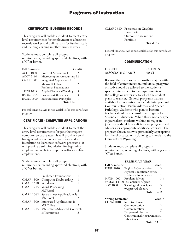### CERTIFICATE - BUSINESS RECORDS

This program will enable a student to meet entry level requirements for employment as a business records worker and build a basis for further study and lifelong learning in other business areas.

Students must complete all program requirements, including approved electives, with a "C" or better.

| <b>Fall Semester</b> |                                   | Credit |
|----------------------|-----------------------------------|--------|
| <b>ACCT 1050</b>     | <b>Practical Accounting I</b>     |        |
| <b>ACCT 2110</b>     | Microcomputer Accounting I2       |        |
| <b>CMAP 1900</b>     | <b>Integrated Applications I:</b> |        |
|                      | Microsoft Office                  | 2      |
|                      | Freshman Foundations              | 1      |
| <b>TECH 1005</b>     | Applied Technical Writing         | 3      |
| <b>BADM 1005</b>     | <b>Business Mathematics I</b>     | 3      |
| <b>BADM 1500</b>     | <b>Basic Business Principles</b>  | 1      |
|                      | Total 14                          |        |

Federal Financial Aid is not available for this certificate program.

### CERTIFICATE - COMPUTER APPLICATIONS

This program will enable a student to meet the entry level requirements for jobs that require computer software uses. It will provide a solid background in current software uses and a foundation to learn new software programs. It will provide a solid foundation for beginning employment skills in computer software related employment.

Students must complete all program requirements, including approved electives, with a "C" or better.

|                  | <b>Freshman Foundations</b>       |   |
|------------------|-----------------------------------|---|
| CMAP 1500        | Computer Keyboarding              |   |
| <b>CMAP 1610</b> | Windows:                          |   |
| <b>CMAP 1715</b> | Word Processing:                  |   |
|                  | MS Word                           | 2 |
| <b>CMAP 1765</b> | Spreadsheet Applications I:       |   |
|                  | MS Excel                          | 2 |
| <b>CMAP 1900</b> | <b>Integrated Applications I:</b> |   |
|                  | MS Office                         | 2 |
| <b>CMAP 1915</b> | MS Office-Advanced Concepts       |   |
|                  | & Techniques                      |   |
|                  |                                   |   |

CMAP 2630 Presentation Graphics: PowerPoint 1 Outcome Assessment: Portfolio **Total 12**

Federal Financial Aid is not available for this certificate program.

### COMMUNICATION

| DEGREE:           | <b>CREDITS</b> |
|-------------------|----------------|
| ASSOCIATE OF ARTS | 60-61          |

Because there are so many possible majors within the field of communication, individual programs of study should be tailored to the student's specific interest and to the requirements of the college or university to which the student plans to transfer. General programs that are available for concentration include Interpersonal Communication, Public Address, and Speech Pathology. Students who plan to become teachers should also consult the program for Secondary Education. While this is not a degree in journalism, students wishing to major in journalism should consult transfer programs and advisors for appropriate additional courses. The program shown below is particularly appropriate for liberal arts students planning to transfer to the University of Wyoming.

Students must complete all program requirements, including electives, with a grade of "C" or better.

|                        | <b>FRESHMAN YEAR</b>                 |                    |
|------------------------|--------------------------------------|--------------------|
| <b>Fall Semester</b>   |                                      | Credit             |
| <b>ENGL 1010</b>       | English I: Composition               | 3                  |
|                        | Physical Education Activity          | 1                  |
|                        | Freshman Foundations                 | 1                  |
| MATH 1000              | Problem Solving                      | 3-4                |
|                        | or MATH 1400 Pre-Calculus Algebra    |                    |
| SOC 1000               | Sociological Principles              | 3                  |
|                        | *Approved Elective                   | 4                  |
|                        |                                      | <b>Total 15-16</b> |
| <b>Spring Semester</b> |                                      | Credit             |
| $CO/M$ 1040            | Intro to Human                       |                    |
|                        | Communication                        | 3                  |
|                        | Communication 2                      | 3                  |
|                        | *Approved Elective                   | 2                  |
|                        | <b>Constitutional Requirements 3</b> |                    |
|                        | Lab Science                          | 4                  |
|                        | Total 15                             |                    |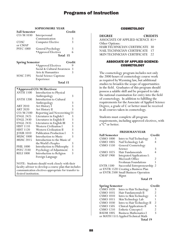|                        | ui hoinuu                                          |                         |
|------------------------|----------------------------------------------------|-------------------------|
| <b>Fall Semester</b>   |                                                    | Credit                  |
| CO/M 1030              | Interpersonal                                      |                         |
|                        | Communication                                      | 3                       |
| COSC                   | <b>Computer Elective</b>                           | $\overline{\mathbf{3}}$ |
| or CMAP                |                                                    |                         |
| <b>PSYC 1000</b>       | General Psychology                                 | 3                       |
|                        | *Approved Electives                                | 6                       |
|                        | Total 15                                           |                         |
|                        |                                                    | Credit                  |
| <b>Spring Semester</b> |                                                    | 9                       |
|                        | *Approved Electives<br>Social & Cultural Awareness |                         |
|                        | Arts & Humanities                                  | 3<br>$\mathbf{3}$       |
| SOSC 2395              |                                                    |                         |
|                        | Social Science Capstone                            |                         |
|                        | Experience<br>Total 15                             |                         |
|                        |                                                    |                         |
|                        | *Approved CO/M Electives:                          |                         |
| <b>ANTH 1100</b>       | Introduction to Physical                           |                         |
|                        | Anthropology                                       | 3                       |
| <b>ANTH 1200</b>       | Introduction to Cultural                           |                         |
|                        | Anthropology                                       | 3                       |
| <b>ART 2010</b>        | Art History I                                      | 3                       |
| <b>ART 2020</b>        | Art History II                                     | $\overline{3}$          |
| CO/M 2100              | Reporting and Newswriting I3                       |                         |
| <b>ENGL 2425</b>       | Literatures in English I                           | 3                       |
| <b>ENGL 2430</b>       | Literatures in English II                          | 3                       |
| ENGL 2435              | Literatures in English III                         | 3                       |
| <b>HIST 1110</b>       | <b>Western Civilization I</b>                      | $\overline{3}$          |
| <b>HIST 1120</b>       | <b>Western Civilization II</b>                     | $\overline{\mathbf{3}}$ |
| <b>JOUR 1010</b>       | <b>Publication Production I</b>                    | $\overline{3}$          |
| <b>MUSC 1000</b>       | <b>Introduction to Music</b>                       | $\overline{3}$          |
| <b>MUSC 2015</b>       | Introduction to the Music of                       |                         |
|                        | the World's Peoples                                | 3                       |
| <b>PHIL 1000</b>       | Introduction to Philosophy                         | 3                       |

**SOPHOMORE YEAR**

Foreign Language NOTE: Students should work closely with their faculty advisor to develop a course plan that includes communication electives appropriate for transfer to desired institution.

PSYC 2330 Psychology of Adjustment 3<br>RELI 1000 Introduction to Religion 3 Introduction to Religion

### **COSMETOLOGY**

| <b>DEGREE</b>                      | <b>CREDITS</b> |
|------------------------------------|----------------|
| ASSOCIATE OF APPLIED SCIENCE $81+$ |                |
| Other Options:                     |                |
| HAIR TECHNICIAN CERTIFICATE 30     |                |
| NAIL TECHNICIAN CERTIFICATE 17     |                |
| SKINTECHNICIAN CERTIFICATE 22      |                |

### ASSOCIATE OF APPLIED SCIENCE-**COSMETOLOGY**

The cosmetology program includes not only the 2000 hours of cosmetology course work as required by Wyoming law, but additional studies to broaden the scope of opportunities in the field. Graduates of this program should possess a salable skill and be prepared to take the national examination for entry into the field of cosmetology. In addition to fulfilling the requirements for the Associate of Applied Science Degree, a grade of C or better must be received in all courses taken in cosmetology.

Students must complete all program requirements, including approved electives, with a "C" or better.

### **FRESHMAN YEAR**

| <b>Fall Semester</b> |                                       | Credit |
|----------------------|---------------------------------------|--------|
| <b>CSMO 1000</b>     | Intro to Nail Technology              | 3      |
| <b>CSMO 1005</b>     | Nail Technology Lab                   | 4      |
| <b>CSMO 1550</b>     | General Cosmetology                   |        |
|                      | Science                               | 3      |
| <b>CSMO 1025</b>     | Hair Fundamentals                     | 4      |
| <b>CMAP 1900</b>     | Integrated Applications I:            |        |
|                      | Microsoft Office                      | 2      |
|                      | Freshman Foundations                  |        |
| <b>ENTR 1500</b>     | Successful Entrepreneurship           | 2      |
|                      | or ENTR 1520 Creating a Business Plan |        |
|                      | or ENTR 2500 Small Business Operation |        |
|                      | Mgmt                                  |        |

### **Total 19**

| <b>Spring Semester</b> |                                     | Credit         |
|------------------------|-------------------------------------|----------------|
| <b>CSMO 1020</b>       | Intro to Hair Technology            | 3              |
| <b>CSMO 1035</b>       | Hair Fundamentals II                | $\mathfrak{D}$ |
| <b>CSMO 1010</b>       | Intro to Skin Technology            | 3              |
| <b>CSMO 1015</b>       | Skin Technology Lab                 | 1              |
| <b>CSMO 1030</b>       | Intro to Hair Technology II         | $\mathfrak{D}$ |
| <b>CSMO 1505</b>       | <b>Clinical Applications II</b>     | 3              |
| <b>CSMO 1210</b>       | <b>Esthetic Concepts I</b>          | $\mathfrak{D}$ |
| <b>BADM 1005</b>       | <b>Business Mathematics I</b>       | ξ              |
|                        | or MATH 1515 Applied Technical Math |                |
|                        | Total 19                            |                |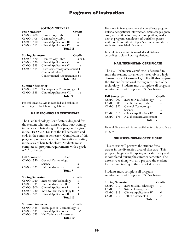### **SOPHOMORE YEAR**

|                                  | Credit                                                                                                                                                                                        |
|----------------------------------|-----------------------------------------------------------------------------------------------------------------------------------------------------------------------------------------------|
|                                  | 3                                                                                                                                                                                             |
|                                  | 3                                                                                                                                                                                             |
| <b>Clinical Applications III</b> | 6                                                                                                                                                                                             |
|                                  | 6                                                                                                                                                                                             |
| <b>Total 18</b>                  |                                                                                                                                                                                               |
|                                  | Credit                                                                                                                                                                                        |
|                                  | 3 or 6                                                                                                                                                                                        |
| <b>Clinical Applications V</b>   | 6                                                                                                                                                                                             |
|                                  | 1-6                                                                                                                                                                                           |
|                                  |                                                                                                                                                                                               |
| Communication I                  |                                                                                                                                                                                               |
|                                  | Cosmetology Lab I<br>Cosmetology Lab II<br><b>Clinical Applications IV</b><br><b>Spring Semester</b><br>Cosmetology Lab V<br><b>Clinical Applications VI</b><br>Post Cosmetology Assessment 1 |

Constitutional Requirements 2-3 **Total 16+**

**Summer Semester**

| CSMO 1425 Techniques in Cosmetology 3 |       |
|---------------------------------------|-------|
| CSMO 1535 Clinical Applications VIII  | $1-6$ |
| Total 9                               |       |

Federal Financial Aid is awarded and disbursed according to clock hour regulations.

### HAIR TECHNICIAN CERTIFICATE

The Hair Technology Certificate is designed for the student who only desires education/training in the area of hair design. This program begins in the SECOND HALF of the fall semester, and ends in the summer semester. Completion of this program prepares the student for national testing in the area of hair technology. Students must complete all program requirements with a grade of "C" or better.

| <b>Fall Semester</b>   | Credit                         |                |
|------------------------|--------------------------------|----------------|
| <b>CSMO 1550</b>       | <b>General Cosmetology</b>     |                |
|                        | Science                        | 3              |
| <b>CSMO 1025</b>       | Hair Fundamentals              | 4              |
|                        | <b>Total</b> 7                 |                |
|                        |                                | Credit         |
| <b>Spring Semester</b> |                                |                |
| <b>CSMO 1020</b>       | Intro to Hair Technology       | 3              |
| <b>CSMO 1035</b>       | Hair Fundamentals II           | 2              |
| <b>CSMO 1500</b>       | <b>Clinical Applications I</b> | 3              |
| <b>CSMO 1030</b>       | Intro to Hair Technology II    | $\mathfrak{D}$ |

**Total 13**

| <b>Summer Semester</b> |                                       | Credit |
|------------------------|---------------------------------------|--------|
|                        | CSMO 1425 Techniques in Cosmetology 3 |        |
|                        | CSMO 1535 Clinical Applications VIII  | $1-6$  |
|                        | CSMO 1375 Hair Technician Assessment  |        |
|                        | Total 10                              |        |

For more information about this certificate program, links to occupational information, estimated program cost, normal time for program completion, median debt at program completion (if available), please visit EWC's website at: http://ewc.wy.edu/futurestudents/financial-aid/career/.

Federal Financial Aid is awarded and disbursed according to clock hour regulations.

### NAIL TECHNICIAN CERTIFICATE

The Nail Technician Certificate is designed to train the student for an entry-level job in a high demand area of Cosmetology. It will also prepare the student for national testing in the area of nail technology. Students must complete all program requirements with a grade of "C" or better.

| <b>Fall Semester</b> |                                 | Credit |
|----------------------|---------------------------------|--------|
| <b>CSMO 1000</b>     | Intro to Nail Technology        | 3      |
| <b>CSMO 1005</b>     | Nail Technology Lab             |        |
| <b>CSMO 1550</b>     | General Cosmetology             |        |
|                      | Science                         | ζ      |
| <b>CSMO 1515</b>     | <b>Clinical Applications IV</b> | 6      |
| <b>CSMO 1175</b>     | Nail Technician Assessment      |        |
|                      | Total 17                        |        |

Federal Financial Aid is not available for this certificate program.

### SKIN TECHNICIAN CERTIFICATE

This course will prepare the student for a career in the diversified area of skin care. This program begins in the spring semester **only** and is completed during the summer semester. The extensive training will also prepare the student for national testing in the area of skin care.

Students must complete all program requirements with a grade of "C" or better.

| <b>Spring Semester</b>        |                                 | Credit |
|-------------------------------|---------------------------------|--------|
| $\overline{\text{CSMO}}$ 1010 | Intro to Skin Technology        | 3      |
| <b>CSMO 1015</b>              | Skin Technology Lab             |        |
| <b>CSMO 1515</b>              | <b>Clinical Applications IV</b> | 6      |
| <b>CSMO 1210</b>              | Esthetic Concepts I             |        |
|                               | Total 12                        |        |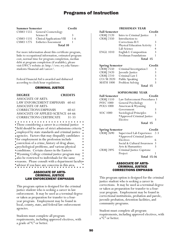| <b>Summer Semester</b> |                                   | Credit  |
|------------------------|-----------------------------------|---------|
|                        | CSMO 1555 General Cosmetology     |         |
|                        | Science II                        | 3       |
| <b>CSMO 1535</b>       | <b>Clinical Applications VIII</b> | $1 - 6$ |
| <b>CSMO 1275</b>       | <b>Esthetics Assessment</b>       |         |
|                        | Total 10                          |         |

For more information about this certificate program, links to occupational information, estimated program cost, normal time for program completion, median debt at program completion (if available), please visit EWC's website at: http://ewc.wy.edu/futurestudents/financial-aid/career/.

Federal Financial Aid is awarded and disbursed according to clock hour regulations.

### CRIMINAL JUSTICE

**DEGREE CREDITS**  ASSOCIATE OF ARTS-LAW ENFORCEMENT EMPHASIS 60-61 ASSOCIATE OF ARTS-CORRECTIONS EMPHASIS 60-61 ASSOCIATE OF APPLIED SCIENCE 64-66 CORRECTIONS CERTIFICATE 31-33 Those considering a career in a criminal justice

• field should be aware of strict admissions criteria employed by state standards and criminal justice agencies. Factors that may disqualify candidates for employment in the profession include conviction of a crime, history of drug abuse, psychological problems, and various physical conditions. Certain classes in the Eastern Wyoming College criminal justice program may also be restricted to individuals for the same reasons. Please consult with a department faculty advisor if you have any concerns in this area.

### ASSOCIATE OF ARTS-CRIMINAL JUSTICE LAW ENFORCEMENT EMPHASIS

This program option is designed for the criminal justice student who is seeking a career in law enforcement. It may be used as a terminal degree or taken as preparation for transfer to a fouryear program. Employment may be found in local, county, state, and federal law enforcement agencies.

Students must complete all program requirements, including approved electives, with a grade of "C" or better.

#### **FRESHMAN YEAR**

| <b>Fall Semester</b>   |                             | Credit |
|------------------------|-----------------------------|--------|
| <b>CRMJ 2120</b>       | Intro to Criminal Justice   | 3      |
| <b>CRMJ 2350</b>       | Introduction to             |        |
|                        | Corrections II/I            | 3      |
|                        | Physical Education Activity |        |
|                        | Lab Science                 |        |
| <b>ENGL 1010</b>       | English I: Composition      | 3      |
|                        | Freshman Foundations        |        |
|                        | Total 15                    |        |
| <b>Spring Semester</b> |                             | Credit |

| spring semester  |                          | Стеан |
|------------------|--------------------------|-------|
| CRMJ 2550        | Criminal Investigation I | 3     |
| <b>CRMJ 2420</b> | Juvenile Justice         | 3     |
| <b>CRMJ</b> 2210 | Criminal Law I           | 3     |
| CO/M 2020        | Public Speaking          | 3     |
| <b>MATH 1000</b> | Problem Solving          | 3     |
|                  | Total 15                 |       |

### **SOPHOMORE YEAR**

| <b>Fall Semester</b> |                              | Credit |
|----------------------|------------------------------|--------|
| <b>CRMJ</b> 1510     | Law Enforcement Procedures 3 |        |
| <b>PSYC</b> 1000     | General Psychology           |        |
| <b>POLS 1000</b>     | American & Wyoming           |        |
|                      | Government                   | 3      |
| <b>SOC 1000</b>      | Sociological Principles      |        |
|                      | *Approved Criminal Justice   |        |
|                      | Elective                     |        |
|                      | Total 15                     |        |
|                      |                              |        |

| <b>Spring Semester</b> | Credit                      |         |
|------------------------|-----------------------------|---------|
| $CRM\overline{2}690$   | Supervised Lab Experience   | $2 - 3$ |
|                        | *Approved Criminal Justice  |         |
|                        | Electives                   |         |
|                        | Social & Cultural Awareness | -3      |
|                        | Arts & Humanities           | 3       |
| <b>CRMJ 2895</b>       | Criminal Justice Capstone   |         |
|                        | Project                     |         |
|                        | <b>Total 15-16</b>          |         |

### ASSOCIATE OF ARTS-CRIMINAL JUSTICE CORRECTIONS EMPHASIS

This program option is designed for the criminal justice student who is seeking a career in corrections. It may be used as a terminal degree or taken as preparation for transfer to a fouryear program. Employment may be found in correctional institutions, probation and parole, juvenile probation, detention facilities, and community programs.

Student must complete all program requirements, including approved electives, with a "C" or better.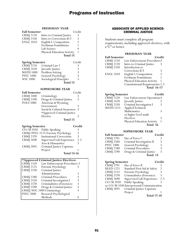### **FRESHMAN YEAR**

| FRESHMAN LEAR                           |                                                                                                                                                                                                                                                                                                                                                                                                                                                                                             |
|-----------------------------------------|---------------------------------------------------------------------------------------------------------------------------------------------------------------------------------------------------------------------------------------------------------------------------------------------------------------------------------------------------------------------------------------------------------------------------------------------------------------------------------------------|
| <b>Fall Semester</b>                    | Credit                                                                                                                                                                                                                                                                                                                                                                                                                                                                                      |
|                                         | 3                                                                                                                                                                                                                                                                                                                                                                                                                                                                                           |
|                                         | 3                                                                                                                                                                                                                                                                                                                                                                                                                                                                                           |
|                                         | 3                                                                                                                                                                                                                                                                                                                                                                                                                                                                                           |
| Freshman Foundations                    | 1                                                                                                                                                                                                                                                                                                                                                                                                                                                                                           |
|                                         | $\overline{4}$                                                                                                                                                                                                                                                                                                                                                                                                                                                                              |
|                                         | 1                                                                                                                                                                                                                                                                                                                                                                                                                                                                                           |
| Total 15                                |                                                                                                                                                                                                                                                                                                                                                                                                                                                                                             |
|                                         | Credit                                                                                                                                                                                                                                                                                                                                                                                                                                                                                      |
|                                         | 3                                                                                                                                                                                                                                                                                                                                                                                                                                                                                           |
|                                         | 3                                                                                                                                                                                                                                                                                                                                                                                                                                                                                           |
|                                         |                                                                                                                                                                                                                                                                                                                                                                                                                                                                                             |
|                                         | $\frac{3}{3}$                                                                                                                                                                                                                                                                                                                                                                                                                                                                               |
|                                         | 3                                                                                                                                                                                                                                                                                                                                                                                                                                                                                           |
| <b>Total 15</b>                         |                                                                                                                                                                                                                                                                                                                                                                                                                                                                                             |
|                                         |                                                                                                                                                                                                                                                                                                                                                                                                                                                                                             |
| <b>SOPHOMORE YEAR</b>                   |                                                                                                                                                                                                                                                                                                                                                                                                                                                                                             |
|                                         | Credit                                                                                                                                                                                                                                                                                                                                                                                                                                                                                      |
|                                         | 3                                                                                                                                                                                                                                                                                                                                                                                                                                                                                           |
|                                         | 3                                                                                                                                                                                                                                                                                                                                                                                                                                                                                           |
|                                         |                                                                                                                                                                                                                                                                                                                                                                                                                                                                                             |
| Government                              | 3                                                                                                                                                                                                                                                                                                                                                                                                                                                                                           |
| Social & Cultural Awareness             | 3                                                                                                                                                                                                                                                                                                                                                                                                                                                                                           |
|                                         |                                                                                                                                                                                                                                                                                                                                                                                                                                                                                             |
| Elective                                | 3                                                                                                                                                                                                                                                                                                                                                                                                                                                                                           |
| Total 15                                |                                                                                                                                                                                                                                                                                                                                                                                                                                                                                             |
|                                         | Credit                                                                                                                                                                                                                                                                                                                                                                                                                                                                                      |
| Public Speaking                         | 3                                                                                                                                                                                                                                                                                                                                                                                                                                                                                           |
|                                         | 3                                                                                                                                                                                                                                                                                                                                                                                                                                                                                           |
| <b>Institutional Corrections</b>        | 3                                                                                                                                                                                                                                                                                                                                                                                                                                                                                           |
| Supervised Lab Experience               | $2 - 3$                                                                                                                                                                                                                                                                                                                                                                                                                                                                                     |
| Arts & Humanities                       | 3                                                                                                                                                                                                                                                                                                                                                                                                                                                                                           |
| Criminal Justice Capstone               |                                                                                                                                                                                                                                                                                                                                                                                                                                                                                             |
| Project                                 | 1                                                                                                                                                                                                                                                                                                                                                                                                                                                                                           |
| Total 15-16                             |                                                                                                                                                                                                                                                                                                                                                                                                                                                                                             |
|                                         |                                                                                                                                                                                                                                                                                                                                                                                                                                                                                             |
| $CDML1510$ Law Enforcement Procedures 3 |                                                                                                                                                                                                                                                                                                                                                                                                                                                                                             |
|                                         | Intro to Criminal Justice<br>Intro to Corrections II/I<br>English I: Composition<br>Lab Science<br>Physical Education Activity<br>Spring Semester<br>Criminal Law I<br>Juvenile Justice<br>Problem Solving<br>General Psychology<br>Sociological Principles<br><b>Fall Semester</b><br>Criminology<br>Drugs & Criminal Justice<br>American & Wyoming<br>*Approved Criminal Justice<br><b>Spring Semester</b><br>CRMJ/PSYC 2125 Forensic Psychology<br>*Approved Criminal Justice Electives: |

| $CRM$ [ 1510<br>Law Enforcement Procedures 3 |                            |   |
|----------------------------------------------|----------------------------|---|
| <b>CRMJ 2125</b>                             | Forensic Psychology        |   |
| <b>CRMJ</b> 2250                             | Criminal Justice           |   |
|                                              | Administration             |   |
| <b>CRMJ 2280</b>                             | Criminal Procedures        |   |
| <b>CRMJ 2550</b>                             | Criminal Investigation I   |   |
| <b>CRMJ 2570</b>                             | Criminalistics (Forensics) | 3 |
| <b>CRMJ 2590</b>                             | Drugs & Criminal Justice   |   |
|                                              | CRMJ/SOC 2400 Criminology  |   |
| <b>PSYC 2000</b>                             | Research Psychological     |   |
|                                              | Methods                    |   |

### ASSOCIATE OF APPLIED SCIENCE-CRIMINAL JUSTICE

Students must complete all program requirements, including approved electives, with a "C" or better.

### **FRESHMAN YEAR**

| <b>Fall Semester</b> |                                        | Credit |
|----------------------|----------------------------------------|--------|
| <b>CRMJ</b> 1510     | Law Enforcement Procedures3            |        |
| <b>CRMJ 2120</b>     | Intro to Criminal Justice              |        |
| <b>CRMJ 2350</b>     | Introduction to                        |        |
|                      | Corrections II/I                       | 3      |
| <b>ENGL 1010</b>     | English I: Composition                 | 3      |
|                      | Freshman Foundations                   |        |
|                      | Physical Education Activity            |        |
|                      | <b>Constitutional Requirements 2-3</b> |        |
|                      | <b>Total 16-17</b>                     |        |

**Spring Semester Credit**<br>CRMJ 1520 Law Enforcement Operations3 CRMJ 1520 Law Enforcement Operations 3<br>CRMJ 2420 Juvenile Justice 3 CRMJ 2420 Juvenile Justice 3 CRMJ 2550 Criminal Investigation I 3 MATH 1515 Applied Technical Mathematics 3 or higher level math Electives 3 Physical Education Activity 1 **Total 16** 

### **SOPHOMORE YEAR**

| <b>Fall Semester</b> |                           | Credit |
|----------------------|---------------------------|--------|
| <b>CRMJ</b> 2781     | Use of Force I            | 3      |
| <b>CRMJ 2560</b>     | Criminal Investigation II | 3      |
| <b>PSYC 1000</b>     | General Psychology        | 3      |
| <b>CRMJ</b> 2280     | Criminal Procedures       | 3      |
| <b>CRMJ</b> 2590     | Drugs & Criminal Justice  | 3      |
|                      | Total 15                  |        |

| <b>Spring Semester</b>                   |                             | Credit         |
|------------------------------------------|-----------------------------|----------------|
| <b>CRMJ</b> 2791                         | Use of Force II             |                |
| <b>HLED 1221</b>                         | Standard First Aid & Safety | $\mathfrak{D}$ |
| <b>CRM</b> [2125                         | Forensic Psychology         | 3              |
| <b>CRMJ 2570</b>                         | Criminalistics (Forensics)  | 3              |
| <b>CRMJ 2690</b>                         | Supervised Lab Experience   | $2 - 3$        |
| CO/M 2020                                | Public Speaking             |                |
| or CO/M 1030 Interpersonal Communication |                             |                |
| <b>CRMJ 2895</b>                         | Criminal Justice Capstone   |                |
|                                          | Project                     |                |
|                                          | <b>Total 17-18</b>          |                |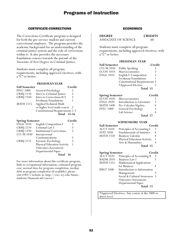### CERTIFICATE-CORRECTIONS

The Corrections Certificate program is designed for both the pre-service student and current correctional employee. The program provides the academic background for an understanding of the criminal justice system and the role of corrections within it. It also provides the necessary foundation courses towards the pursuit of the Associate of Arts Degree in Criminal Justice.

Students must complete all program requirements, including approved electives, with a "C" or better.

### **FRESHMAN YEAR**

| <b>Fall Semester</b> |                                        | Credit |
|----------------------|----------------------------------------|--------|
| <b>PSYC 1000</b>     | General Psychology                     | 3      |
| <b>CRMJ</b> 2120     | Intro to Criminal Justice              | 3      |
| <b>CRMJ 2350</b>     | Intro to Corrections II/I              | 3      |
|                      | Freshman Foundations                   |        |
| <b>MATH 1515</b>     | Applied Technical Math                 |        |
|                      | or higher level math course            | -3     |
|                      | <b>Constitutional Requirements 2-3</b> |        |
|                      | <b>Total 15-16</b>                     |        |
|                      |                                        |        |

| <b>Spring Semester</b> |                                  | Credit |
|------------------------|----------------------------------|--------|
| <b>ENGL 1010</b>       | English Composition I            | 3      |
| <b>CRMJ</b> 2210       | Criminal Law I                   |        |
| <b>CRMJ 2370</b>       | <b>Institutional Corrections</b> |        |
| CO/M 1030              | Interpersonal                    |        |
|                        | Communications                   |        |
| <b>CRMJ 2125</b>       | Forensic Psychology              | 3      |
|                        | Physical Education Activity      |        |
|                        | <b>Outcomes Assessment:</b>      |        |
|                        | Departmental Paper               |        |
|                        | Total                            | 16     |

For more information about this certificate program, links to occupational information, estimated program cost, normal time for program completion, median debt at program completion (if available), please visit EWC's website at: http://ewc.wy.edu/futurestudents/financial-aid/career/.

### ECONOMICS

| <b>DEGREE</b>        | <b>CREDITS</b> |
|----------------------|----------------|
| ASSOCIATE OF SCIENCE | 60             |

Students must complete all program requirements, including approved electives, with a "C" or better.

### **FRESHMAN YEAR**

| <b>Fall Semester</b> |                                      | Credit |
|----------------------|--------------------------------------|--------|
| CO/M 2020            | Public Speaking                      | 3      |
| <b>ECON 1010</b>     | Macroeconomics                       | 3      |
| <b>ENGL 1010</b>     | English I: Composition               | 3      |
|                      | Freshman Foundations                 |        |
|                      | <b>Constitutional Requirements 3</b> |        |
|                      | *Approved Elective                   |        |
|                      | Total 15                             |        |
|                      |                                      |        |

| <b>Spring Semester</b> |                            | Credit |
|------------------------|----------------------------|--------|
| $ECON$ 1020            | Microeconomics             |        |
| <b>ENGL 2020</b>       | Introduction to Literature | ξ      |
| <b>MATH 1400</b>       | Pre-Calculus Algebra       |        |
| <b>PSYC 1000</b>       | General Psychology         | 3      |
|                        | Lab Science                |        |
|                        |                            |        |

### **Total 17**

### **SOPHOMORE YEAR**

| <b>Fall Semester</b> | Credit                      |                |
|----------------------|-----------------------------|----------------|
| <b>ACCT 1010</b>     | Principles of Accounting I  | 3              |
| <b>STAT 2050</b>     | Fundamentals of Statistics  | $\overline{4}$ |
| <b>MATH 2350</b>     | <b>Business Calculus</b>    |                |
|                      | Physical Education Activity |                |
|                      | Arts & Humanities           |                |
|                      | Total 15                    |                |

| <b>Spring Semester</b> |                             | Credit |
|------------------------|-----------------------------|--------|
| <b>ACCT 1020</b>       | Principles of Accounting II | 3      |
| <b>BADM 2010</b>       | <b>Business Law I</b>       |        |
| <b>MATH 2355</b>       | Mathematical Applications   |        |
|                        | for Business                |        |
| <b>IMGT 2400</b>       | Introduction to Information |        |
|                        | Management                  | 3      |
|                        | Social & Cultural Awareness | -3     |
|                        | Outcomes Assessment:        |        |
|                        | Departmental Paper          |        |
|                        | Total 13                    |        |

\*Approved Electives: Any course at the 1000 or above level.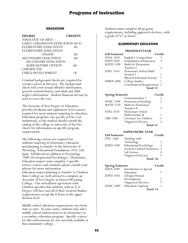### EDUCATION

| <b>DEGREE</b>                   | <b>CREDITS</b> |
|---------------------------------|----------------|
| ASSOCIATE OF ARTS—              |                |
| EARLY CHILDHOOD EDUCATION 60-61 |                |
| ELEMENTARY EDUCATION            | 60             |
| ELEMENTARY EDUCATION            |                |
| ONLINE                          | 60             |
| <b>SECONDARY EDUCATION</b>      | 60             |
| SECONDARY EDUCATION-            |                |
| <b>AGRICULTURE OPTION</b>       | 60             |
| CERTIFICATE-                    |                |
| <b>CHILD DEVELOPMENT</b>        | 18             |

Criminal background checks are required for certain courses in this area. The background check will cover sexual offender information, general criminal history, and adult and child neglect information. Student financial aid may be used to cover the cost.

The Associate of Arts Degree in Education provides freshman and sophomore level courses required for most students majoring in education. Education programs vary greatly at four-year institutions, so the student should consult the catalog of the college or university of his/her choice for information on specific program requirements.

The following courses are required for students majoring in elementary education and planning to transfer to the University of Wyoming: Educational Foundations 2451, Life Span: Adulthood (in addition to Psychology 2300, Developmental Psychology). Elementary Education majors must complete 3 specific science courses and seminars; please consult your advisor for more information. Education majors planning to transfer to Chadron State College are well-advised to complete an Associate of Arts Degree at Eastern Wyoming College. Our articulation agreement with Chadron specifies that students with an A.A. Degree will have met all of their General Studies requirements except the 6 hours at the upper division level.

Middle school education requirements vary from state to state. In some states, students may add a middle school endorsement to an elementary or a secondary education program. Specific courses for this endorsement are not currently available at this community college.

Students must complete all program requirements, including approved electives, with a grade of "C" or better.

### ELEMENTARY EDUCATION

### **FRESHMAN YEAR**

| <b>Fall Semester</b> | Credit                              |   |
|----------------------|-------------------------------------|---|
| <b>ENGL 1010</b>     | English I: Composition              |   |
| <b>EDFD 2020</b>     | <b>Foundations of Education</b>     |   |
| <b>MATH 1100</b>     | Math for Elementary                 |   |
|                      | Teachers I                          | 3 |
| <b>EDEL 1410</b>     | Elementary School Math              |   |
|                      | Seminar I                           |   |
|                      | <b>Physical Education Activity</b>  |   |
| <b>HMDV 1000</b>     | College Studies                     |   |
|                      | <b>Constitutional Requirement 3</b> |   |
|                      | Total 15                            |   |

| <b>Spring Semester</b> |                         | Credit |
|------------------------|-------------------------|--------|
|                        | Communication 2         |        |
| <b>EDUC 2100</b>       | Practicum in Teaching   | 2      |
| <b>MATH 2120</b>       | Math for Elementary     |        |
|                        | Teachers II             |        |
| <b>EDEL 2410</b>       | Elementary School       |        |
|                        | Math Seminar II         |        |
| <b>LIBS 2280</b>       | Literature for Children |        |
|                        | *Approved Elective      |        |
|                        | $T_{042}$ 115           |        |

**Total 15**

### **SOPHOMORE YEAR**

| <b>Fall Semester</b> |                               | Credit        |
|----------------------|-------------------------------|---------------|
| <b>ITEC 2360</b>     | Teaching with                 |               |
|                      | Technology                    |               |
| <b>EDFD 2100</b>     | <b>Educational Psychology</b> | 3             |
|                      | Social & Cultural Awareness   | $\mathcal{R}$ |
|                      | Lab Science                   |               |
|                      | *Approved Elective            |               |
|                      | Total 16                      |               |
|                      |                               |               |

| <b>Spring Semester</b> |                           | Credit |
|------------------------|---------------------------|--------|
| $EDEX$ 2484            | Introduction to Special   |        |
|                        | Education                 | 3      |
| <b>EDFD 2450</b>       | Lifespan Human            |        |
|                        | Development               | 3      |
|                        | *Approved Electives       |        |
| <b>EDUC 2800</b>       | <b>Education Capstone</b> |        |
|                        | Total 14                  |        |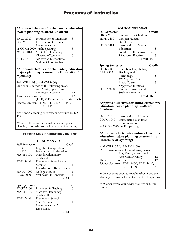### **\*Approved electives for elementary education majors planning to attend Chadron:**

| <b>ENGL 2020</b><br>CO/M 1040 | Introduction to Literature<br>Introduction to Human | 3 |
|-------------------------------|-----------------------------------------------------|---|
|                               | Communication                                       | 3 |
|                               | or CO/M 2020 Public Speaking                        | 3 |
| <b>MUSC 2018</b>              | Music for Elementary                                |   |
|                               | Classroom Teachers                                  | ર |
| <b>ART 2074</b>               | Art for the Elementary/                             |   |
|                               | Middle School Teacher                               |   |

### **\*Approved electives for elementary education majors planning to attend the University of Wyoming:**

\*\*MATH 1105 (or MATH 1400) One course in each of the following areas: Art, Music, Speech, and<br>American Diversity 12<br>ourses 12 Three science courses (LIFE, ASTR/GEOL,CHEM/PHYS) Science Seminars: EDEL 1430, EDEL 1440, **EDEL 1450** 

Note: most coaching endorsements require HLED 1221.

\*\*One of these courses must be taken if you are planning to transfer to the University of Wyoming.

### ELEMENTARY EDUCATION - ONLINE

#### **FRESHMAN YEAR**

| <b>Fall Semester</b> | Credit                            |    |
|----------------------|-----------------------------------|----|
| <b>ENGL 1010</b>     | English I: Composition            |    |
| <b>EDFD 2020</b>     | Foundations of Education          | 3  |
| <b>MATH 1100</b>     | Math for Elementary               |    |
|                      | Teachers I                        | 3  |
| <b>EDEL 1410</b>     | Elementary School Math            |    |
|                      | Seminar I                         |    |
|                      | <b>Constitutional Requirement</b> | -3 |
| <b>HMDV 1000</b>     | College Studies                   |    |
| <b>PEAC 2000</b>     | Wellness/PE Concepts              |    |
|                      | Total 15                          |    |
|                      |                                   |    |

| <b>Spring Semester</b> |                       | Credit |
|------------------------|-----------------------|--------|
| EDUC2100               | Practicum in Teaching | 3      |
| <b>MATH 2120</b>       | Math for Elementary   |        |
|                        | <b>Teachers II</b>    | 3      |
| <b>EDEL 2410</b>       | Elementary School     |        |
|                        | Math Seminar II       |        |
|                        | Communication 2       | 3      |
|                        | Lab Science           |        |
|                        | Total 14              |        |

### **SOPHOMORE YEAR**

| <b>Fall Semester</b>                       |                                                    | Credit |
|--------------------------------------------|----------------------------------------------------|--------|
| <b>LIBS 2280</b>                           | Literature for Children                            | 3      |
| <b>EDFD 2450</b>                           | Lifespan Human                                     |        |
|                                            | Development                                        | 3      |
| <b>EDEX 2484</b>                           | Introduction to Special                            |        |
|                                            | Education                                          | 3      |
|                                            | Social & Cultural Awareness                        | 3      |
|                                            | *Approved Elective                                 | 3      |
|                                            | Total 15                                           |        |
|                                            |                                                    |        |
|                                            |                                                    |        |
|                                            |                                                    | Credit |
| <b>Spring Semester</b><br><b>EDFD 2100</b> |                                                    | 3      |
| <b>ITEC 2360</b>                           | <b>Educational Psychology</b>                      |        |
|                                            | Teaching with                                      | 3      |
|                                            | Technology                                         |        |
|                                            | ***Approved Art or<br>Music Course                 | 3      |
|                                            |                                                    | 6      |
| <b>EDUC 2800</b>                           | *Approved Electives<br><b>Outcomes Assessment:</b> |        |
|                                            | Student Portfolio                                  | 1      |

### **\*Approved electives for online elementary education majors planning to attend Chadron:**

| <b>ENGL 2020</b> | Introduction to Literature   | -3            |
|------------------|------------------------------|---------------|
| $CO/M$ 1040      | Introduction to Human        |               |
|                  | Communication                | 3             |
|                  | or CO/M 2020 Public Speaking | $\mathcal{R}$ |

**\*Approved electives for online elementary education majors planning to attend the University of Wyoming:**

\*\*MATH 1105 (or MATH 1400) One course in each of the following areas: Art, Music, Speech, and American Diversity 12<br>ourses 12 Three science courses Science Seminars: EDEL 1430, EDEL 1440,<br>EDEL 1450 3 **EDEL 1450** 

\*\*One of these courses must be taken if you are planning to transfer to the University of Wyoming.

\*\*\*Consult with your advisor for Art or Music course.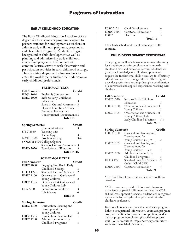### EARLY CHILDHOOD EDUCATION

The Early Childhood Education Associate of Arts degree is a four-semester program designed to prepare students for employment as teachers or aides in early childhood programs, preschools, and Head Start Programs. Students will gain background in child development as well as planning and administering early childhood educational programs. The courses will combine lecture activities with observation and participation activities in early childhood settings. The associate's degree will allow students to enter the workforce or further their education as early childhood professionals.

### **FRESHMAN YEAR**

| <b>Fall Semester</b>             |                                      | Credit |
|----------------------------------|--------------------------------------|--------|
| <b>ENGL 1010</b>                 | English I: Composition               | 3      |
| <b>EDEC</b> 1020                 | Intro to Early Childhood             |        |
|                                  | Education                            | 3      |
|                                  | Social & Cultural Awareness          | 3      |
|                                  | Physical Education Activity          |        |
|                                  | Freshman Foundations                 |        |
|                                  | <b>Constitutional Requirements 3</b> |        |
|                                  | Total 14                             |        |
| Credit<br><b>Spring Semester</b> |                                      |        |
|                                  | Communication 2                      | 3      |
| <b>ITEC 2360</b>                 | Teaching with                        |        |
|                                  | Technology                           | 3      |
| <b>MATH 1000</b>                 | Problem Solving                      | 3-4    |
| or MATH 1400 College Algebra     |                                      |        |

- Social & Cultural Awareness 3 EDFD 2020 Foundations of Education 3
	- **Total 15-16**

### **SOPHOMORE YEAR**

| <b>Fall Semester</b> |                                   | Credit         |
|----------------------|-----------------------------------|----------------|
| <b>EDEC 2000</b>     | <b>Engaging Families in Early</b> |                |
|                      | Childhood Settings                |                |
| <b>HLED 1221</b>     | Standard First Aid & Safety       | $\mathfrak{D}$ |
| <b>EDEC 1100</b>     | Observation & Guidance of         |                |
|                      | Young Children                    | 2              |
| <b>EDEC</b> 1105     | Observation & Guidance of         |                |
|                      | Young Children Lab                |                |
| <b>LIBS 2280</b>     | Literature for Children           | 3              |
|                      | Lab Science                       |                |
|                      | Total 15                          |                |

| <b>Spring Semester</b> |                         | Credit |
|------------------------|-------------------------|--------|
| EDEC1300               | Curriculum Planning and |        |
|                        | Development for         |        |
|                        | Young Children          | 2      |
| <b>EDEC 1305</b>       | Curriculum Planning Lab |        |
| <b>EDEC</b> 1200       | Administration in Early |        |
|                        | Childhood Programs      |        |

| FCSC 2121 | Child Development    |  |
|-----------|----------------------|--|
| EDUC 2800 | Capstone: Education* |  |
| EDEC      | Electives            |  |
|           | Total 16             |  |

\* For Early Childhood it will include portfolio creation.

### CHILD DEVELOPMENT CERTIFICATE

This program will enable students to meet the entry level requirements for employment in an early childhood care and education setting. Students will gain basic knowledge of child development and acquire the fundamental skills necessary to effectively educate and care for young children. The program provides professional training through a combination of coursework and applied experiences working with children.

| <b>Fall Semester</b> |                             | Credit |
|----------------------|-----------------------------|--------|
| <b>EDEC 1020</b>     | Intro to Early Childhood    |        |
|                      | Education                   |        |
| <b>EDEC</b> 1100     | Observation and Guidance of |        |
|                      | Young Children              |        |
| <b>EDEC</b> 1105     | Observation and Guidance of |        |
|                      | Young Children Lab          |        |
|                      | Early Childhood Electives   | $3-4$  |
|                      | <b>Total 9-10</b>           |        |

| <b>Spring Semester</b> |                             | Credit        |
|------------------------|-----------------------------|---------------|
| <b>EDEC</b> 1300       | Curriculum Planning and     |               |
|                        | Development for             |               |
|                        | Young Children (30)**       | 2             |
| <b>EDEC 1305</b>       | Curriculum Planning and     |               |
|                        | Development for             |               |
|                        | Young Children - Lab        |               |
| <b>EDEC 1200</b>       | Administration in Early     |               |
|                        | Childhood Programs          |               |
| <b>HLED 1221</b>       | Standard First Aid & Safety | $\mathcal{P}$ |
|                        | (Infant/Child CPR)          |               |
| <b>EDUC 2800</b>       | Capstone: Education*        |               |
|                        | Total 9                     |               |

\*For Child Development it will include portfolio creation.

\*\*Three courses provide 90 hours of classroom experience as partial fulfillment to meet the CDA. (Child Development Associate credential is recognized nationwide for entry-level employment into the childcare profession.)

For more information about this certificate program, links to occupational information, estimated program cost, normal time for program completion, median debt at program completion (if available), please visit EWC's website at: http://ewc.wy.edu/futurestudents/financial-aid/career/.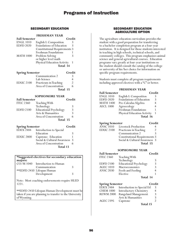### SECONDARY EDUCATION

### **FRESHMAN YEAR**

| <b>Fall Semester</b>   | Credit                               |  |
|------------------------|--------------------------------------|--|
| <b>ENGL 1010</b>       | English I: Composition               |  |
| <b>EDFD 2020</b>       | Foundations of Education             |  |
|                        | <b>Constitutional Requirements 3</b> |  |
|                        | Freshman Foundations                 |  |
| <b>MATH 1000</b>       | Problem Solving                      |  |
|                        | or higher level math                 |  |
|                        | Physical Education Activity          |  |
|                        | Total 14                             |  |
| <b>Spring Semester</b> | Credit                               |  |
|                        | Communication 2                      |  |
|                        | Lab Science                          |  |
| <b>EDUC 2100</b>       | Practicum in Teaching                |  |

| EDUC 2100 | Practicum in Teaching |  |
|-----------|-----------------------|--|
|           | Area of Concentration |  |
|           | Total 15              |  |

#### **SOPHOMORE YEAR Fall Semester Credit**

| ган эешемег      |                               | eregit |  |
|------------------|-------------------------------|--------|--|
| <b>ITEC 2360</b> | Teaching With                 |        |  |
|                  | Technology                    |        |  |
| <b>EDFD 2100</b> | <b>Educational Psychology</b> | 3      |  |
|                  | Arts & Humanities             |        |  |
|                  | Area of Concentration         |        |  |
|                  | Total 15                      |        |  |
|                  |                               |        |  |

| <b>Spring Semester</b> |                                   | Credit |
|------------------------|-----------------------------------|--------|
|                        | EDEX 2484 Introduction to Special |        |
|                        | Education                         |        |
| <b>EDUC 2800</b>       | Capstone: Education               |        |
|                        | Social & Cultural Awareness 3     |        |
|                        | Area of Concentration             |        |
|                        | Total 13                          |        |

#### **\*Suggested electives for secondary education majors:**

| Introduction to Human      |  |
|----------------------------|--|
| Communication              |  |
| **EDFD 2450 Lifespan Human |  |
| Development                |  |
|                            |  |

Note: Most coaching endorsements require HLED 1221.

\*\*EDFD 2450 Lifespan Human Development must be taken if you are planning to transfer to the University of Wyoming.

### SECONDARY EDUCATION AGRICULTURE OPTION

The agriculture education curriculum provides the student with a good preparation for transferring to a bachelor completion program at a four-year institution. It is designed for those students interested in teaching in high schools, technical schools, and community colleges. This program emphasizes animal science and general agricultural courses. Education programs vary greatly at four-year institutions so the student should consult the catalog of the college or university of his/her choice for information on specific program requirements.

Students must complete all program requirements including approved electives with a "C" or better.

### **FRESHMAN YEAR**

| <b>Fall Semester</b> |                             | Credit |
|----------------------|-----------------------------|--------|
| <b>ENGL 1010</b>     | English I: Composition      | 3      |
| <b>EDFD 2020</b>     | Foundations of Education    | 3      |
| <b>MATH 1400</b>     | Pre-Calculus Algebra        | 4      |
| <b>AECL 1000</b>     | Agroecology                 |        |
|                      | Freshman Foundations        |        |
|                      | Physical Education Activity |        |
|                      | Total 16                    |        |

| <b>Spring Semester</b>        | Credit                               |
|-------------------------------|--------------------------------------|
| Livestock Production          |                                      |
| Practicum in Teaching         | $\mathcal{P}$                        |
| Communication 2               |                                      |
|                               |                                      |
| Social & Cultural Awareness 3 |                                      |
| Total 15                      |                                      |
|                               | <b>Constitutional Requirements 3</b> |

### **SOPHOMORE YEAR**

| <b>Fall Semester</b> |                               | Credit |
|----------------------|-------------------------------|--------|
| <b>ITEC 2360</b>     | Teaching With                 |        |
|                      | Technology                    | 3      |
| <b>EDFD 2100</b>     | <b>Educational Psychology</b> | 3      |
| <b>AGEC 1010</b>     | Macroeconomics                | 3      |
| <b>ANSC 2030</b>     | Feeds and Feeding             |        |
|                      | Elective                      |        |
|                      | Total 14                      |        |

| <b>Spring Semester</b> |                               | Credit |
|------------------------|-------------------------------|--------|
| <b>EDEX 2484</b>       | Introduction to Special Ed    | 3      |
| <b>CHEM 1000</b>       | <b>Introductory Chemistry</b> | 4      |
| <b>REWM 2000</b>       | Rangeland Management          | 3      |
|                        | Arts & Humanities             | ੨      |
| <b>AGEC 2395</b>       | Capstone                      |        |
|                        | Total 15                      |        |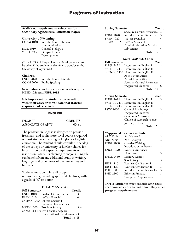### **Additional requirements/electives for Secondary Agriculture Education majors:**

#### **University of Wyoming:**

| CO/M 1040        | Introduction to Human |
|------------------|-----------------------|
|                  | Communication         |
| <b>BIOL</b> 1010 | General Biology I     |
| *EDFD 2450       | Lifespan Human        |
|                  | Development           |

(\*EDFD 2450 Lifespan Human Development must be taken if the student is planning to transfer to the University of Wyoming.)

### **Chadron:**

ENGL 2020 Introduction to Literature CO/M 2020 Public Speaking

**Note: Most coaching endorsements require HLED 1221 and PEPR 1052**

**It is important for students to consult with their advisor to validate that transfer requirements are met.**

### ENGLISH

**DEGREE CREDITS** ASSOCIATE OF ARTS 60-61

The program in English is designed to provide freshman- and sophomore-level courses required of most students majoring in English or English education. The student should consult the catalog of the college or university of his/her choice for information on the specific requirements of that institution. Students planning to major in English can benefit from any additional study in writing, language, and other areas of the humanities and fine arts.

Students must complete all program requirements, including approved electives, with a grade of "C" or better.

### **FRESHMAN YEAR**

| <b>Fall Semester</b> |                                      | Credit             |
|----------------------|--------------------------------------|--------------------|
| <b>ENGL 1010</b>     | English I: Composition               | 3                  |
| <b>FREN 1010</b>     | 1st Year French I                    |                    |
|                      | or SPAN 1010 1st Year Spanish I      |                    |
|                      | Freshman Foundations                 |                    |
|                      | MATH 1000 Problem Solving            | $3-4$              |
|                      | or MATH 1400 Pre-Calculus Algebra    |                    |
|                      | <b>Constitutional Requirements 3</b> |                    |
|                      |                                      | <b>Total 14-15</b> |

| <b>Spring Semester</b> | Credit                             |   |
|------------------------|------------------------------------|---|
|                        | Social & Cultural Awareness 3      |   |
| <b>ENGL 2020</b>       | Introduction to Literature         | 3 |
| <b>FREN 1020</b>       | 1st Year French II                 |   |
| or SPAN 1020           | 1st Year Spanish II                |   |
|                        | <b>Physical Education Activity</b> |   |
|                        | Lab Science                        |   |
|                        | Total 15                           |   |

### **SOPHOMORE YEAR**

| <b>Fall Semester</b>   |                                         | Credit         |
|------------------------|-----------------------------------------|----------------|
|                        | ENGL 2425 Literatures in English I      | 3              |
|                        | or ENGL 2430 Literatures in English II  |                |
|                        | or ENGL 2435 Literatures in English III |                |
|                        | Arts & Humanities                       | 3              |
|                        | Arts & Humanities or                    |                |
|                        | Social & Cultural Awareness             | -3             |
|                        | *Approved Electives                     | 6              |
|                        | Total 15                                |                |
| <b>Spring Semester</b> |                                         | $\Gamma$ redit |

| эргинд эсшсэксг  |                                         | uuu |
|------------------|-----------------------------------------|-----|
|                  | ENGL 2425 Literatures in English I      |     |
|                  | or ENGL 2430 Literatures in English II  |     |
|                  | or ENGL 2435 Literatures in English III |     |
| <b>PSYC 1000</b> | General Psychology                      |     |
|                  | *Approved Electives                     | 10  |
|                  | <b>Outcomes Assessment:</b>             |     |
|                  | Choice of Research Project,             |     |
|                  | Journal, or Essay                       |     |
|                  | Total 16                                |     |
|                  |                                         |     |

|                  | *Approved electives include:  |   |
|------------------|-------------------------------|---|
| <b>ART 2010</b>  | Art History I                 |   |
| <b>ART 2020</b>  | Art History II                |   |
| <b>ENGL 2050</b> | Creative Writing -            |   |
|                  | Introduction to Fiction       | 3 |
| <b>ENGL 2370</b> | Western American              |   |
|                  | Literature                    |   |
| <b>ENGL 2440</b> | Literary Genres:              |   |
|                  | <b>Short Story</b>            |   |
| <b>HIST 1110</b> | <b>Western Civilization I</b> |   |
| <b>HIST 1120</b> | Western Civilization II       |   |
| <b>PHIL 1000</b> | Introduction to Philosophy    | 3 |
| <b>PHIL 2300</b> | Ethics in Practice            |   |
|                  | <b>Computer Applications</b>  |   |

**NOTE: Students must consult with their academic advisors to make sure they meet program requirements.**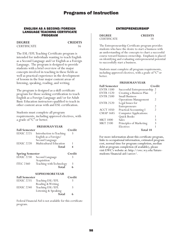#### ENGLISH AS A SECOND/FOREIGN LANGUAGE TEACHING CERTIFICATE PROGRAM

**DEGREE CREDITS** CERTIFICATE 16

The ESL/EFL Teaching Certificate program is intended for individuals wanting to teach English as a Second Language and/or English as a Foreign Language. The program is designed to provide students with a brief overview of the major concepts involved in teaching in these fields as well as practical experience in the development of lessons in the four major content areas of listening, speaking, reading, and writing.

The program is designed as a skill certificate program for those seeking certification to teach English as a Foreign Language and/or for Adult Basic Education instructors qualified to teach in other content areas with and ESL certification.

Students must complete all program requirements, including approved electives, with a grade of "C" or better.

|                        | <b>FRESHMANYEAR</b>      |        |
|------------------------|--------------------------|--------|
| <b>Fall Semester</b>   |                          | Credit |
| <b>EDUC 2225</b>       | Introduction to Teaching | 3      |
|                        | English as a Foreign/    |        |
|                        | Second Language          |        |
| EDUC 2220              | Multicultural Education  |        |
|                        | Total                    |        |
| <b>Spring Semester</b> |                          | Credit |
| <b>EDUC 2230</b>       | Second Language          | 3      |
|                        | Acquisition              |        |
| <b>ITEC 2360</b>       | Teaching with Technology | 3      |
|                        | Total                    |        |
| <b>SOPHOMOREYEAR</b>   |                          |        |

| <b>Fall Semester</b> |                      | Credit |
|----------------------|----------------------|--------|
| EDUC 2235            | Teaching ESL/EFL     |        |
|                      | Reading & Writing    |        |
| EDUC 2240            | Teaching ESL/EFL     | 3      |
|                      | Listening & Speaking |        |
|                      | <b>Total</b>         | 6      |

Federal Financial Aid is not available for this certificate program.

### ENTREPRENEURSHIP

| <b>DEGREE</b>      | <b>CREDITS</b> |
|--------------------|----------------|
| <b>CERTIFICATE</b> |                |

The Entrepreneurship Certificate program provides students who have the desire to start a business with an understanding of the concepts to chart a successful course toward business ownership. Emphasis is placed on identifying and evaluating entrepreneurial potential to successfully start a business.

Students must complete all program requirements, including approved electives, with a grade of "C" or better.

### **FRESHMAN YEAR**

| <b>Fall Semester</b> |                               | Credit |
|----------------------|-------------------------------|--------|
| <b>ENTR 1500</b>     | Successful Entrepreneurship 2 |        |
| <b>ENTR 1520</b>     | Creating a Business Plan      |        |
| <b>ENTR 2500</b>     | <b>Small Business</b>         |        |
|                      | <b>Operations Management</b>  | 2      |
| <b>ENTR 2520</b>     | Legal Issues for              |        |
|                      | Entrepreneurs                 | 2      |
| <b>ACCT 1050</b>     | <b>Practical Accounting I</b> | 2      |
| <b>CMAP 1685</b>     | <b>Computer Applications:</b> |        |
|                      | Quick Books                   |        |
| <b>MKT 1000</b>      | Sales                         | 3      |
| <b>MKT 2100</b>      | Principles of Marketing       | 3      |
|                      | Electives                     |        |
|                      | m. 140                        |        |

**Total 18**

For more information about this certificate program, links to occupational information, estimated program cost, normal time for program completion, median debt at program completion (if available), please visit EWC's website at: http://ewc.wy.edu/futurestudents/financial-aid/career/.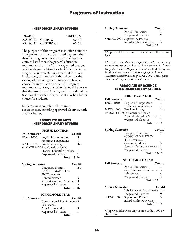### INTERDISCIPLINARY STUDIES

| <b>DEGREE</b>        | <b>CREDITS</b> |
|----------------------|----------------|
| ASSOCIATE OF ARTS    | $60-62$        |
| ASSOCIATE OF SCIENCE | 60-63          |

The purpose of this program is to offer a student an opportunity for a broad-based degree rather than focusing on any one major area. Specific courses listed meet the general education requirements for EWC. It is suggested that you work with your advisor to select other electives. Degree requirements vary greatly at four-year institutions, so the student should consult the catalog of the college or university of his/her choice for information on specific program requirements. Also, the student should be aware that the Associate of Arts degree is considered the traditional "transfer" degree, so it may be a better choice for students.

Students must complete all program requirements, including approved electives, with a "C" or better.

### ASSOCIATE OF ARTS INTERDISCIPLINARY STUDIES

#### **FRESHMAN YEAR**

| <b>Fall Semester</b> |                                   | Credit |
|----------------------|-----------------------------------|--------|
| <b>ENGL 1010</b>     | English I: Composition            | 3      |
|                      | Freshman Foundations              |        |
| MATH 1000            | Problem Solving                   | $3-4$  |
|                      | or MATH 1400 Pre-Calculus Algebra |        |
|                      | Physical Education Activity       |        |
|                      | *Approved Electives               |        |
|                      | <b>Total 15-16</b>                |        |

| <b>Spring Semester</b>        | Credit             |
|-------------------------------|--------------------|
| <b>Computer Electives</b>     | $2 - 3$            |
| (COSC/CMAP/ITEC/              |                    |
| <b>INET</b> courses)          |                    |
| Communication 2               |                    |
| Social & Cultural Awareness 3 |                    |
| *Approved Electives           |                    |
|                               | <b>Total 15-16</b> |

### **SOPHOMORE YEAR**

| <b>Fall Semester</b> |                                      | Credit |
|----------------------|--------------------------------------|--------|
|                      | <b>Constitutional Requirements 3</b> |        |
|                      | Lab Science                          |        |
|                      | Arts & Humanities                    | 3      |
|                      | *Approved Electives                  | Ч      |
|                      | Total 15                             |        |

| <b>Spring Semester</b> |                                | Credit |
|------------------------|--------------------------------|--------|
|                        | Arts & Humanities              |        |
|                        | *Approved Electives            | g      |
|                        | ** ENGL 2001 Sophomore Project |        |
|                        | Interdisciplinary Writing      | 3      |
|                        | Total 15                       |        |

\*Approved Elective: Any course at the 1000 or above level.

**\*\*Note:** *If a student has completed 24-28 credit hours of program requirements in Business Administration, AA Degree; Pre-professional, AS Degrees; or Education, AA & AS Degrees; he/she may be eligible to take those program Outcomes Assessment activities instead of ENGL 2001. This requires the permission of one of the Division Chairs.*

### ASSOCIATE OF SCIENCE INTERDISCIPLINARY STUDIES

### **FRESHMAN YEAR Fall Semester Credit** ENGL 1010 English I: Composition 3 Freshman Foundations MATH 1000 Problem Solving 3-4 or MATH 1400 Pre-Calculus Algebra Physical Education Activity 1<br>\*Approved Electives 7 \*Approved Electives 7 **Total 15-16**

| <b>Spring Semester</b> |                             | Credit    |
|------------------------|-----------------------------|-----------|
|                        | <b>Computer Electives</b>   | $2 - 3$   |
|                        | (COSC/CMAP/ITEC/            |           |
|                        | <b>INET</b> courses)        |           |
|                        | Communication 2             | 3         |
|                        | Social & Cultural Awareness | -3        |
|                        | *Approved Electives         |           |
|                        | <b>Total 15-16</b>          |           |
|                        | <b>SOPHOMORE YEAR</b>       |           |
| amester                |                             | $C$ rodit |

| <b>Fall Semester</b>   |                                      | Credit |
|------------------------|--------------------------------------|--------|
|                        | Arts & Humanities                    | 3      |
|                        | <b>Constitutional Requirements 3</b> |        |
|                        | Lab Science                          |        |
|                        | *Approved Electives                  | 5      |
|                        | Total 15                             |        |
| <b>Spring Semester</b> |                                      | Credit |
|                        | Lab Science or Mathematics 3-4       |        |
|                        | *Approved Electives                  |        |
|                        | ** ENGL 2001 Sophomore Project       | 3      |
|                        | Interdisciplinary Writing            |        |
|                        | <b>Total 15-16</b>                   |        |

\*Approved Electives: Any course at the 1000 or above level.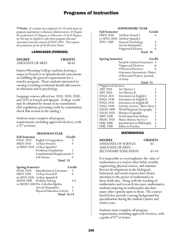**\*\*Note:** *If a student has completed 24-28 credit hours of program requirements in Business Administration, AA Degree; Pre-professional, AS Degrees; or Education, AA & AS Degrees; he/she may be eligible to take those program Outcomes Assessment activities instead of ENGL 2001. This requires the permission of one of the Division Chairs.*

### LANGUAGES (FOREIGN)

**DEGREE CREDITS** ASSOCIATE OF ARTS 60-61

Eastern Wyoming College students desiring a major in French or in Spanish should concentrate on fulfilling the general requirements for a transfer program. Those students interested in earning a teaching credential should add courses in education and in psychology.

Language courses offered are 1010, 1020, 2030, and 2475 in French and Spanish. College credit may be obtained by means of an examination. (For regulations governing credit by examination, check that section in the catalog.)

Students must complete all program requirements, including approved electives, with a "C" or better.

#### **FRESHMAN YEAR**

| <b>Fall Semester</b> |                                      | Credit |
|----------------------|--------------------------------------|--------|
| <b>ENGL 1010</b>     | English I: Composition               | 3      |
| <b>FREN 1010</b>     | 1st Year French I                    |        |
|                      | or SPAN 1010 1st Year Spanish I      |        |
|                      | Freshman Foundations                 |        |
|                      | <b>Constitutional Requirements 3</b> |        |
|                      | Lab Science                          |        |
|                      | Total 15                             |        |

| <b>Spring Semester</b> |                                   | Credit |
|------------------------|-----------------------------------|--------|
| ENGL 2020              | Introduction to Literature        | 3      |
|                        | FREN 1020 1st Year French II      |        |
|                        | or SPAN 1020 1st Year Spanish II  |        |
| <b>MATH 1000</b>       | Problem Solving                   | $3-4$  |
|                        | or MATH 1400 Pre-Calculus Algebra |        |
|                        | Arts & Humanities                 | 3      |
|                        | Physical Education Activity       |        |
|                        | <b>Total 14-15</b>                |        |

### **SOPHOMORE YEAR**

| <b>Fall Semester</b> |                                 | Credit |
|----------------------|---------------------------------|--------|
|                      | FREN 2030 2nd Year French I     |        |
|                      | or SPAN 2030 2nd Year Spanish I |        |
| <b>PSYC 1000</b>     | General Psychology              | 3      |
|                      | Arts & Humanities               | 3      |
|                      | *Approved Elective              | 6      |
|                      | Total 16                        |        |

| <b>Spring Semester</b>        | Credit |
|-------------------------------|--------|
| Social & Cultural Awareness 3 |        |
| *Approved Electives           |        |
| **General Electives           |        |
| Outcomes Assessment: Choice   |        |
| of Research Project, Journal, |        |
| or Essay                      |        |

**Total 15**

| *Approved electives: |                                |   |
|----------------------|--------------------------------|---|
| <b>ART 2010</b>      | Art History I                  | 3 |
| <b>ART 2020</b>      | Art History II                 | 3 |
| <b>ENGL 2425</b>     | Literatures in English I       |   |
| <b>ENGL 2430</b>     | Literatures in English II      |   |
| <b>ENGL 2435</b>     | Literatures in English III     | 3 |
| <b>ENGL 2440</b>     | Literary Genres: Short Story 3 |   |
| <b>GEOG 1000</b>     | World Regional Geography       | 3 |
| <b>GEOG 1020</b>     | Human Geography                |   |
| <b>HIST 2290</b>     | North American Indians         |   |
| <b>MUSC 2050</b>     | Music History Survey I         | 3 |
| <b>PHIL 1000</b>     | Introduction to Philosophy     | 3 |
| <b>PHIL 2300</b>     | Ethics in Practice             |   |

#### MATHEMATICS

| <b>DEGREE</b>        | <b>CREDITS</b> |
|----------------------|----------------|
| ASSOCIATE OF SCIENCE | 62             |
| ASSOCIATE OF ARTS—   |                |
| SECONDARY EDUCATION  | 61-63          |

It is impossible to overemphasize the value of mathematics as a tool in other fields, notably engineering, physical science, and statistics. Recent developments in the biological, behavioral, and social sciences have drawn attention to the power of mathematics in these fields also. Along with the teaching of mathematics and research into pure mathematics, students majoring in mathematics also have many other options open to them. The courses listed below provide a strong background for specialization during the student's junior and senior years.

Students must complete all program requirements, including approved electives, with a grade of "C" or better.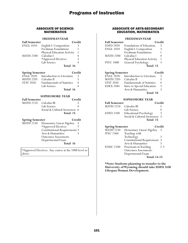### ASSOCIATE OF SCIENCE-MATHEMATICS

|                      | <b>FRESHMANYEAR</b>                |        |
|----------------------|------------------------------------|--------|
| <b>Fall Semester</b> |                                    | Credit |
| ENGL 1010            | English I: Composition             |        |
|                      | Freshman Foundations               |        |
|                      | <b>Physical Education Activity</b> |        |
| <b>MATH 2200</b>     | Calculus I                         |        |
|                      | *Approved Electives                |        |
|                      | Lab Science                        |        |
|                      | Total 16                           |        |

| <b>Spring Semester</b> |                                   | Credit |
|------------------------|-----------------------------------|--------|
| <b>ENGL 2020</b>       | Introduction to Literature        | 3      |
| <b>MATH 2205</b>       | Calculus II                       |        |
| <b>STAT 2050</b>       | <b>Fundamentals of Statistics</b> | 4      |
|                        | Lab Science                       |        |
|                        | Total 16                          |        |

**SOPHOMORE YEAR**

| <b>Fall Semester</b>   | Credit                        |  |
|------------------------|-------------------------------|--|
| MATH 2210 Calculus III |                               |  |
|                        | Lab Science                   |  |
|                        | Social & Cultural Awareness 6 |  |
|                        | Total 15                      |  |

| <b>Spring Semester</b>                |                                      | Credit |
|---------------------------------------|--------------------------------------|--------|
| $\overline{M}$ ATH $\overline{2}$ 250 | Elementary Linear Algebra            | -3     |
|                                       | *Approved Electives                  |        |
|                                       | <b>Constitutional Requirements 3</b> |        |
|                                       | Arts & Humanities                    |        |
|                                       | Outcomes Assessment:                 |        |
|                                       | Departmental Exam                    |        |
|                                       | Total 16                             |        |

\*Approved Electives: Any course at the 1000 level or above.

### ASSOCIATE OF ARTS-SECONDARY EDUCATION, MATHEMATICS

### **FRESHMAN YEAR**

| <b>Fall Semester</b> |                             | Credit |
|----------------------|-----------------------------|--------|
| <b>EDFD 2020</b>     | Foundations of Education    | 3      |
| <b>ENGL 1010</b>     | English I: Composition      | 3      |
|                      | Freshman Foundations        |        |
| <b>MATH 2200</b>     | Calculus I                  |        |
|                      | Physical Education Activity |        |
| <b>PSYC 1000</b>     | General Psychology          |        |
|                      | Total 15                    |        |

| <b>Spring Semester</b> |                                   | Credit |
|------------------------|-----------------------------------|--------|
| <b>ENGL 2020</b>       | Introduction to Literature        | 3      |
| <b>MATH 2205</b>       | Calculus II                       |        |
| <b>STAT 2050</b>       | <b>Fundamentals of Statistics</b> | 4      |
| <b>EDEX 2484</b>       | Intro to Special Education        | 3      |
|                        | Arts & Humanities                 |        |
|                        | Total 18                          |        |

### **SOPHOMORE YEAR**

| <b>Fall Semester</b>   |                               | Credit |
|------------------------|-------------------------------|--------|
| MATH 2210 Calculus III |                               |        |
|                        | Lab Science                   |        |
| <b>EDFD 2100</b>       | <b>Educational Psychology</b> | 3      |
|                        | Social & Cultural Awareness 3 |        |
|                        | Total 15                      |        |

| <b>Spring Semester</b> |                                   | Credit  |
|------------------------|-----------------------------------|---------|
| <b>MATH 2250</b>       | Elementary Linear Algebra         | 3       |
| <b>ITEC 2360</b>       | Teaching with                     |         |
|                        | Technology                        | 3       |
|                        | <b>Constitutional Requirement</b> | 3       |
|                        | Arts & Humanities                 |         |
| <b>EDUC 2100</b>       | Practicum in Teaching             | $2 - 3$ |
|                        | <b>Outcomes Assessment:</b>       |         |
|                        | Departmental Exam                 |         |
|                        | <b>Total: 14-15</b>               |         |

**\*Note: Students planning to transfer to the University of Wyoming should take EDFD 2450 Lifespan Human Development.**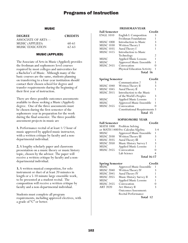### MUSIC

| <b>DEGREE</b>      | <b>CREDITS</b> |
|--------------------|----------------|
| ASSOCIATE OF ARTS— |                |
| MUSIC (APPLIED)    | 60-61          |
| MUSIC EDUCATION    | 62-63          |

### MUSIC (APPLIED)

The Associate of Arts in Music (Applied) provides the freshman and sophomore level courses required by most colleges and universities for a Bachelor's of Music. Although many of the basic courses are the same, students planning on transferring to a four-year institution should contact their chosen school for degree and transfer requirements during the beginning of their first year of instruction.

There are three possible outcomes assessments available to those seeking a Music (Applied) degree. One of the three assessments must be chosen during the first semester of the sophomore year in preparation for the work during the final semester. The three possible assessment projects in music are

**1.** Performance recital of at least 1/2 hour of music approved by applied music instructor, with a written critique by faculty and a nondepartmental individual.

**2.** A lengthy scholarly paper and classroom presentation on a music theory or music history topic, chosen by the advisor. The paper will receive a written critique by faculty and a nondepartmental individual.

**3.** A written musical composition, for solo instrument or duet of at least 20 minutes in length or a 5-10 minute large ensemble work, to be presented at a student recital. The composition will receive a written critique by faculty and a non-departmental individual.

Students must complete all program requirements, including approved electives, with a grade of "C" or better.

### **FRESHMAN YEAR**

| <b>Fall Semester</b> |                                    | Credit         |
|----------------------|------------------------------------|----------------|
| <b>ENGL 1010</b>     | English I: Composition             |                |
|                      | Freshman Foundations               |                |
| <b>MUSC 1000</b>     | Introduction to Music              |                |
| <b>MUSC 1030</b>     | Written Theory I                   | 3              |
| <b>MUSC 1035</b>     | Aural Theory I                     |                |
| <b>MUSC 1415</b>     | Introduction to Music              |                |
|                      | Technology                         | $\mathfrak{D}$ |
| MUSC                 | <b>Applied Music Lessons</b>       |                |
| MUSC                 | <b>Approved Music Ensemble</b>     |                |
| <b>MUSC 2455</b>     | Convocation                        |                |
|                      | <b>Physical Education Activity</b> |                |
|                      | Total 16                           |                |

| <b>Spring Semester</b> |                                      | Credit |
|------------------------|--------------------------------------|--------|
|                        | Communication 2                      |        |
| <b>MUSC 1040</b>       | Written Theory II                    | 3      |
| <b>MUSC 1045</b>       | Aural Theory II                      |        |
| <b>MUSC 2015</b>       | Introduction to the Music            |        |
|                        | of the World's Peoples               | 3      |
| MUSC                   | <b>Applied Music Lessons</b>         |        |
| <b>MUSC</b>            | Approved Music Ensemble              |        |
| <b>MUSC 2455</b>       | Convocation                          |        |
|                        | <b>Constitutional Requirements 3</b> |        |
|                        | Total 15                             |        |

### **SOPHOMORE YEAR**

| <b>Fall Semester</b> |                                   | Credit |
|----------------------|-----------------------------------|--------|
|                      | MATH 1000 Problem Solving         |        |
|                      | or MATH 1400 Pre-Calculus Algebra | $3-4$  |
| MUSC                 | Approved Music Ensemble           |        |
| <b>MUSC 2030</b>     | Written Theory III                | 3      |
| <b>MUSC 2035</b>     | Aural Theory III                  | 1      |
| <b>MUSC 2050</b>     | Music History Survey I            | 3      |
| <b>MUSC</b>          | <b>Applied Music Lessons</b>      | 1      |
| <b>MUSC 2455</b>     | Convocation                       | 0      |
|                      | Lab Science                       |        |
|                      | .                                 |        |

### **Total 16-17**

| <b>Spring Semester</b> |                              | Credit |
|------------------------|------------------------------|--------|
| <b>MUSC</b>            | Approved Music Ensemble      |        |
| <b>MUSC 2040</b>       | Written Theory IV            |        |
| <b>MUSC 2045</b>       | Aural Theory IV              |        |
| <b>MUSC 2055</b>       | Music History Survey II      |        |
| MUSC                   | <b>Applied Music Lessons</b> |        |
| <b>MUSC 2455</b>       | Convocation                  |        |
| <b>ART 2020</b>        | Art History II               | 3      |
|                        | <b>Outcomes Assessment:</b>  |        |
|                        | Recital Performance          |        |
|                        | Total 12                     |        |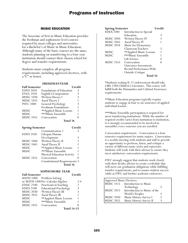### MUSIC EDUCATION

The Associate of Arts in Music Education provides the freshman and sophomore level courses required by most colleges and universities for a Bachelor's of Music in Music Education. Although many of the basic courses are the same, students planning on transferring to a four-year institution should contact their chosen school for degree and transfer requirements.

Students must complete all program requirements, including approved electives, with a "C" or better.

### **FRESHMAN YEAR**

| <b>Fall Semester</b> |                          | Credit |
|----------------------|--------------------------|--------|
| <b>EDFD 2020</b>     | Foundations of Education | 3      |
| <b>ENGL 1010</b>     | English I: Composition   | 3      |
| <b>MUSC 1030</b>     | Written Theory I         | 3      |
| <b>MUSC 1035</b>     | Aural Theory I           |        |
| <b>PSYC 1000</b>     | General Psychology       | 3      |
|                      | Freshman Foundations     |        |
| MUSC                 | **Applied Music Lessons  | 1      |
| <b>MUSC</b>          | ***Music Ensemble        |        |
| <b>MUSC 2455</b>     | Convocation              |        |
|                      | Total 16                 |        |

**Spring Semester Credit**

Communication 2 3 EDFD 2450 Lifespan Human Development 3 MUSC 1040 Written Theory II 3<br>MUSC 1045 Aural Theory II 1 Aural Theory II 1

|                     | Total 16                             |  |
|---------------------|--------------------------------------|--|
|                     | <b>Constitutional Requirements 3</b> |  |
| <b>MUSC 2455</b>    | Convocation                          |  |
|                     | Physical Education Activity          |  |
| MUSC                | ***Music Ensemble                    |  |
| MUSC                | **Applied Music Lessons              |  |
| - - - - - - - - - - |                                      |  |

### **SOPHOMORE YEAR**

| <b>Fall Semester</b> |                                   | Credit         |
|----------------------|-----------------------------------|----------------|
| <b>MATH 1000</b>     | Problem Solving                   |                |
|                      | or MATH 1400 Pre-Calculus Algebra | $3-4$          |
| <b>EDUC 2100</b>     | Practicum in Teaching             | $\overline{2}$ |
| <b>EDFD 2100</b>     | <b>Educational Psychology</b>     | 3              |
| <b>MUSC 2030</b>     | Written Theory III                | 3              |
| <b>MUSC 2035</b>     | Aural Theory III                  |                |
| <b>MUSC</b>          | ** Applied Music Lessons          |                |
| <b>MUSC</b>          | ***Music Ensemble                 |                |
| <b>MUSC 2455</b>     | Convocation                       |                |
|                      | <b>Total 14-15</b>                |                |

| <b>Spring Semester</b> |                             | Credit |
|------------------------|-----------------------------|--------|
| <b>EDEX 2484</b>       | Introduction to Special     |        |
|                        | Education                   | 3      |
| <b>MUSC 2040</b>       | Written Theory IV           | 3      |
| <b>MUSC 2045</b>       | Aural Theory IV             |        |
| <b>MUSC 2018</b>       | Music for Elementary        |        |
|                        | Classroom Teachers          | 3      |
| MUSC                   | **Applied Music Lessons     |        |
| MUSC                   | ***Music Ensemble           |        |
|                        | Lab Science                 |        |
| <b>MUSC 2455</b>       | Convocation                 |        |
|                        | <b>Outcomes Assessment:</b> |        |
|                        | Recital Performance With    |        |
|                        | Outside Critique            |        |
|                        | Total 16                    |        |

\*Students seeking K-12 endorsement should take LIBS-2280 Children's Literature. This course will fulfill both the Humanities and Cultural Awareness requirements.

\*\*Music Education programs typically require students to engage in four to six semesters of applied individual lessons.

\*\*\*Music Ensemble participation is required for most transferring institutions. While the number of required credits varies from institution to institution, it is strongly recommended to be involved in ensembles every semester you are enrolled.

Convocation requirement: Convocation is a foursemester requirement for music majors. Convocation is a weekly meeting with students and staff to provide an opportunity to perform, listen, and critique a variety of different music styles and repertoire. Students will work with their advisor to ensure they meet satisfactory convocation requirements.

EWC strongly suggest that students work closely with their faculty advisor to create a schedule that will meet our graduation obligations while fulfilling transfer requirements, and to ensure student success while at EWC and further academic endeavors.

| Approved Music Electives: |                                 |  |
|---------------------------|---------------------------------|--|
|                           | MUSC 1415 Introduction to Music |  |
|                           | Technology                      |  |
| MUSC 2015                 | Introduction to Music of the    |  |
|                           | World's Peoples                 |  |
| <b>MUSC 2050</b>          | Music History Survey I          |  |
| <b>MUSC 2055</b>          | Music History Survey II         |  |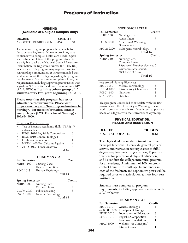### NURSING (Available at Douglas Campus Only)

**DEGREE CREDITS** ASSOCIATE DEGREE OF NURSING 60

The nursing program prepares the graduate to function as a Registered Nurse in providing care to clients with complex health care needs. Upon successful completion of this program, students are eligible to take the National Council Licensure Examination for Registered Nurses (NCLEX-RN) in any state. This program may require travel to surrounding communities. It is recommended that students contact the college regarding the program requirements. Students must complete all program requirements, including approved prerequisites with a grade of "C" or better and meet the minimum GPA of 2.5. **EWC will admit a cohort group of 12 students every two-years beginning Fall 2016.**

**Please note that this program has strict admittance requirements. Please visit https://ewc.wy.edu/learning-and-outreach/ nursing/. For more information contact Suzey Delger (EWC Director of Nursing) at 307.624.7000.** 

#### **Program Prerequisites:**

- Test of Essential Academic Skills (TEAS) V entrance test
- 
- ENGL 1010 English I: Composition 3 BIOL 1010 General Biology I 4
- Freshman Foundations
- MATH 1400 Pre-Calculus Algebra 4
- ZOO 2015 Human Anatomy 4
	- **Total 16**

#### **FRESHMAN YEAR**

| <b>Fall Semester</b> |                         | Credit |
|----------------------|-------------------------|--------|
| NURS 1100            | Nursing Care:           |        |
|                      | <b>Health Promotion</b> | 9      |
| ZOO 2025             | Human Physiology        | 4      |
|                      | Total 13                |        |

| <b>Spring Semester</b> |                         | Credit |
|------------------------|-------------------------|--------|
|                        | NURS 1200 Nursing Care: |        |
|                        | Chronic Illness         | 9      |
| $CO/M$ 2020            | <b>Public Speaking</b>  | 3      |
| <b>PSYC 1000</b>       | General Psychology      | 3      |
|                        | Total 15                |        |

### **SOPHOMORE YEAR**

| <b>Fall Semester</b>   |                               | Credit |
|------------------------|-------------------------------|--------|
| <b>NURS 2300</b>       | Nursing Care:                 |        |
|                        | Acute Illness                 | 9      |
| <b>POLS 1000</b>       | American & Wyoming            |        |
|                        | Government                    | 3      |
| <b>MOLB 2220</b>       | Pathogenic Microbiology       | 4      |
|                        | Total 16                      |        |
| <b>Spring Semester</b> |                               | Credit |
| <b>NURS 2400</b>       | Nursing Care:                 |        |
|                        | Complex Illness               | 9      |
|                        | *Approved Nursing electives 7 |        |
|                        | Outcomes Assessment:          |        |
|                        | <b>NCLEX-RN Exam</b>          |        |
|                        | Total 16                      |        |
|                        |                               |        |

| *Approved Nursing Electives: |                               |  |  |
|------------------------------|-------------------------------|--|--|
| <b>BIOL 1050</b>             | Medical Terminology           |  |  |
| <b>CHEM 1000</b>             | <b>Introductory Chemistry</b> |  |  |
| <b>FCSC 1140</b>             | Nutrition                     |  |  |
| <b>STAT 2050</b>             | <b>Statistics</b>             |  |  |

This program is intended to articulate with the BSN program with the University of Wyoming. Please work closely with an advisor if you intend to pursue a bachelor's degree with the University of Wyoming.

### PHYSICAL EDUCATION, HEALTH AND RECREATION

### **DEGREE CREDITS** ASSOCIATE OF ARTS 60-61

The physical education department has three principal functions: 1) provide general physical activity and recreation activity classes to fulfill degree requirements for graduation, 2) prepare teachers for professional physical education, and 3) conduct the college intramural program for all students. A minimum of 100 noncredit contact hours with youth age 16 and under in each of the freshman and sophomore years will be required prior to matriculation at most four-year institutions.

Students must complete all program requirements, including approved electives, with a "C" or better.

### **FRESHMAN YEAR**

| <b>Fall Semester</b> |                          | Credit |
|----------------------|--------------------------|--------|
| <b>BIOL 1010</b>     | General Biology I        |        |
| or BIOL 1000         | Principles of Biology    |        |
| <b>EDFD 2020</b>     | Foundations of Education | 3      |
| <b>ENGL 1010</b>     | English I: Composition   | ζ      |
|                      | Freshman Foundations     |        |
| <b>PEAC 2000</b>     | Wellness: PE Concepts/   |        |
|                      | <b>Fitness Course</b>    |        |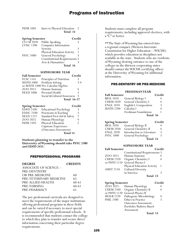| <b>PEPR 1005</b> | Intro to Physical Education |  |
|------------------|-----------------------------|--|
|                  | Total 14                    |  |

| <b>Spring Semester</b> |                                      | Credit |
|------------------------|--------------------------------------|--------|
| $\overline{CO/M}$ 2020 | Public Speaking                      |        |
| <b>COSC 1200</b>       | Computer Information                 |        |
|                        | Systems                              |        |
|                        | Physical Education Activity          |        |
| <b>PSYC 1000</b>       | General Psychology                   |        |
|                        | <b>Constitutional Requirements 3</b> |        |
|                        | Arts & Humanities                    |        |
|                        | Total 16                             |        |

### **SOPHOMORE YEAR**

| <b>Fall Semester</b> |                                   | Credit  |
|----------------------|-----------------------------------|---------|
| <b>FCSC 1141</b>     | Principles of Nutrition           | 3       |
|                      | MATH 1000 Problem Solving         | $3 - 4$ |
|                      | or MATH 1400 Pre-Calculus Algebra |         |
| ZOO 2015             | Human Anatomy                     |         |
|                      | HLED 1006 Personal Health         | 3       |
|                      | Social & Cultural Awareness       | ζ       |
|                      | <b>Total 16-17</b>                |         |

| <b>Spring Semester</b>      |                               | Credit         |
|-----------------------------|-------------------------------|----------------|
| <b>EDFD</b> <sup>2100</sup> | <b>Educational Psychology</b> |                |
| <b>EDUC 2100</b>            | Practicum in Teaching         |                |
| <b>HLED 1221</b>            | Standard First Aid & Safety   | $\mathfrak{D}$ |
| ZOO 2025                    | Human Physiology              |                |
| <b>PEPR 2395</b>            | Physical Education            |                |
|                             | Capstone Experience           |                |
|                             | (Outcomes Assessment)         |                |
|                             | Total 14                      |                |

**Students planning to transfer to the University of Wyoming should take PSYC 2300 and EDFD 2451.**

#### PREPROFESSIONAL PROGRAMS

| <b>DEGREE</b>           | <b>CREDITS</b> |
|-------------------------|----------------|
| ASSOCIATE OF SCIENCE—   |                |
| PRE-DENTISTRY           |                |
| OR PRE-MEDICINE         | 60             |
| PRE-VETERINARY MEDICINE | 65             |
| PRE-ALLIED HEALTH       | 60-61          |
| PRE-NURSING             | 60-61          |
| PRE-PHARMACY            | 61             |

The pre-professional curricula are designed to meet the requirements of the major institutions offering professional programs in these fields and can be varied if necessary to meet special requirements of specific professional schools. It is recommended that students contact the college to which they plan to transfer and secure direct information concerning their particular degree requirements.

Students must complete all program requirements, including approved electives, with a "C" or better.

\*\*The State of Wyoming has entered into a regional compact (Western Interstate Commission for Higher Education—WICHE) which provides education in disciplines not available in the state. Students who are residents of Wyoming desiring entrance to one of the colleges in the thirteen cooperating states should contact the WICHE certifying officer at the University of Wyoming for additional information.

#### PRE-DENTISTRY OR PRE-MEDICINE

### **FRESHMAN YEAR Fall Semester** Credit<br>BIOL 1010 General Biology I 4 General Biology I CHEM 1020 General Chemistry I 4<br>ENGL 1010 English I: Composition 3 English I: Composition 3<br>Calculus I 4 MATH 2200 Freshman Foundations 1 **Total 16**

| <b>Spring Semester</b> |                            | Credit |
|------------------------|----------------------------|--------|
| <b>BIOL 2020</b>       | General Biology II         |        |
| <b>CHEM 1030</b>       | General Chemistry II       | 4      |
| <b>ENGL 2020</b>       | Introduction to Literature | Κ      |
| <b>PSYC 1000</b>       | General Psychology         | ろ      |
|                        | Total 14                   |        |

### **SOPHOMORE YEAR**

| <b>Fall Semester</b> | Credit                               |  |
|----------------------|--------------------------------------|--|
|                      | <b>Constitutional Requirements 3</b> |  |
| ZOO 2015             | Human Anatomy                        |  |
| <b>CHEM 2320</b>     | Organic Chemistry I                  |  |
| or PHYS 1110         | General Physics I                    |  |
|                      | Physical Education Activity          |  |
| <b>AMST 2110</b>     | <b>Cultural Diversity</b>            |  |
|                      | in America                           |  |
|                      | Total 15                             |  |

| <b>Spring Semester</b> |                             | Credit |
|------------------------|-----------------------------|--------|
| ZOO 2025               | Human Physiology            |        |
| <b>CHEM 2340</b>       | Organic Chemistry II        |        |
| or PHYS 1120           | General Physics II          |        |
| <b>MOLB 2220</b>       | Pathogenic Microbiology     |        |
| <b>PHIL 2300</b>       | Ethics in Practice          | 3      |
|                        | <b>Outcomes Assessment:</b> |        |
|                        | Portfolio/Rubrics Based     |        |
|                        | Assessment                  |        |
|                        | Total 15                    |        |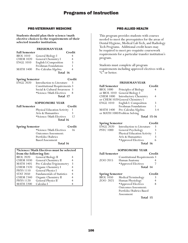### PRE-VETERINARY MEDICINE

**Students should plan their science/math elective choices to the requirements of their selected transfer institution.**

### **FRESHMAN YEAR**

| <b>Fall Semester</b> |                        | Credit         |
|----------------------|------------------------|----------------|
| <b>BIOL 1010</b>     | General Biology I      | 4              |
| <b>CHEM 1020</b>     | General Chemistry I    | $\overline{4}$ |
| <b>ENGL 1010</b>     | English I: Composition | 3              |
|                      | Freshman Foundations   |                |
| <b>MATH 1400</b>     | Pre-Calculus Algebra   | 4              |
|                      | Total 16               |                |

**Spring Semester Credit**<br>ENGL 2020 Introduction to Literature 3 Introduction to Literature 3 Constitutional Requirements 3 Social & Cultural Awareness 3 \*Science/Math Electives 8 **Total 17**

#### **SOPHOMORE YEAR**

| <b>Fall Semester</b> |                             | Credit |
|----------------------|-----------------------------|--------|
|                      | Physical Education Activity |        |
|                      | Arts & Humanities           | 3      |
|                      | *Science/Math Electives     | 12     |
|                      | Total 16                    |        |

**Spring Semester Credit**<br> **Credit \*Science/Math Electives** 16 \*Science/Math Electives 16 Outcomes Assessment: Portfolio/Rubrics Based Assessment **Total 16**

| *Science/Math Electives must be selected |                                   |   |
|------------------------------------------|-----------------------------------|---|
| from the following list:                 |                                   |   |
| <b>BIOL 2020</b>                         | General Biology II                |   |
| <b>CHEM 1030</b>                         | General Chemistry II              | 4 |
| <b>MATH 1405</b>                         | Pre-Calculus Trigonometry         | 3 |
| <b>CHEM 2320</b>                         | Organic Chemistry I               |   |
| <b>PHYS 1110</b>                         | General Physics I                 | 4 |
| <b>STAT 2050</b>                         | <b>Fundamentals of Statistics</b> |   |
| <b>CHEM 2340</b>                         | Organic Chemistry II              |   |
| <b>PHYS 1120</b>                         | General Physics II                |   |
| <b>MATH 2200</b>                         | Calculus I                        |   |

### PRE-ALLIED HEALTH

This program provides students with courses needed to meet the prerequisites for the areas of Dental Hygiene, Medical Lab Tech, and Radiology Tech Programs. Additional credit hours may be required to meet pre-requisite coursework requirements for a particular transfer institution's program.

Students must complete all program requirements including approved electives with a "C" or better.

### **FRESHMAN YEAR**

| <b>Fall Semester</b> |                                  | Credit      |
|----------------------|----------------------------------|-------------|
| <b>BIOL 1000</b>     | Principles of Biology            | 4           |
|                      | or BIOL 1010 General Biology I   |             |
| <b>CHEM 1000</b>     | Introductory Chemistry           | 4           |
|                      | or CHEM 1020 General Chemistry I |             |
| <b>ENGL 1010</b>     | English I: Composition           | 3           |
|                      | Freshman Foundations             |             |
| <b>MATH 1400</b>     | Pre-Calculus Algebra             | $3-4$       |
|                      | or MATH 1000 Problem Solving     |             |
|                      |                                  | T.L.1 1F 16 |

### **Total 15-16**

### **Spring Semester Credit**<br>**ENGL 2020** Introduction to Literature 3 ENGL 2020 Introduction to Literature 3<br>PSYC 1000 General Psychology 3 General Psychology Physical Education Activity 1<br>Arts & Humanities 3 Arts & Humanities 3<br>\*Approved Electives 6 \*Approved Electives 6

### **Total 16**

### **SOPHOMORE YEAR**

| <b>Fall Semester</b> |                                      | Credit   |
|----------------------|--------------------------------------|----------|
|                      | <b>Constitutional Requirements 3</b> |          |
| ZOO 2015             | Human Anatomy                        |          |
|                      | *Approved Electives                  |          |
|                      |                                      | Total 14 |

| <b>Spring Semester</b> |                         | Credit |
|------------------------|-------------------------|--------|
| <b>BIOL 1050</b>       | Medical Terminology     |        |
| ZOO 2025               | Human Physiology        |        |
|                        | *Approved Electives     | 8      |
|                        | Outcomes Assessment:    |        |
|                        | Portfolio/Rubrics Based |        |
|                        | Assessment              |        |
|                        | Total 15                |        |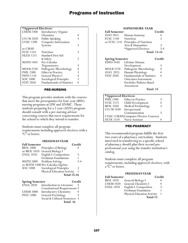### **\*Approved Electives:**

| <b>CHEM 2300</b> | <b>Introductory Organic</b>       |   |
|------------------|-----------------------------------|---|
|                  | Chemistry                         | 4 |
| $CO/M$ 2020      | Public Speaking                   | 3 |
| <b>COSC 1200</b> | Computer Information              |   |
|                  | Systems                           | 3 |
| or CMAP          |                                   |   |
| <b>FCSC 1141</b> | Nutrition                         | 3 |
| <b>HLED 1221</b> | Standard First Aid                |   |
|                  | & Safety                          | 2 |
| <b>MATH 1405</b> | Pre-Calculus                      |   |
|                  | Trigonometry                      | 3 |
| <b>MOLB 2220</b> | Pathogenic Microbiology           | 4 |
| <b>PHIL 2300</b> | <b>Ethics in Practice</b>         | 3 |
| <b>PHYS 1110</b> | General Physics I                 | 4 |
| SOC 1000         | Sociological Principles           | 3 |
| <b>STAT 2050</b> | <b>Fundamentals of Statistics</b> | 4 |
|                  |                                   |   |

### PRE-NURSING

This program provides students with the courses that meet the prerequisites for four-year (BSN) nursing programs at UW and UNMC. Those students preparing for a 2 year (ADN) program should consult with a pre-nursing advisor concerning courses that meet requirements for the school to which they intend to transfer.

Students must complete all program requirements including approved electives with a "C" or better.

### **FRESHMAN YEAR**

| <b>Fall Semester</b>   |                                    | Credit |
|------------------------|------------------------------------|--------|
| <b>BIOL 1000</b>       | Principles of Biology              |        |
| or BIOL $1010$         | General Biology I                  |        |
| <b>ENGL 1010</b>       | English I: Composition             | 3      |
|                        | Freshman Foundations               |        |
| <b>MATH 1000</b>       | Problem Solving                    | $3-4$  |
|                        | or MATH 1400 Pre-Calculus Algebra  |        |
| <b>SOC 1000</b>        | Sociological Principles            | 3      |
|                        | <b>Physical Education Activity</b> |        |
|                        | <b>Total 15-16</b>                 |        |
| <b>Spring Semester</b> |                                    | Credit |

| $\sigma$ $\mu$ $\mu$ <sub>g</sub> $\sigma$ $\mu$ $\sigma$ $\sigma$ |                                      |               |
|--------------------------------------------------------------------|--------------------------------------|---------------|
| <b>ENGL 2020</b>                                                   | Introduction to Literature           | Κ             |
|                                                                    | <b>Constitutional Requirements 3</b> |               |
| <b>CHEM 1000</b>                                                   | <b>Introductory Chemistry</b>        | 4             |
| <b>PSYC 1000</b>                                                   | General Psychology                   | 3             |
|                                                                    | Social & Cultural Awareness          | $\mathcal{R}$ |
|                                                                    | Total 16                             |               |
|                                                                    |                                      |               |

### **SOPHOMORE YEAR**

| <b>Fall Semester</b> |                                      | Credit             |
|----------------------|--------------------------------------|--------------------|
| ZOO 2015             | Human Anatomy                        | 4                  |
| <b>FCSC 1140</b>     | Nutrition                            | 3                  |
|                      | or FCSC 1141 Principles of Nutrition |                    |
|                      | Arts & Humanities                    | 3                  |
|                      | *Approved Electives                  | $3 - 4$            |
|                      |                                      | <b>Total 13-14</b> |
|                      |                                      |                    |

| <b>Spring Semester</b> |                                   | Credit         |
|------------------------|-----------------------------------|----------------|
|                        | EDFD 2450 Lifetime Human          |                |
|                        | Development                       | 3              |
| <b>MOLB 2220</b>       | Pathogenic Microbiology           | 4              |
| ZOO 2025               | Human Physiology                  | $\overline{4}$ |
| <b>STAT 2050</b>       | <b>Fundamentals of Statistics</b> | $\overline{4}$ |
|                        | Outcomes Assessment:              |                |
|                        | Portfolio/Rubrics Based           |                |
|                        | Assessment                        |                |
|                        |                                   |                |

### Total 15

| *Approved Electives:                 |                                         |  |
|--------------------------------------|-----------------------------------------|--|
|                                      | PHIL <sup>2300</sup> Ethics in Practice |  |
|                                      | FCSC 2121 Child Development             |  |
| BIOL 1050                            | Medical Terminology                     |  |
| CO/M 1030 Interpersonal              |                                         |  |
|                                      | Communication                           |  |
| COSC/CMAP(Computer Elective Courses) |                                         |  |
|                                      | HLTK 1510 Nurse Assistant               |  |

### PRE-PHARMACY

This recommended program fulfills the first two years of a pharmacy curriculum. Students interested in transferring to a specific school of pharmacy should plan their second preprofessional year using the transfer institution's catalog.

Students must complete all program requirements, including approved electives, with a "C" or better.

|                      | <b>FRESHMANYEAR</b>                |        |
|----------------------|------------------------------------|--------|
| <b>Fall Semester</b> |                                    | Credit |
| <b>BIOL 1010</b>     | General Biology I                  |        |
| <b>CHEM 1020</b>     | General Chemistry I                |        |
| <b>ENGL 1010</b>     | English I: Composition             | 3      |
|                      | Freshman Foundation                |        |
|                      | <b>Physical Education Activity</b> |        |
|                      | Total 13                           |        |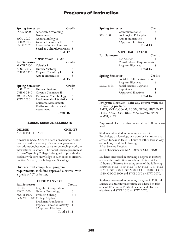| <b>Spring Semester</b> |                               | Credit |
|------------------------|-------------------------------|--------|
| <b>POLS</b> 1000       | American & Wyoming            |        |
|                        | Government                    | 3      |
| <b>BIOL 2020</b>       | General Biology II            |        |
| <b>CHEM 1030</b>       | General Chemistry II          | 4      |
| <b>ENGL 2020</b>       | Introduction to Literature    | 3      |
|                        | Social & Cultural Awareness 3 |        |
|                        | Total 17                      |        |
|                        |                               |        |

### **SOPHOMORE YEAR**

| <b>Fall Semester</b> |                     | Credit |
|----------------------|---------------------|--------|
| MATH 2200            | Calculus I          |        |
| ZOO 2015             | Human Anatomy       | 4      |
| <b>CHEM 2320</b>     | Organic Chemistry I |        |
|                      | Arts & Humanities   | 3      |
|                      | Total 15            |        |

| <b>Spring Semester</b> |                                   | Credit         |
|------------------------|-----------------------------------|----------------|
| ZOO 2025               | Human Physiology                  |                |
| <b>CHEM 2340</b>       | Organic Chemistry II              |                |
| <b>MOLB 2220</b>       | Pathogenic Microbiology           | $\overline{4}$ |
| <b>STAT 2050</b>       | <b>Fundamentals of Statistics</b> |                |
|                        | <b>Outcomes Assessment:</b>       |                |
|                        | Portfolio/Rubrics Based           |                |
|                        | Assessment                        |                |
|                        |                                   |                |

**Total 16**

### SOCIAL SCIENCE ASSOCIATE

#### **DEGREE CREDITS** ASSOCIATE OF ART 60

A major in Social Science offers a broad based degree that can lead to a variety of careers in government, law, education, business, social or counseling work, or international relations. The Social Science program at Eastern Wyoming College is designed to provide the student with core knowledge in such areas as History, Political Science, Psychology and Sociology.

Students must complete all program requirements, including approved electives, with a grade of "C" or better.

#### **FRESHMAN YEAR**

| <b>Fall Semester</b> |                              | Credit  |
|----------------------|------------------------------|---------|
| <b>ENGL 1010</b>     | English I: Composition       |         |
| <b>PSYC 1000</b>     | General Psychology           |         |
| <b>MATH 1000</b>     | Problem Solving              | $3 - 4$ |
|                      | or MATH 1400 College Algebra |         |
|                      | Freshman Foundations         |         |
|                      | Physical Education Activity  |         |
|                      | *Approved Electives          |         |
|                      | <b>Total 14-15</b>           |         |

| <b>Spring Semester</b> |                                              | Credit |
|------------------------|----------------------------------------------|--------|
|                        | Communication 2                              | 3      |
| SOC 1000               | Sociological Principles                      | 3      |
|                        | Arts & Humanities                            | 3      |
|                        | *Approved Electives                          | 6      |
|                        | Total 15                                     |        |
|                        | <b>SOPHOMOREYEAR</b>                         |        |
| <b>Fall Semester</b>   |                                              | Credit |
|                        | Lab Science                                  | 4      |
|                        | <b>Constitutional Requirements 3</b>         |        |
|                        | Program Electives                            | 8      |
|                        | Total 15                                     |        |
| <b>Spring Semester</b> |                                              | Credit |
|                        | Social & Cultural Awareness                  | 3      |
|                        | Program Electives                            | 4      |
| <b>SOSC 2395</b>       | Social Science Capstone                      |        |
|                        | Experience                                   | 1      |
|                        | *Approved Electives                          | 8      |
|                        | <b>Total 16</b>                              |        |
|                        | Program Electives - Take any course with the |        |
| following prefixes:    |                                              |        |
|                        | AMST, ANTH, CO/M, ECON, GEOG, HIST, INST,    |        |

PHIL, POLS, PSYC, RELI, SOC, SOWK, SPAN, WMST, STAT

\*Approved electives: Any course at the 1000 or above level.

Students interested in pursuing a degree in Psychology or Sociology at a transfer institution are advised to take at least 12 hours of either Psychology or Sociology and the following: 2 Lab Science Electives

or 1 Lab Science and STAT 2050 or STAT 2070

Students interested in pursuing a degree in History at a transfer institution are advised to take at least 12 hours of History including some of the following electives: HIST 1110, HIST 1120, HIST 1211, HIST 1221, HIST 1290, HIST 2290, ECON 1010, ECON 1020, GEOG 1000 and STAT 2050 or STAT 2070.

Students interested in pursuing a degree in Political Science at a transfer institution are advised to take at least 12 hours of Political Science and History electives and STAT 2050 or STAT 2070.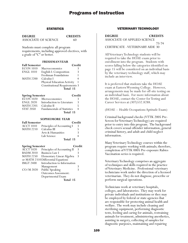### **STATISTICS**

**DEGREE CREDITS**

ASSOCIATE OF SCIENCE 60

Students must complete all program requirements, including approved electives, with a grade of "C" or better.

### **FRESHMAN YEAR**

| <b>Fall Semester</b> |                                      | Credit |
|----------------------|--------------------------------------|--------|
| <b>ECON 1010</b>     | Macroeconomics                       |        |
| <b>ENGL 1010</b>     | English I: Composition               |        |
|                      | Freshman Foundations                 |        |
| <b>MATH 2200</b>     | Calculus I                           |        |
|                      | Physical Education Activity          |        |
|                      | <b>Constitutional Requirements 3</b> |        |
|                      | Total 15                             |        |
|                      |                                      |        |

| <b>Spring Semester</b> |                                       | Credit |
|------------------------|---------------------------------------|--------|
|                        | $\overline{ECON}$ 1020 Microeconomics | К      |
| ENGL 2020              | Introduction to Literature            | 3      |
| <b>MATH 2205</b>       | Calculus II                           | 5      |
| <b>STAT 2050</b>       | <b>Fundamentals of Statistics</b>     | 4      |
|                        | Total 15                              |        |

### **SOPHOMORE YEAR**

| <b>Fall Semester</b>                                            |                                      | Credit             |  |
|-----------------------------------------------------------------|--------------------------------------|--------------------|--|
|                                                                 | ACCT 1010 Principles of Accounting I |                    |  |
| MATH 2210 Calculus III                                          |                                      |                    |  |
|                                                                 | Arts & Humanities                    | ੨                  |  |
|                                                                 | Lab Science                          |                    |  |
|                                                                 | Total 15                             |                    |  |
| $C_{\text{scat}}/L_{\text{sc}} = C_{\text{scat}}/L_{\text{sc}}$ |                                      | $C_{\rm max}$ .1:4 |  |

| spring semester  |                                     | Ureant |
|------------------|-------------------------------------|--------|
| <b>ACCT 1020</b> | Principles of Accounting II         | 3      |
| <b>BADM 2010</b> | <b>Business Law I</b>               |        |
| <b>MATH 2250</b> | Elementary Linear Algebra           | 3      |
|                  | or MATH 2310 Differential Equations |        |
| <b>IMGT 2400</b> | Introduction to Information         |        |
|                  | Management                          | 3      |
| CO/M 2020        | Public Speaking                     | 3      |
|                  | <b>Outcomes Assessment:</b>         |        |
|                  | Departmental Exam                   |        |
|                  | Total 15                            |        |

### VETERINARY TECHNOLOGY

| <b>DEGREE</b>                           | <b>CREDITS</b> |
|-----------------------------------------|----------------|
| ASSOCIATE OF APPLIED SCIENCE            |                |
|                                         | 73-74          |
| <b>CERTIFICATE - VETERINARY AIDE 30</b> |                |

All Veterinary Technology students will be required to take the HOAE exam prior to enrollment into the program. Students with scores falling below the categories identified on page 15 will be considered on an individual basis by the veterinary technology staff, which may include an interview.

It is preferred that students take the HOAE exam at Eastern Wyoming College. However, arrangements may be made for off-site testing on an individual basis. For more information about the HOAE, contact the Center for Testing and Career Services at (307)532.8288.

(HOAE -- Health Occupations Aptitude Exam)

Criminal background checks (VTTK 2005 Pre-Screen for Veterinary Technology) are required prior to entry into this program. The background check covers sexual offender information, general criminal history, and adult and child neglect information.

Many Veterinary Technology courses within the program require working with animals; therefore, completion of VTTK 0005 Pre-exposure Rabies Vaccination series is required.

Veterinary Technology comprises an aggregate of techniques and skills required in the practice of Veterinary Medicine. Professional veterinary technicians work under the direction of a licensed veterinarian. They do not diagnose, prescribe or perform surgical operations.

Technicians work at veterinary hospitals, colleges, and laboratories. They may work for private individuals and institutions or they may be employed by federal or state agencies that are responsible for protecting animal health and welfare. The work may include cleaning and sterilizing equipment, performing diagnostic tests, feeding and caring for animals, restraining animals for treatment, administering anesthetics, assisting in surgery, collecting of samples for diagnostic purposes, maintaining and repairing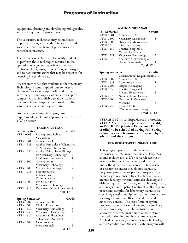equipment, obtaining and developing radiographs, and assisting in office procedures.

The veterinary technician may be employed to perform a single procedure in a specialized area or a broad spectrum of procedures in a generalized practice.

The primary objectives are to qualify students to perform those techniques required in the operation of a general veterinary practice exclusive of diagnosis, prescription, and surgery and to pass examinations that may be required for licensing in certain areas.

It is recommended that students in the Veterinary Technology Program spend four semesters of course work on campus followed by the Veterinary Technology 2950 preceptorship off campus. A plan is available to allow students to complete on campus course work in a five semester sequence if they so desire.

Students must complete all program requirements, including approved electives, with a "C" or better.

### **FRESHMAN YEAR**

| <b>Fall Semester</b> |                                 | Credit           |
|----------------------|---------------------------------|------------------|
| <b>VTTK 0005</b>     | Pre-exposure Rabies             |                  |
|                      | Vaccination                     | $\left( \right)$ |
| <b>VTTK 1001</b>     | Animal Care I                   |                  |
| <b>VTTK 1925</b>     | Applied Principles of Chemistry |                  |
|                      | for Veterinary Technology       |                  |
| <b>VTTK 1950</b>     | Applied Principles of Biology   |                  |
|                      | for Veterinary Technology       | 2                |
|                      | Freshman Foundations            | 1                |
| <b>VTTK 1500</b>     | Orientation to                  |                  |
|                      | Veterinary Technology           | 3                |
| <b>VTTK 1700</b>     | Medical Terminology             | $\mathfrak{D}$   |
| <b>VTTK 1751</b>     | Pharmaceutical                  |                  |
|                      | Calculations                    | 3                |
|                      | Communication 1                 | 3                |
| <b>VTTK 2005</b>     | Pre-Screen for                  |                  |
|                      | Veterinary Technology           | 0                |
| VTTK 2810            | Veterinary Office Procedures 1  |                  |
|                      | <b>Total 17</b>                 |                  |

| <b>Spring Semester</b> |                         | Credit |
|------------------------|-------------------------|--------|
| <b>VTTK 1002</b>       | Animal Care II          |        |
| <b>VTTK 1600</b>       | Clinical Procedures     | 3      |
| <b>VTTK 1630</b>       | Veterinary Hematology   | 3      |
| <b>VTTK 1750</b>       | Veterinary Pharmacology |        |
| <b>VTTK 1610</b>       | Anatomy & Physiology    |        |
|                        | of Domestic Animals I   |        |
| <b>VTTK 2700</b>       | Laboratory and          |        |
|                        | <b>Exotic Animals</b>   |        |
|                        | Total 17                |        |

#### **SOPHOMORE YEAR**

| <b>Fall Semester</b> |                            | Credit        |
|----------------------|----------------------------|---------------|
| <b>VTTK 2001</b>     | Animal Care III            |               |
| <b>VTTK 2500</b>     | Veterinary Anesthesia      | 3             |
| <b>VTTK 2600</b>     | Diagnostic Microbiology    | 2             |
| <b>VTTK 2610</b>     | <b>Infectious Diseases</b> | 3             |
| <b>VTTK 1550</b>     | Practical Surgical &       |               |
|                      | Medical Experience I       | 3             |
| <b>VTTK 1755</b>     | Veterinary Parasitology    | $\mathcal{P}$ |
| <b>VTTK 1620</b>     | Anatomy & Physiology of    |               |
|                      | Domestic Animals II        |               |
|                      | Total 17                   |               |

| <b>Spring Semester</b> |                                        | Credit             |
|------------------------|----------------------------------------|--------------------|
|                        | <b>Constitutional Requirements 2-3</b> |                    |
| <b>VTTK 2002</b>       | Animal Care IV                         |                    |
| <b>VTTK 1625</b>       | Laboratory Analysis                    |                    |
| <b>VTTK 2505</b>       | Diagnostic Imaging                     |                    |
| <b>VTTK 2550</b>       | Practical Surgical &                   |                    |
|                        | Medical Experience II                  | 3                  |
| <b>VTTK 2620</b>       | Noninfectious Diseases                 | 3                  |
| <b>VTTK 2900</b>       | Nutrition in Veterinary                |                    |
|                        | Medicine                               | 3                  |
| <b>VTTK 2750</b>       | Clinical Problems                      | ς                  |
|                        | (Outcomes Assessment)                  |                    |
|                        |                                        | <b>Total 17-18</b> |

**VTTK 2510 (Clinical Experience I, 1 credit), VTTK 2520 (Clinical Experience II, 1 credit), and VTTK 2950 (Clinical Experience III, 3 credits) to be scheduled during Fall, Spring, or Summer as determined appropriate by the advisor and the student.**

### CERTIFICATE-VETERINARY AIDE

This program prepares students to assist veterinarians, veterinary technicians, laboratory animal technicians, and/or research scientists in supportive roles. Veterinary aides work under the direction of a licensed veterinarian or research scientist; they do not diagnose, prognose, prescribe, or perform surgery. The primary job responsibilities of veterinary aides include feeding/watering animals; cleaning and disinfecting treatment areas, animal housing areas, and surgery areas; patient restraint; collecting and processing samples for laboratory diagnostics; sterilizing surgical equipment; patient preparation for surgery; routine office procedures; and inventory control. This certificate program prepares students for employment in veterinary clinics, hospitals, research institutions, or laboratories as veterinary aides or to continue their education in pursuit of an Associate of Applied Science degree in Veterinary Technology, as most credits from the certificate program will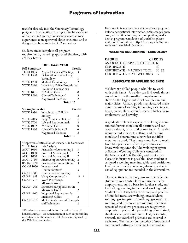transfer directly into the Veterinary Technology program. The certificate program includes a core of courses, 60 hours of observation and clinical experience at an approved clinic or clinics, and is designed to be completed in 2 semesters.

Students must complete all program requirements, including approved electives, with a "C" or better.

### **FRESHMAN YEAR**

| <b>Fall Semester</b> |                                | Credit         |
|----------------------|--------------------------------|----------------|
| <b>TECH 1005</b>     | Applied Technical Writing      | 3              |
| <b>VTTK 1500</b>     | Orientation to Veterinary      |                |
|                      | Technology                     | 3              |
| <b>VTTK 1700</b>     | Medical Terminology            | $\mathfrak{D}$ |
| <b>VTTK 2810</b>     | Veterinary Office Procedures 1 |                |
|                      | Freshman Foundations           |                |
| <b>VTTK 1001</b>     | **Animal Care I                |                |
| <b>VTTK 1510</b>     | Clinical Techniques I          | 3              |
|                      | *Approved Electives            |                |
|                      | Total 15                       |                |

| <b>Spring Semester</b> |                         | Credit        |
|------------------------|-------------------------|---------------|
| <b>VTTK 1950</b>       | Introductory Cellular   |               |
|                        | Biology                 | $\mathcal{P}$ |
| <b>VTTK 2815</b>       | Large Animal Techniques |               |
| <b>VTTK 2700</b>       | Lab and Exotic Animals  | 3             |
| <b>VTTK 1002</b>       | **Animal Care II        |               |
| <b>VTTK 1520</b>       | Clinical Techniques II  |               |
|                        | *Approved Electives     |               |
|                        | Total 15                |               |

| *Approved electives for Veterinary Aide Certificate |                                   |                   |  |
|-----------------------------------------------------|-----------------------------------|-------------------|--|
| <b>VTTK 1625</b>                                    | Lab Analysis                      |                   |  |
| <b>ACCT 1010</b>                                    | Principles of Accounting I        | 3                 |  |
| <b>ACCT 1050</b>                                    | Practical Accounting I            | 2                 |  |
| <b>ACCT 1060</b>                                    | <b>Practical Accounting II</b>    | 2                 |  |
| <b>ACCT 2110</b>                                    | Microcomputer Accounting          | 2                 |  |
| <b>BADM 1020</b>                                    | <b>Business Communications</b>    | 3                 |  |
| CO/M 1030                                           | Interpersonal                     |                   |  |
|                                                     | Communications                    | 3                 |  |
| <b>CMAP 1500</b>                                    | Computer Keyboarding              |                   |  |
| CMAP 1685                                           | Using Computers In:               | $\frac{1}{2}$ - 1 |  |
| <b>CMAP 1715</b>                                    | Word Processing:                  |                   |  |
|                                                     | Microsoft Word                    | $\mathfrak{D}$    |  |
| CMAP 1765                                           | Spreadsheet Applications II:      |                   |  |
|                                                     | Microsoft Excel                   | 2                 |  |
| <b>CMAP 1900</b>                                    | <b>Integrated Applications I:</b> |                   |  |
|                                                     | Microsoft Office                  | 2                 |  |
| CMAP 1915                                           | MS Office-Advanced Concepts       |                   |  |
|                                                     | and Techniques                    | 2                 |  |
|                                                     |                                   |                   |  |

\*\*Students are responsible for the animal care of housed animals. Documentation of such responsibility is contained in these non-credit classes as required by the AVMA accreditation.

For more information about this certificate program, links to occupational information, estimated program cost, normal time for program completion, median debt at program completion (if available), please visit EWC's website at: http://ewc.wy.edu/futurestudents/financial-aid/career/.

### WELDING AND JOINING TECHNOLOGY

| <b>DEGREE</b>                   | <b>CREDITS</b> |
|---------------------------------|----------------|
| ASSOCIATE OF APPLIED SCIENCE 60 |                |
| CERTIFICATE                     | 30             |
| CERTIFICATE - MACHINE TOOL      | 30-32          |
| CERTIFICATE - PLATE WELDING-    | 12             |

### ASSOCIATE OF APPLIED SCIENCE

Welders are skilled people who like to work with their hands. A welder can find work almost anywhere from the smallest shop down the street to the largest industrial complex in our major cities. All hard goods manufactured make extensive use of welding in building cars, trucks, buses, trains, ships, aircraft, space vehicles, farm implements, and jewelry.

A graduate welder is capable of welding ferrous and nonferrous metals in all positions and can operate shears, drills, and power tools. A welder is competent in layout, cutting, and forming metals and determining electrodes and filler metal to be used. They must know how to work from blueprints and written procedures and know welding symbols. The welding program at Eastern Wyoming College is centered in the Mechanical Arts Building and is set up as close to industry as is possible. Each student is assigned a welding machine, table, and positioner. Discussion of safety rules, regulations, and safe use of equipment are included in the curriculum.

The objectives of the program are to enable the student to meet entry-level requirements for employment, build a basis for further study, and for lifelong learning in the metal working trades. Students will study both the theory and practice of shielded metal arc welding, oxyacetylene welding, gas tungsten arc welding, gas metal arc welding, and flux cored arc welding. Technical aspects of the above processes are taught with emphasis on plate and pipe welding of mild steel, stainless steel, and aluminum. Flat, horizontal, vertical, and overhead positions are covered in each area. The theory and practice of mechanical and manual cutting with oxyacetylene and air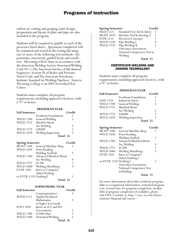carbon arc cutting and gouging, joint design, preparation and layout of plate and pipe are also included in the program.

Students will be required to qualify in each of the processes listed above. Specimens completed will be examined and tested in the testing lab using one or more of the following test methods: dye penetrant, macroetch, guided bend, and tensile test. All testing will be done in accordance with the American Welding Society Structural Welding Code D1.1; The American Society of Mechanical Engineers, Section IX of Boiler and Pressure Vessel Code; and The American Petroleum Institute Standard for Welding Pipelines. Eastern Wyoming College is an AWS Accredited Test Center.

Students must complete all program requirements, including approved electives, with a "C" or better.

| <b>FRESHMANYEAR</b>     |                                |               |
|-------------------------|--------------------------------|---------------|
| <b>Fall Semester</b>    |                                | Credit        |
|                         | Freshman Foundations           | 1             |
| <b>WELD 1700</b>        | General Welding                | 3             |
| <b>WELD 1755</b>        | Shielded Metal                 |               |
|                         | Arc Welding                    | 5             |
| WELD 1773               | GMAW                           | $\frac{2}{3}$ |
| <b>WELD 2670</b>        | Welding Inspection             |               |
|                         | Total 14                       |               |
| <b>Spring Semester</b>  |                                | Credit        |
| <b>MCHT 1500</b>        | General Machine Shop           | 2             |
| <b>WELD 1650</b>        | Print Reading:                 |               |
|                         | Welding Symbols                | 3             |
| <b>WELD 1760</b>        | <b>Advanced Shielded Metal</b> |               |
|                         | Arc Welding                    | 4             |
| <b>WELD 1772</b>        | <b>FCAW</b>                    |               |
| <b>WELD 2680</b>        | Welding Metallurgy             | $\frac{2}{3}$ |
| <b>ENTK 2501</b>        | Intro to Computer              |               |
|                         | <b>Aided Drafting</b>          |               |
| or ENTK 1510 Drafting I |                                | 1             |
|                         | Total 15                       |               |
| <b>SOPHOMORE YEAR</b>   |                                |               |
| <b>Fall Semester</b>    |                                | Credit        |

| тан эсшемен      |                       | ucun           |
|------------------|-----------------------|----------------|
|                  | Communication 1       |                |
| <b>MATH 1515</b> | Applied Technical     |                |
|                  | Mathematics           |                |
|                  | or higher level math  |                |
| <b>POLS</b> 1050 | Basics in U.S. and WY |                |
|                  | Government            | $\mathfrak{D}$ |
| <b>WELD 1780</b> | GTAW-Plate            | 3              |
| <b>WELD 2500</b> | Structural Welding    |                |
|                  | Total 16              |                |
|                  |                       |                |

| <b>Spring Semester</b> |                             | Credit |
|------------------------|-----------------------------|--------|
| <b>HLED 1221</b>       | Standard First Aid & Safety | 2      |
| <b>MCHT</b> 1610       | Machine Tool Technology I   | 2      |
| <b>ELTR 1515</b>       | <b>Electrical Concepts</b>  | 2      |
| <b>WELD 2510</b>       | Pipe Welding I              |        |
| <b>WELD 2520</b>       | Pipe Welding II             | 5      |
|                        | Outcomes Assessment:        |        |
|                        | National Competency Test in |        |
|                        | Welding                     |        |
|                        |                             |        |

**Total 15**

### CERTIFICATE-WELDING AND JOINING TECHNOLOGY

Students must complete all program requirements, including approved electives, with a "C" or better.

### **FRESHMAN YEAR**

| <b>Fall Semester</b> |                          | Credit         |
|----------------------|--------------------------|----------------|
|                      | Freshman Foundations     |                |
| <b>SAFE 1510</b>     | <b>Industrial Safety</b> |                |
| <b>WELD 1700</b>     | General Welding          | 3              |
| <b>WELD 1755</b>     | Shielded Metal           |                |
|                      | Arc Welding              | 5              |
| <b>WELD 1773</b>     | <b>GMAW</b>              | $\mathfrak{D}$ |
| <b>WELD 2670</b>     | Welding Inspection       | ξ              |
|                      | Total 15                 |                |

| <b>Spring Semester</b>  |                             | Credit         |
|-------------------------|-----------------------------|----------------|
| <b>MCHT 1500</b>        | General Machine Shop        | 2              |
| <b>WELD 1650</b>        | Print Reading:              |                |
|                         | <b>Welding Symbols</b>      | 3              |
| <b>WELD 1760</b>        | Advanced Shielded Metal     |                |
|                         | Arc Welding                 | 4              |
| <b>WELD 1772</b>        | <b>FCAW</b>                 | $\overline{2}$ |
| <b>WELD 2680</b>        | Welding Metallurgy          | 3              |
| <b>ENTK 2501</b>        | Intro to Computer           |                |
|                         | Aided Drafting I            |                |
| or ENTK 1510 Drafting I |                             |                |
|                         | <b>Outcomes Assessment:</b> |                |
|                         | National Competency Test    |                |
|                         | in Welding                  |                |
|                         | Total 15                    |                |

For more information about this certificate program, links to occupational information, estimated program cost, normal time for program completion, median debt at program completion (if available), please visit EWC's website at: http://ewc.wy.edu/futurestudents/financial-aid/career/.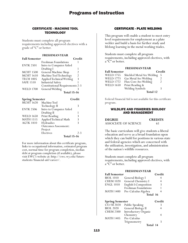### CERTIFICATE - MACHINE TOOL **TECHNOLOGY**

Students must complete all program requirements including approved electives with a grade of "C" or better.

### **FRESHMAN YEAR**

| <b>Fall Semester</b> |                                        | Credit         |
|----------------------|----------------------------------------|----------------|
|                      | Freshman Foundations                   |                |
| <b>ENTK 2501</b>     | Intro to Computer Aided                |                |
|                      | Drafting I                             |                |
| <b>MCHT 1500</b>     | General Machine Shop                   | 2              |
| <b>MCHT</b> 1610     | Machine Tool Technology                | $\mathfrak{D}$ |
| <b>TECH 1005</b>     | Applied Technical Writing              | 3              |
| <b>SAFE 1510</b>     | <b>Industrial Safety</b>               |                |
|                      | <b>Constitutional Requirements 2-3</b> |                |
| <b>WELD 1700</b>     | General Welding                        |                |
|                      | <b>Total 15-16</b>                     |                |

| <b>Spring Semester</b> |                             | Credit             |
|------------------------|-----------------------------|--------------------|
| <b>MCHT 1620</b>       | Machine Tool                |                    |
|                        | Technology II               | 3                  |
| <b>ENTK 2506</b>       | Intro to Computer Aided     |                    |
|                        | Drafting II                 |                    |
| <b>WELD 1650</b>       | Print Reading               | 3                  |
| <b>MATH 1515</b>       | Applied Technical Math      | 3                  |
| <b>AGTK 1810</b>       | Hydraulics                  | ξ                  |
|                        | <b>Outcomes Assessment:</b> |                    |
|                        | Project                     |                    |
|                        | Electives                   | $2 - 3$            |
|                        |                             | <b>Total 15-16</b> |

For more information about this certificate program, links to occupational information, estimated program cost, normal time for program completion, median debt at program completion (if available), please visit EWC's website at: http://ewc.wy.edu/futurestudents/financial-aid/career/.

### CERTIFICATE - PLATE WELDING

This program will enable a student to meet entry level requirements for employment as a plate welder and build a basis for further study and lifelong learning in the metal working trades.

Students must complete all program requirements, including approved electives, with a "C" or better.

### **FRESHMAN YEAR**

| <b>Fall Semester</b> |                            | Credit         |
|----------------------|----------------------------|----------------|
| <b>WELD 1755</b>     | Shielded Metal Arc Welding | -5             |
| <b>WELD 1773</b>     | Gas Metal Arc Welding      | $\mathfrak{D}$ |
| <b>WELD 1772</b>     | Flux Core Arc Welding      | 2              |
| <b>WELD 1650</b>     | Print Reading &            |                |
|                      | Welding Symbols            | 3              |
|                      | Total 12                   |                |

Federal Financial Aid is not available for this certificate program.

### WILDLIFE AND FISHERIES BIOLOGY AND MANAGEMENT

| <b>DEGREE</b>        | <b>CREDITS</b> |
|----------------------|----------------|
| ASSOCIATE OF SCIENCE | 61             |

The basic curriculum will give students a liberal education and serve as a broad foundation upon which they can build for positions in various state and federal agencies which are concerned with the utilization, investigation, and administration of the nation's wildlife resources.

Students must complete all program requirements, including approved electives, with a "C" or better.

### **FRESHMAN YEAR**

| <b>Fall Semester</b>   |                                       | Credit |
|------------------------|---------------------------------------|--------|
| <b>BIOL 1010</b>       | General Biology I                     | 4      |
| <b>CHEM 1020</b>       | General Chemistry I                   | 4      |
| <b>ENGL 1010</b>       | English I: Composition                | 3      |
|                        | Freshman Foundations                  |        |
| <b>MATH 1400</b>       | Pre-Calculus Algebra                  | 4      |
|                        | Total 16                              |        |
|                        |                                       |        |
| <b>Spring Semester</b> |                                       | Credit |
| $CO/M$ 2020            |                                       | 3      |
| <b>BIOL 2020</b>       | Public Speaking<br>General Biology II | 4      |
| <b>CHEM 2300</b>       |                                       |        |
|                        | Introductory Organic<br>Chemistry     | 4      |
| <b>MATH 1405</b>       | Pre-Calculus                          |        |
|                        | Trigonometry                          | 3      |